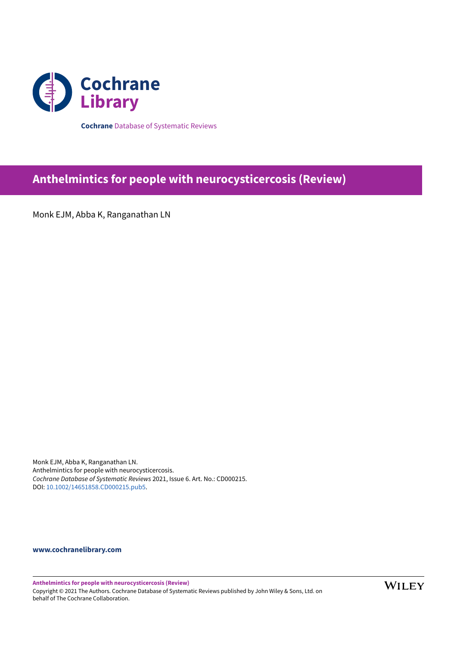

**Cochrane** Database of Systematic Reviews

# **Anthelmintics for people with neurocysticercosis (Review)**

Monk EJM, Abba K, Ranganathan LN

Monk EJM, Abba K, Ranganathan LN. Anthelmintics for people with neurocysticercosis. *Cochrane Database of Systematic Reviews* 2021, Issue 6. Art. No.: CD000215. DOI: [10.1002/14651858.CD000215.pub5.](https://doi.org/10.1002%2F14651858.CD000215.pub5)

**[www.cochranelibrary.com](https://www.cochranelibrary.com)**

**Anthelmintics for people with neurocysticercosis (Review)** Copyright © 2021 The Authors. Cochrane Database of Systematic Reviews published by John Wiley & Sons, Ltd. on behalf of The Cochrane Collaboration.

**WILEY**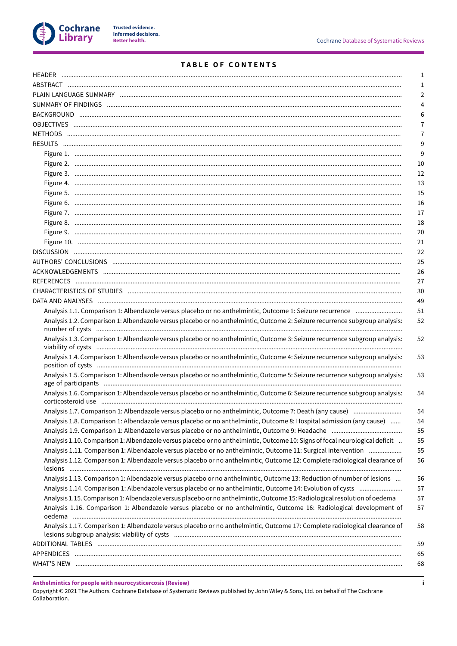

# TABLE OF CONTENTS

| $\mathbf{1}$                                                                                                                                                                                                                            |
|-----------------------------------------------------------------------------------------------------------------------------------------------------------------------------------------------------------------------------------------|
| $\mathbf{1}$                                                                                                                                                                                                                            |
| 2                                                                                                                                                                                                                                       |
| 4                                                                                                                                                                                                                                       |
| 6                                                                                                                                                                                                                                       |
| 7                                                                                                                                                                                                                                       |
| $\overline{7}$                                                                                                                                                                                                                          |
| 9                                                                                                                                                                                                                                       |
| 9                                                                                                                                                                                                                                       |
| 10                                                                                                                                                                                                                                      |
| 12                                                                                                                                                                                                                                      |
| 13                                                                                                                                                                                                                                      |
| 15                                                                                                                                                                                                                                      |
| 16                                                                                                                                                                                                                                      |
| 17                                                                                                                                                                                                                                      |
| 18                                                                                                                                                                                                                                      |
| 20                                                                                                                                                                                                                                      |
| 21                                                                                                                                                                                                                                      |
| 22                                                                                                                                                                                                                                      |
| 25                                                                                                                                                                                                                                      |
|                                                                                                                                                                                                                                         |
| 26                                                                                                                                                                                                                                      |
| 27<br>30                                                                                                                                                                                                                                |
| 49                                                                                                                                                                                                                                      |
| 51                                                                                                                                                                                                                                      |
| Analysis 1.1. Comparison 1: Albendazole versus placebo or no anthelmintic, Outcome 1: Seizure recurrence<br>Analysis 1.2. Comparison 1: Albendazole versus placebo or no anthelmintic, Outcome 2: Seizure recurrence subgroup analysis: |
| 52                                                                                                                                                                                                                                      |
| Analysis 1.3. Comparison 1: Albendazole versus placebo or no anthelmintic, Outcome 3: Seizure recurrence subgroup analysis:<br>52                                                                                                       |
|                                                                                                                                                                                                                                         |
| Analysis 1.4. Comparison 1: Albendazole versus placebo or no anthelmintic, Outcome 4: Seizure recurrence subgroup analysis:<br>53                                                                                                       |
|                                                                                                                                                                                                                                         |
| Analysis 1.5. Comparison 1: Albendazole versus placebo or no anthelmintic, Outcome 5: Seizure recurrence subgroup analysis:<br>53                                                                                                       |
| Analysis 1.6. Comparison 1: Albendazole versus placebo or no anthelmintic, Outcome 6: Seizure recurrence subgroup analysis:<br>54                                                                                                       |
| Analysis 1.7. Comparison 1: Albendazole versus placebo or no anthelmintic, Outcome 7: Death (any cause)<br>54                                                                                                                           |
| Analysis 1.8. Comparison 1: Albendazole versus placebo or no anthelmintic, Outcome 8: Hospital admission (any cause)<br>54                                                                                                              |
| 55                                                                                                                                                                                                                                      |
| Analysis 1.10. Comparison 1: Albendazole versus placebo or no anthelmintic, Outcome 10: Signs of focal neurological deficit<br>55                                                                                                       |
| Analysis 1.11. Comparison 1: Albendazole versus placebo or no anthelmintic, Outcome 11: Surgical intervention<br>55                                                                                                                     |
| Analysis 1.12. Comparison 1: Albendazole versus placebo or no anthelmintic, Outcome 12: Complete radiological clearance of<br>56                                                                                                        |
| Analysis 1.13. Comparison 1: Albendazole versus placebo or no anthelmintic, Outcome 13: Reduction of number of lesions<br>56                                                                                                            |
| Analysis 1.14. Comparison 1: Albendazole versus placebo or no anthelmintic, Outcome 14: Evolution of cysts<br>57                                                                                                                        |
| Analysis 1.15. Comparison 1: Albendazole versus placebo or no anthelmintic, Outcome 15: Radiological resolution of oedema<br>57                                                                                                         |
| Analysis 1.16. Comparison 1: Albendazole versus placebo or no anthelmintic, Outcome 16: Radiological development of<br>57                                                                                                               |
| Analysis 1.17. Comparison 1: Albendazole versus placebo or no anthelmintic, Outcome 17: Complete radiological clearance of<br>58                                                                                                        |
| 59                                                                                                                                                                                                                                      |
| 65                                                                                                                                                                                                                                      |
| 68                                                                                                                                                                                                                                      |

Anthelmintics for people with neurocysticercosis (Review)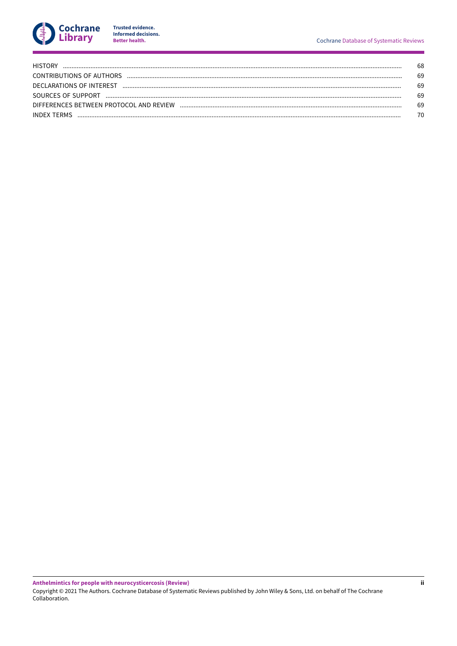

Trusted evidence.<br>Informed decisions.<br>Better health.

| <b>HISTORY</b>                          | 68 |
|-----------------------------------------|----|
| CONTRIBUTIONS OF AUTHORS                | 69 |
| DECLARATIONS OF INTEREST                | 69 |
| SOURCES OF SUPPORT                      | 69 |
| DIFFERENCES BETWEEN PROTOCOL AND REVIEW | 69 |
| <b>INDEX TERMS</b>                      | 70 |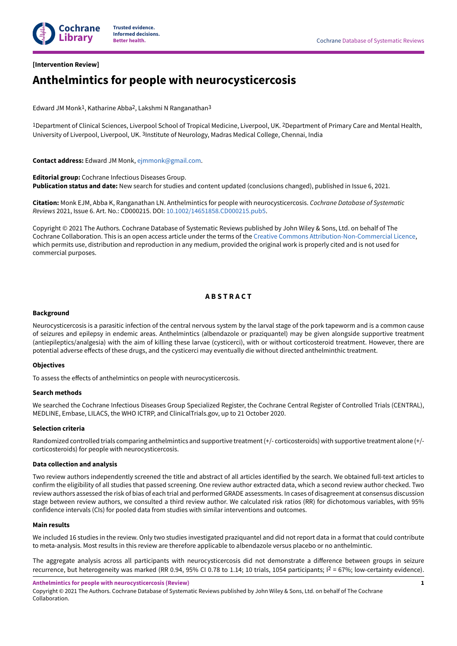

### <span id="page-3-0"></span>**[Intervention Review]**

# **Anthelmintics for people with neurocysticercosis**

Edward JM Monk1, Katharine Abba2, Lakshmi N Ranganathan3

1Department of Clinical Sciences, Liverpool School of Tropical Medicine, Liverpool, UK. 2Department of Primary Care and Mental Health, University of Liverpool, Liverpool, UK. <sup>3</sup>Institute of Neurology, Madras Medical College, Chennai, India

**Contact address:** Edward JM Monk, [ejmmonk@gmail.com.](mailto:ejmmonk@gmail.com)

**Editorial group:** Cochrane Infectious Diseases Group. **Publication status and date:** New search for studies and content updated (conclusions changed), published in Issue 6, 2021.

**Citation:** Monk EJM, Abba K, Ranganathan LN. Anthelmintics for people with neurocysticercosis. *Cochrane Database of Systematic Reviews* 2021, Issue 6. Art. No.: CD000215. DOI: [10.1002/14651858.CD000215.pub5](https://doi.org/10.1002%2F14651858.CD000215.pub5).

Copyright © 2021 The Authors. Cochrane Database of Systematic Reviews published by John Wiley & Sons, Ltd. on behalf of The Cochrane Collaboration. This is an open access article under the terms of the Creative Commons [Attribution-Non-Commercial](https://creativecommons.org/licenses/by-nc/4.0/) Licence, which permits use, distribution and reproduction in any medium, provided the original work is properly cited and is not used for commercial purposes.

## **A B S T R A C T**

#### <span id="page-3-1"></span>**Background**

Neurocysticercosis is a parasitic infection of the central nervous system by the larval stage of the pork tapeworm and is a common cause of seizures and epilepsy in endemic areas. Anthelmintics (albendazole or praziquantel) may be given alongside supportive treatment (antiepileptics/analgesia) with the aim of killing these larvae (cysticerci), with or without corticosteroid treatment. However, there are potential adverse effects of these drugs, and the cysticerci may eventually die without directed anthelminthic treatment.

#### **Objectives**

To assess the effects of anthelmintics on people with neurocysticercosis.

#### **Search methods**

We searched the Cochrane Infectious Diseases Group Specialized Register, the Cochrane Central Register of Controlled Trials (CENTRAL), MEDLINE, Embase, LILACS, the WHO ICTRP, and ClinicalTrials.gov, up to 21 October 2020.

### **Selection criteria**

Randomized controlled trials comparing anthelmintics and supportive treatment(+/- corticosteroids) with supportive treatment alone (+/ corticosteroids) for people with neurocysticercosis.

#### **Data collection and analysis**

Two review authors independently screened the title and abstract of all articles identified by the search. We obtained full-text articles to confirm the eligibility of all studies that passed screening. One review author extracted data, which a second review author checked. Two review authors assessed the risk of bias of each trial and performed GRADE assessments. In cases of disagreement at consensus discussion stage between review authors, we consulted a third review author. We calculated risk ratios (RR) for dichotomous variables, with 95% confidence intervals (CIs) for pooled data from studies with similar interventions and outcomes.

#### **Main results**

We included 16 studies in the review. Only two studies investigated praziquantel and did not report data in a format that could contribute to meta-analysis. Most results in this review are therefore applicable to albendazole versus placebo or no anthelmintic.

The aggregate analysis across all participants with neurocysticercosis did not demonstrate a difference between groups in seizure recurrence, but heterogeneity was marked (RR 0.94, 95% CI 0.78 to 1.14; 10 trials, 1054 participants;  $l^2$  = 67%; low-certainty evidence).

**Anthelmintics for people with neurocysticercosis (Review)**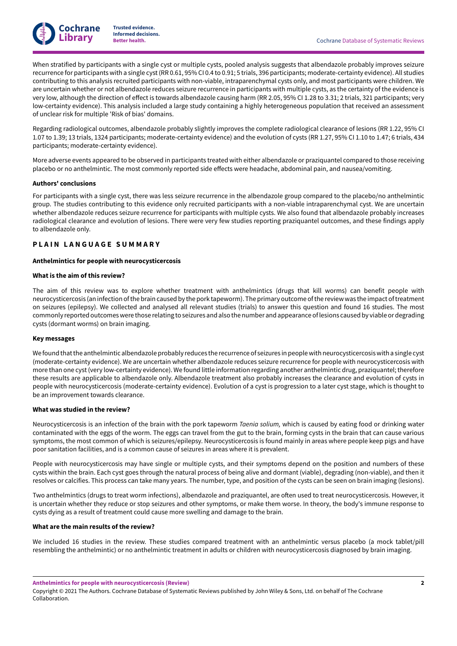

When stratified by participants with a single cyst or multiple cysts, pooled analysis suggests that albendazole probably improves seizure recurrence for participants with a single cyst(RR 0.61, 95% CI 0.4 to 0.91; 5 trials, 396 participants; moderate-certainty evidence). All studies contributing to this analysis recruited participants with non-viable, intraparenchymal cysts only, and most participants were children. We are uncertain whether or not albendazole reduces seizure recurrence in participants with multiple cysts, as the certainty of the evidence is very low, although the direction of effect is towards albendazole causing harm (RR 2.05, 95% CI 1.28 to 3.31; 2 trials, 321 participants; very low-certainty evidence). This analysis included a large study containing a highly heterogeneous population that received an assessment of unclear risk for multiple 'Risk of bias' domains.

Regarding radiological outcomes, albendazole probably slightly improves the complete radiological clearance of lesions (RR 1.22, 95% CI 1.07 to 1.39; 13 trials, 1324 participants; moderate-certainty evidence) and the evolution of cysts (RR 1.27, 95% CI 1.10 to 1.47; 6 trials, 434 participants; moderate-certainty evidence).

More adverse events appeared to be observed in participants treated with either albendazole or praziquantel compared to those receiving placebo or no anthelmintic. The most commonly reported side effects were headache, abdominal pain, and nausea/vomiting.

### **Authors' conclusions**

For participants with a single cyst, there was less seizure recurrence in the albendazole group compared to the placebo/no anthelmintic group. The studies contributing to this evidence only recruited participants with a non-viable intraparenchymal cyst. We are uncertain whether albendazole reduces seizure recurrence for participants with multiple cysts. We also found that albendazole probably increases radiological clearance and evolution of lesions. There were very few studies reporting praziquantel outcomes, and these findings apply to albendazole only.

### <span id="page-4-0"></span>**P L A I N L A N G U A G E S U M M A R Y**

#### **Anthelmintics for people with neurocysticercosis**

#### **What is the aim of this review?**

The aim of this review was to explore whether treatment with anthelmintics (drugs that kill worms) can benefit people with neurocysticercosis (an infection of the brain caused by the pork tapeworm). The primary outcome of the review was the impact of treatment on seizures (epilepsy). We collected and analysed all relevant studies (trials) to answer this question and found 16 studies. The most commonly reported outcomes were those relating to seizures and also the number and appearance of lesions caused by viable or degrading cysts (dormant worms) on brain imaging.

#### **Key messages**

We found that the anthelmintic albendazole probably reduces the recurrence of seizures in people with neurocysticercosis with a single cyst (moderate-certainty evidence). We are uncertain whether albendazole reduces seizure recurrence for people with neurocysticercosis with more than one cyst(very low-certainty evidence). We found little information regarding another anthelmintic drug, praziquantel;therefore these results are applicable to albendazole only. Albendazole treatment also probably increases the clearance and evolution of cysts in people with neurocysticercosis (moderate-certainty evidence). Evolution of a cyst is progression to a later cyst stage, which is thought to be an improvement towards clearance.

### **What was studied in the review?**

Neurocysticercosis is an infection of the brain with the pork tapeworm *Taenia solium,* which is caused by eating food or drinking water contaminated with the eggs of the worm. The eggs can travel from the gut to the brain, forming cysts in the brain that can cause various symptoms, the most common of which is seizures/epilepsy. Neurocysticercosis is found mainly in areas where people keep pigs and have poor sanitation facilities, and is a common cause of seizures in areas where it is prevalent.

People with neurocysticercosis may have single or multiple cysts, and their symptoms depend on the position and numbers of these cysts within the brain. Each cyst goes through the natural process of being alive and dormant (viable), degrading (non-viable), and then it resolves or calcifies. This process can take many years. The number, type, and position of the cysts can be seen on brain imaging (lesions).

Two anthelmintics (drugs to treat worm infections), albendazole and praziquantel, are often used to treat neurocysticercosis. However, it is uncertain whether they reduce or stop seizures and other symptoms, or make them worse. In theory, the body's immune response to cysts dying as a result of treatment could cause more swelling and damage to the brain.

#### **What are the main results of the review?**

We included 16 studies in the review. These studies compared treatment with an anthelmintic versus placebo (a mock tablet/pill resembling the anthelmintic) or no anthelmintic treatment in adults or children with neurocysticercosis diagnosed by brain imaging.

**Anthelmintics for people with neurocysticercosis (Review)**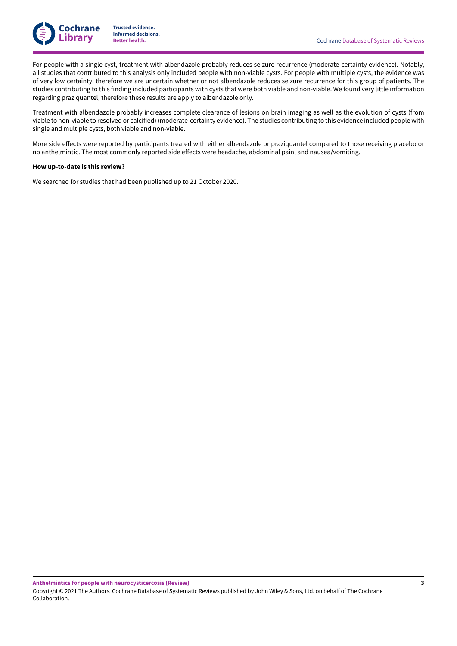

For people with a single cyst, treatment with albendazole probably reduces seizure recurrence (moderate-certainty evidence). Notably, all studies that contributed to this analysis only included people with non-viable cysts. For people with multiple cysts, the evidence was of very low certainty, therefore we are uncertain whether or not albendazole reduces seizure recurrence for this group of patients. The studies contributing to this finding included participants with cysts that were both viable and non-viable. We found very little information regarding praziquantel, therefore these results are apply to albendazole only.

Treatment with albendazole probably increases complete clearance of lesions on brain imaging as well as the evolution of cysts (from viable to non-viable to resolved or calcified) (moderate-certainty evidence). The studies contributing to this evidence included people with single and multiple cysts, both viable and non-viable.

More side effects were reported by participants treated with either albendazole or praziquantel compared to those receiving placebo or no anthelmintic. The most commonly reported side effects were headache, abdominal pain, and nausea/vomiting.

### **How up-to-date is this review?**

We searched for studies that had been published up to 21 October 2020.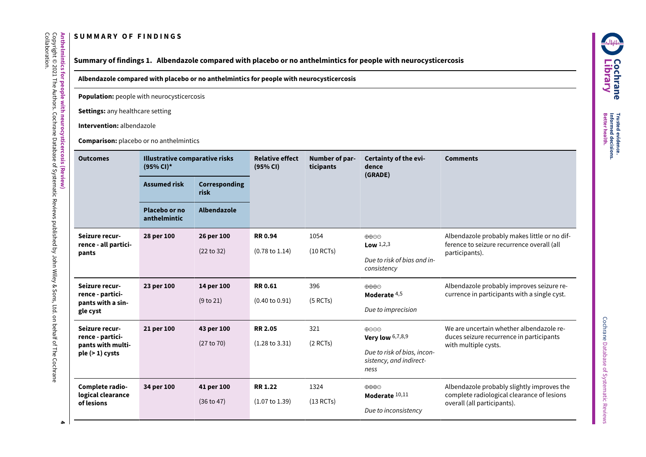# **S U M M A R Y O F F I N D I N G S**

**Anthelmintics**

Copyright © 2021

Collaboration.

The

Authors.

Cochrane

Database

Գ

Systematic

Reviews

<span id="page-6-0"></span>published

<span id="page-6-1"></span>হ John

Wiley & Sons,

Ltd. on behalf <u>ฉ</u> The

Cochrane

**for people**

**with**

**neurocysticercosis**

**(Review)**

# **Summary of findings 1. Albendazole compared with placebo or no anthelmintics for people with neurocysticercosis**

**Albendazole compared with placebo or no anthelmintics for people with neurocysticercosis**

**Population:** people with neurocysticercosis

**Settings:** any healthcare setting

**Intervention:** albendazole

**Comparison:** placebo or no anthelmintics

| <b>Outcomes</b>                                                            | Illustrative comparative risks<br>$(95% CI)^*$ |                          | <b>Relative effect</b><br>(95% CI)          | Number of par-<br>ticipants | Certainty of the evi-<br>dence<br>(GRADE)                                                    | <b>Comments</b>                                                                                                         |
|----------------------------------------------------------------------------|------------------------------------------------|--------------------------|---------------------------------------------|-----------------------------|----------------------------------------------------------------------------------------------|-------------------------------------------------------------------------------------------------------------------------|
|                                                                            | <b>Assumed risk</b>                            | Corresponding<br>risk    |                                             |                             |                                                                                              |                                                                                                                         |
|                                                                            | Placebo or no<br>anthelmintic                  | Albendazole              |                                             |                             |                                                                                              |                                                                                                                         |
| Seizure recur-<br>rence - all partici-<br>pants                            | 28 per 100                                     | 26 per 100<br>(22 to 32) | <b>RR0.94</b><br>$(0.78 \text{ to } 1.14)$  | 1054<br>$(10$ RCTs)         | $\oplus \oplus \ominus$<br><b>Low</b> $1,2,3$<br>Due to risk of bias and in-<br>consistency  | Albendazole probably makes little or no dif-<br>ference to seizure recurrence overall (all<br>participants).            |
| Seizure recur-<br>rence - partici-<br>pants with a sin-<br>gle cyst        | 23 per 100                                     | 14 per 100<br>(9 to 21)  | <b>RR0.61</b><br>$(0.40 \text{ to } 0.91)$  | 396<br>(5 RCTs)             | $\oplus \oplus \oplus$<br>Moderate $4,5$<br>Due to imprecision                               | Albendazole probably improves seizure re-<br>currence in participants with a single cyst.                               |
| Seizure recur-<br>rence - partici-<br>pants with multi-<br>$ple(>1)$ cysts | 21 per 100                                     | 43 per 100<br>(27 to 70) | <b>RR 2.05</b><br>$(1.28 \text{ to } 3.31)$ | 321<br>$(2$ RCTs)           | ⊕⊝⊝⊕<br>Very low $6,7,8,9$<br>Due to risk of bias, incon-<br>sistency, and indirect-<br>ness | We are uncertain whether albendazole re-<br>duces seizure recurrence in participants<br>with multiple cysts.            |
| Complete radio-<br>logical clearance<br>of lesions                         | 34 per 100                                     | 41 per 100<br>(36 to 47) | <b>RR 1.22</b><br>$(1.07 \text{ to } 1.39)$ | 1324<br>$(13$ RCTs)         | $\oplus \oplus \oplus \ominus$<br>Moderate 10,11<br>Due to inconsistency                     | Albendazole probably slightly improves the<br>complete radiological clearance of lesions<br>overall (all participants). |

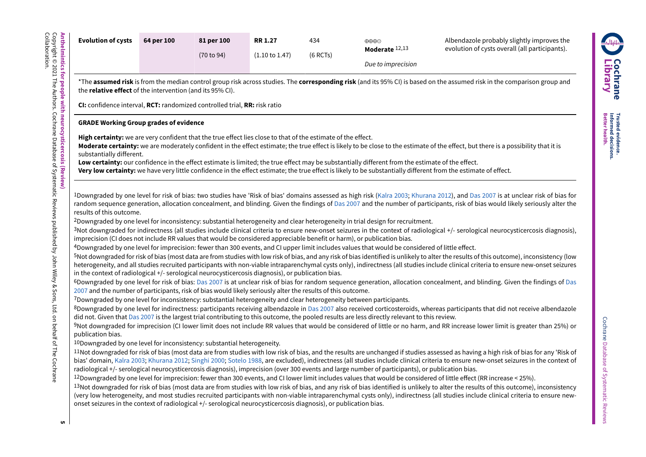| <b>Evolution of cysts</b>                                                                                         | 64 per 100 | 81 per 100<br>(70 to 94)                                                                                                                                                                                                                                                                                 | <b>RR 1.27</b><br>$(1.10 \text{ to } 1.47)$ | 434<br>$(6$ RCTs) | $\oplus \oplus \oplus \ominus$<br>Moderate 12,13                                                                                                                                                                                                                                                                                                                                                                                                                                                                                                                                                                                                                                                                                                                                                                                                                                                                                                                                                       | Albendazole probably slightly improves the<br>evolution of cysts overall (all participants).                                                                                                                                                                                                                                                                                                                                                                                                                                                                                                                                                                                                                                                                                                                                                                                                                                                                                                                                                                                                                                                                                                                                                                                                                                                                                                                                                                                                                                                                                                                                                                                                                                                                                                                                                                                                                                                                                                                                                                                              |
|-------------------------------------------------------------------------------------------------------------------|------------|----------------------------------------------------------------------------------------------------------------------------------------------------------------------------------------------------------------------------------------------------------------------------------------------------------|---------------------------------------------|-------------------|--------------------------------------------------------------------------------------------------------------------------------------------------------------------------------------------------------------------------------------------------------------------------------------------------------------------------------------------------------------------------------------------------------------------------------------------------------------------------------------------------------------------------------------------------------------------------------------------------------------------------------------------------------------------------------------------------------------------------------------------------------------------------------------------------------------------------------------------------------------------------------------------------------------------------------------------------------------------------------------------------------|-------------------------------------------------------------------------------------------------------------------------------------------------------------------------------------------------------------------------------------------------------------------------------------------------------------------------------------------------------------------------------------------------------------------------------------------------------------------------------------------------------------------------------------------------------------------------------------------------------------------------------------------------------------------------------------------------------------------------------------------------------------------------------------------------------------------------------------------------------------------------------------------------------------------------------------------------------------------------------------------------------------------------------------------------------------------------------------------------------------------------------------------------------------------------------------------------------------------------------------------------------------------------------------------------------------------------------------------------------------------------------------------------------------------------------------------------------------------------------------------------------------------------------------------------------------------------------------------------------------------------------------------------------------------------------------------------------------------------------------------------------------------------------------------------------------------------------------------------------------------------------------------------------------------------------------------------------------------------------------------------------------------------------------------------------------------------------------------|
| the <b>relative effect</b> of the intervention (and its 95% CI).<br><b>GRADE Working Group grades of evidence</b> |            | CI: confidence interval, RCT: randomized controlled trial, RR: risk ratio<br>High certainty: we are very confident that the true effect lies close to that of the estimate of the effect.                                                                                                                |                                             |                   | Due to imprecision                                                                                                                                                                                                                                                                                                                                                                                                                                                                                                                                                                                                                                                                                                                                                                                                                                                                                                                                                                                     | *The assumed risk is from the median control group risk across studies. The corresponding risk (and its 95% CI) is based on the assumed risk in the comparison group and<br>Moderate certainty: we are moderately confident in the effect estimate; the true effect is likely to be close to the estimate of the effect, but there is a possibility that it is                                                                                                                                                                                                                                                                                                                                                                                                                                                                                                                                                                                                                                                                                                                                                                                                                                                                                                                                                                                                                                                                                                                                                                                                                                                                                                                                                                                                                                                                                                                                                                                                                                                                                                                            |
| substantially different.<br>results of this outcome.<br>publication bias.                                         |            | in the context of radiological +/- serological neurocysticercosis diagnosis), or publication bias.<br>2007 and the number of participants, risk of bias would likely seriously alter the results of this outcome.<br><sup>10</sup> Downgraded by one level for inconsistency: substantial heterogeneity. |                                             |                   | Low certainty: our confidence in the effect estimate is limited; the true effect may be substantially different from the estimate of the effect.<br><sup>2</sup> Downgraded by one level for inconsistency: substantial heterogeneity and clear heterogeneity in trial design for recruitment.<br>imprecision (CI does not include RR values that would be considered appreciable benefit or harm), or publication bias.<br>4Downgraded by one level for imprecision: fewer than 300 events, and CI upper limit includes values that would be considered of little effect.<br>7Downgraded by one level for inconsistency: substantial heterogeneity and clear heterogeneity between participants.<br>did not. Given that Das 2007 is the largest trial contributing to this outcome, the pooled results are less directly relevant to this review.<br>radiological +/- serological neurocysticercosis diagnosis), imprecision (over 300 events and large number of participants), or publication bias. | Very low certainty: we have very little confidence in the effect estimate; the true effect is likely to be substantially different from the estimate of effect.<br><sup>1</sup> Downgraded by one level for risk of bias: two studies have 'Risk of bias' domains assessed as high risk (Kalra 2003; Khurana 2012), and Das 2007 is at unclear risk of bias for<br>random sequence generation, allocation concealment, and blinding. Given the findings of Das 2007 and the number of participants, risk of bias would likely seriously alter the<br><sup>3</sup> Not downgraded for indirectness (all studies include clinical criteria to ensure new-onset seizures in the context of radiological +/- serological neurocysticercosis diagnosis),<br>5Not downgraded for risk of bias (most data are from studies with low risk of bias, and any risk of bias identified is unlikely to alter the results of this outcome), inconsistency (low<br>heterogeneity, and all studies recruited participants with non-viable intraparenchymal cysts only), indirectness (all studies include clinical criteria to ensure new-onset seizures<br>6Downgraded by one level for risk of bias: Das 2007 is at unclear risk of bias for random sequence generation, allocation concealment, and blinding. Given the findings of Das<br>8Downgraded by one level for indirectness: participants receiving albendazole in Das 2007 also received corticosteroids, whereas participants that did not receive albendazole<br>9Not downgraded for imprecision (CI lower limit does not include RR values that would be considered of little or no harm, and RR increase lower limit is greater than 25%) or<br><sup>11</sup> Not downgraded for risk of bias (most data are from studies with low risk of bias, and the results are unchanged if studies assessed as having a high risk of bias for any 'Risk of<br>bias' domain, Kalra 2003; Khurana 2012; Singhi 2000; Sotelo 1988, are excluded), indirectness (all studies include clinical criteria to ensure new-onset seizures in the context of |
| onset seizures in the context of radiological +/- serological neurocysticercosis diagnosis), or publication bias. |            |                                                                                                                                                                                                                                                                                                          |                                             |                   |                                                                                                                                                                                                                                                                                                                                                                                                                                                                                                                                                                                                                                                                                                                                                                                                                                                                                                                                                                                                        | 12Downgraded by one level for imprecision: fewer than 300 events, and CI lower limit includes values that would be considered of little effect (RR increase < 25%).<br>13Not downgraded for risk of bias (most data are from studies with low risk of bias, and any risk of bias identified is unlikely to alter the results of this outcome), inconsistency<br>(very low heterogeneity, and most studies recruited participants with non-viable intraparenchymal cysts only), indirectness (all studies include clinical criteria to ensure new-                                                                                                                                                                                                                                                                                                                                                                                                                                                                                                                                                                                                                                                                                                                                                                                                                                                                                                                                                                                                                                                                                                                                                                                                                                                                                                                                                                                                                                                                                                                                         |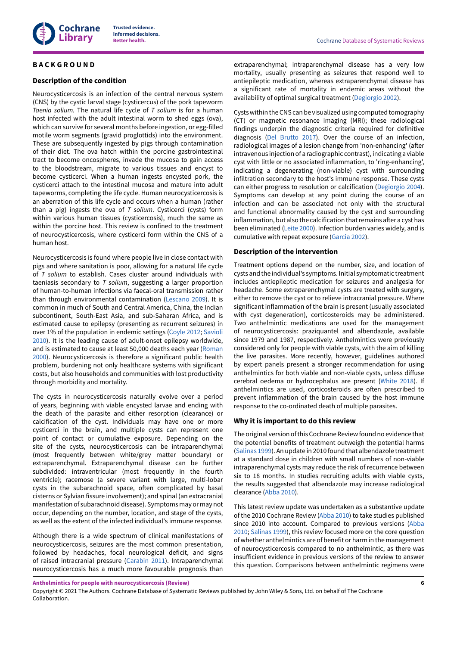

### <span id="page-8-0"></span>**B A C K G R O U N D**

### **Description of the condition**

Neurocysticercosis is an infection of the central nervous system (CNS) by the cystic larval stage (cysticercus) of the pork tapeworm *Taenia solium.* The natural life cycle of *T solium* is for a human host infected with the adult intestinal worm to shed eggs (ova), which can survive for several months before ingestion, or egg-filled motile worm segments (gravid proglottids) into the environment. These are subsequently ingested by pigs through contamination of their diet. The ova hatch within the porcine gastrointestinal tract to become oncospheres, invade the mucosa to gain access to the bloodstream, migrate to various tissues and encyst to become cysticerci. When a human ingests encysted pork, the cysticerci attach to the intestinal mucosa and mature into adult tapeworms, completing the life cycle. Human neurocysticercosis is an aberration of this life cycle and occurs when a human (rather than a pig) ingests the ova of *T solium*. Cysticerci (cysts) form within various human tissues (cysticercosis), much the same as within the porcine host. This review is confined to the treatment of neurocysticercosis, where cysticerci form within the CNS of a human host.

Neurocysticercosis is found where people live in close contact with pigs and where sanitation is poor, allowing for a natural life cycle of *T solium* to establish. Cases cluster around individuals with taeniasis secondary to *T solium*, suggesting a larger proportion of human-to-human infections via faecal-oral transmission rather than through environmental contamination ([Lescano](#page-31-0) 2009). It is common in much of South and Central America, China, the Indian subcontinent, South-East Asia, and sub-Saharan Africa, and is estimated cause to epilepsy (presenting as recurrent seizures) in over 1% of the population in endemic settings [\(Coyle](#page-31-1) 2012; [Savioli](#page-31-2) [2010](#page-31-2)). It is the leading cause of adult-onset epilepsy worldwide, and is estimated to cause at least 50,000 deaths each year ([Roman](#page-31-3) [2000](#page-31-3)). Neurocysticercosis is therefore a significant public health problem, burdening not only healthcare systems with significant costs, but also households and communities with lost productivity through morbidity and mortality.

The cysts in neurocysticercosis naturally evolve over a period of years, beginning with viable encysted larvae and ending with the death of the parasite and either resorption (clearance) or calcification of the cyst. Individuals may have one or more cysticerci in the brain, and multiple cysts can represent one point of contact or cumulative exposure. Depending on the site of the cysts, neurocysticercosis can be intraparenchymal (most frequently between white/grey matter boundary) or extraparenchymal. Extraparenchymal disease can be further subdivided: intraventricular (most frequently in the fourth ventricle); racemose (a severe variant with large, multi-lobar cysts in the subarachnoid space, often complicated by basal cisterns or Sylvian fissure involvement); and spinal (an extracranial manifestation of subarachnoid disease). Symptoms may or may not occur, depending on the number, location, and stage of the cysts, as well as the extent of the infected individual's immune response.

Although there is a wide spectrum of clinical manifestations of neurocysticercosis, seizures are the most common presentation, followed by headaches, focal neurological deficit, and signs of raised intracranial pressure ([Carabin](#page-31-4) 2011). Intraparenchymal neurocysticercosis has a much more favourable prognosis than

extraparenchymal; intraparenchymal disease has a very low mortality, usually presenting as seizures that respond well to antiepileptic medication, whereas extraparenchymal disease has a significant rate of mortality in endemic areas without the availability of optimal surgical treatment [\(Degiorgio](#page-31-5) 2002).

Cystswithin theCNS can be visualized using computed tomography (CT) or magnetic resonance imaging (MRI); these radiological findings underpin the diagnostic criteria required for definitive diagnosis (Del [Brutto](#page-31-6) 2017). Over the course of an infection, radiological images of a lesion change from 'non-enhancing' (after intravenous injection of a radiographic contrast), indicating a viable cyst with little or no associated inflammation, to 'ring-enhancing', indicating a degenerating (non-viable) cyst with surrounding infiltration secondary to the host's immune response. These cysts can either progress to resolution or calcification [\(Degiorgio](#page-31-7) 2004). Symptoms can develop at any point during the course of an infection and can be associated not only with the structural and functional abnormality caused by the cyst and surrounding inflammation, but also the calcification that remains after a cyst has been eliminated [\(Leite](#page-31-8) 2000). Infection burden varies widely, and is cumulative with repeat exposure [\(Garcia](#page-31-9) 2002).

### **Description of the intervention**

Treatment options depend on the number, size, and location of cysts and the individual's symptoms. Initial symptomatic treatment includes antiepileptic medication for seizures and analgesia for headache. Some extraparenchymal cysts are treated with surgery, either to remove the cyst or to relieve intracranial pressure. Where significant inflammation of the brain is present (usually associated with cyst degeneration), corticosteroids may be administered. Two anthelmintic medications are used for the management of neurocysticercosis: praziquantel and albendazole, available since 1979 and 1987, respectively. Anthelmintics were previously considered only for people with viable cysts, with the aim of killing the live parasites. More recently, however, guidelines authored by expert panels present a stronger recommendation for using anthelmintics for both viable and non-viable cysts, unless diffuse cerebral oedema or hydrocephalus are present ([White](#page-32-1) 2018). If anthelmintics are used, corticosteroids are often prescribed to prevent inflammation of the brain caused by the host immune response to the co-ordinated death of multiple parasites.

#### **Why it is important to do this review**

The original version of this Cochrane Review found no evidence that the potential benefits of treatment outweigh the potential harms [\(Salinas 1999\)](#page-32-2). An update in 2010 found that albendazole treatment at a standard dose in children with small numbers of non-viable intraparenchymal cysts may reduce the risk of recurrence between six to 18 months. In studies recruiting adults with viable cysts, the results suggested that albendazole may increase radiological clearance [\(Abba](#page-32-3) 2010).

This latest review update was undertaken as a substantive update of the 2010 Cochrane Review [\(Abba](#page-32-3) 2010) to take studies published since 2010 into account. Compared to previous versions [\(Abba](#page-32-3) [2010;](#page-32-3) [Salinas 1999](#page-32-2)), this review focused more on the core question of whether anthelmintics are of benefit or harm in the management of neurocysticercosis compared to no anthelmintic, as there was insufficient evidence in previous versions of the review to answer this question. Comparisons between anthelmintic regimens were

Copyright © 2021 The Authors. Cochrane Database of Systematic Reviews published by John Wiley & Sons, Ltd. on behalf of The Cochrane Collaboration.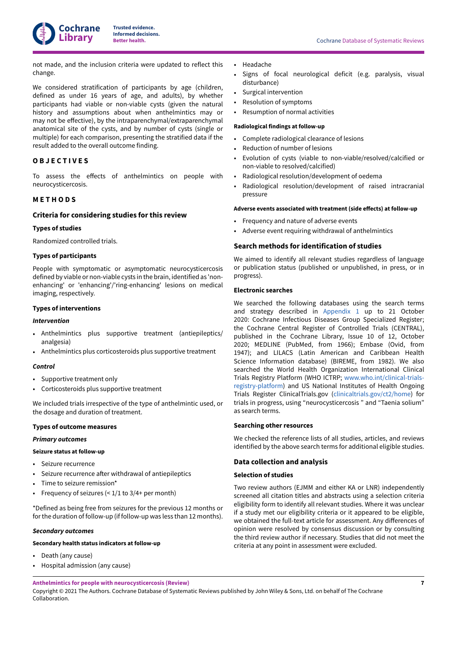

not made, and the inclusion criteria were updated to reflect this change.

We considered stratification of participants by age (children, defined as under 16 years of age, and adults), by whether participants had viable or non-viable cysts (given the natural history and assumptions about when anthelmintics may or may not be effective), by the intraparenchymal/extraparenchymal anatomical site of the cysts, and by number of cysts (single or multiple) for each comparison, presenting the stratified data if the result added to the overall outcome finding.

### <span id="page-9-0"></span>**O B J E C T I V E S**

To assess the effects of anthelmintics on people with neurocysticercosis.

### <span id="page-9-1"></span>**M E T H O D S**

#### **Criteria for considering studies for this review**

#### **Types of studies**

Randomized controlled trials.

### **Types of participants**

People with symptomatic or asymptomatic neurocysticercosis defined by viable or non-viable cysts in the brain, identified as 'nonenhancing' or 'enhancing'/'ring-enhancing' lesions on medical imaging, respectively.

### **Types of interventions**

#### *Intervention*

- Anthelmintics plus supportive treatment (antiepileptics/ analgesia)
- Anthelmintics plus corticosteroids plus supportive treatment

### *Control*

- Supportive treatment only
- Corticosteroids plus supportive treatment

We included trials irrespective of the type of anthelmintic used, or the dosage and duration of treatment.

#### **Types of outcome measures**

### *Primary outcomes*

#### **Seizure status at follow-up**

- Seizure recurrence
- Seizure recurrence after withdrawal of antiepileptics
- Time to seizure remission\*
- Frequency of seizures  $( $1/1$  to  $3/4+$  per month)$

\*Defined as being free from seizures for the previous 12 months or forthe duration of follow-up (if follow-up was less than 12 months).

#### *Secondary outcomes*

### **Secondary health status indicators at follow-up**

- Death (any cause)
- Hospital admission (any cause)

#### • Headache

- Signs of focal neurological deficit (e.g. paralysis, visual disturbance)
- Surgical intervention
- Resolution of symptoms
- Resumption of normal activities

#### **Radiological findings at follow-up**

- Complete radiological clearance of lesions
- Reduction of number of lesions
- Evolution of cysts (viable to non-viable/resolved/calcified or non-viable to resolved/calcified)
- Radiological resolution/development of oedema
- Radiological resolution/development of raised intracranial pressure

#### **Adverse events associated with treatment (side e@ects) at follow-up**

- Frequency and nature of adverse events
- Adverse event requiring withdrawal of anthelmintics

#### **Search methods for identification of studies**

We aimed to identify all relevant studies regardless of language or publication status (published or unpublished, in press, or in progress).

#### **Electronic searches**

We searched the following databases using the search terms and strategy described in [Appendix 1](#page-67-1) up to 21 October 2020: Cochrane Infectious Diseases Group Specialized Register; the Cochrane Central Register of Controlled Trials (CENTRAL), published in the Cochrane Library, Issue 10 of 12, October 2020; MEDLINE (PubMed, from 1966); Embase (Ovid, from 1947); and LILACS (Latin American and Caribbean Health Science Information database) (BIREME, from 1982). We also searched the World Health Organization International Clinical Trials Registry Platform (WHO ICTRP; [www.who.int/clinical-trials](https://www.who.int/clinical-trials-registry-platform)[registry-platform\)](https://www.who.int/clinical-trials-registry-platform) and US National Institutes of Health Ongoing Trials Register ClinicalTrials.gov ([clinicaltrials.gov/ct2/home](https://clinicaltrials.gov/ct2/home)) for trials in progress, using "neurocysticercosis " and "Taenia solium" as search terms.

#### **Searching other resources**

We checked the reference lists of all studies, articles, and reviews identified by the above search terms for additional eligible studies.

### **Data collection and analysis**

#### **Selection of studies**

Two review authors (EJMM and either KA or LNR) independently screened all citation titles and abstracts using a selection criteria eligibility form to identify all relevant studies. Where it was unclear if a study met our eligibility criteria or it appeared to be eligible, we obtained the full-text article for assessment. Any differences of opinion were resolved by consensus discussion or by consulting the third review author if necessary. Studies that did not meet the criteria at any point in assessment were excluded.

**Anthelmintics for people with neurocysticercosis (Review)** Copyright © 2021 The Authors. Cochrane Database of Systematic Reviews published by John Wiley & Sons, Ltd. on behalf of The Cochrane Collaboration.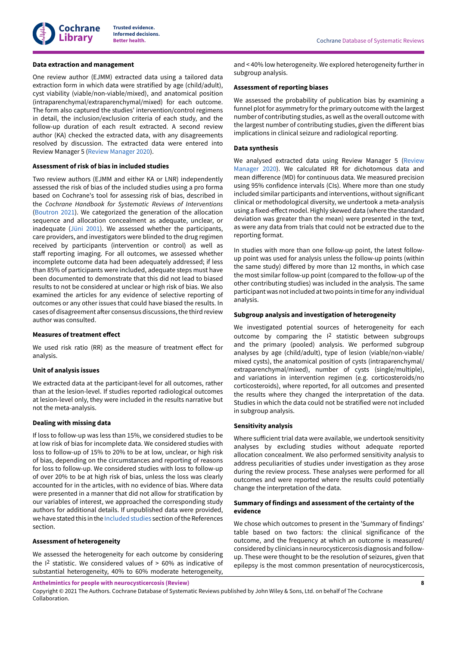

#### **Data extraction and management**

One review author (EJMM) extracted data using a tailored data extraction form in which data were stratified by age (child/adult), cyst viability (viable/non-viable/mixed), and anatomical position (intraparenchymal/extraparenchymal/mixed) for each outcome. The form also captured the studies' intervention/control regimens in detail, the inclusion/exclusion criteria of each study, and the follow-up duration of each result extracted. A second review author (KA) checked the extracted data, with any disagreements resolved by discussion. The extracted data were entered into Review Manager 5 (Review [Manager](#page-31-10) 2020).

### **Assessment of risk of bias in included studies**

Two review authors (EJMM and either KA or LNR) independently assessed the risk of bias of the included studies using a pro forma based on Cochrane's tool for assessing risk of bias, described in the *Cochrane Handbook for Systematic Reviews of Interventions* [\(Boutron](#page-31-11) 2021). We categorized the generation of the allocation sequence and allocation concealment as adequate, unclear, or inadequate [\(Jüni 2001](#page-31-12)). We assessed whether the participants, care providers, and investigators were blinded to the drug regimen received by participants (intervention or control) as well as staff reporting imaging. For all outcomes, we assessed whether incomplete outcome data had been adequately addressed; if less than 85% of participants were included, adequate steps must have been documented to demonstrate that this did not lead to biased results to not be considered at unclear or high risk of bias. We also examined the articles for any evidence of selective reporting of outcomes or any other issues that could have biased the results. In cases of disagreement after consensus discussions, the third review author was consulted.

### **Measures** of treatment effect

We used risk ratio (RR) as the measure of treatment effect for analysis.

#### **Unit of analysis issues**

We extracted data at the participant-level for all outcomes, rather than at the lesion-level. If studies reported radiological outcomes at lesion-level only, they were included in the results narrative but not the meta-analysis.

#### **Dealing with missing data**

If loss to follow-up was less than 15%, we considered studies to be at low risk of bias for incomplete data. We considered studies with loss to follow-up of 15% to 20% to be at low, unclear, or high risk of bias, depending on the circumstances and reporting of reasons for loss to follow-up. We considered studies with loss to follow-up of over 20% to be at high risk of bias, unless the loss was clearly accounted for in the articles, with no evidence of bias. Where data were presented in a manner that did not allow for stratification by our variables of interest, we approached the corresponding study authors for additional details. If unpublished data were provided, we have stated this in the [Included](#page-29-4) studies section of the References section.

#### **Assessment of heterogeneity**

We assessed the heterogeneity for each outcome by considering the  $12$  statistic. We considered values of  $> 60\%$  as indicative of substantial heterogeneity, 40% to 60% moderate heterogeneity,

and < 40% low heterogeneity. We explored heterogeneity further in subgroup analysis.

#### **Assessment of reporting biases**

We assessed the probability of publication bias by examining a funnel plot for asymmetry for the primary outcome with the largest number of contributing studies, as well as the overall outcome with the largest number of contributing studies, given the different bias implications in clinical seizure and radiological reporting.

#### **Data synthesis**

We analysed extracted data using Review Manager 5 ([Review](#page-31-10) [Manager](#page-31-10) 2020). We calculated RR for dichotomous data and mean difference (MD) for continuous data. We measured precision using 95% confidence intervals (CIs). Where more than one study included similar participants and interventions, without significant clinical or methodological diversity, we undertook a meta-analysis using a fixed-effect model. Highly skewed data (where the standard deviation was greater than the mean) were presented in the text, as were any data from trials that could not be extracted due to the reporting format.

In studies with more than one follow-up point, the latest followup point was used for analysis unless the follow-up points (within the same study) differed by more than 12 months, in which case the most similar follow-up point (compared to the follow-up of the other contributing studies) was included in the analysis. The same participant was notincluded attwo points in time for any individual analysis.

#### **Subgroup analysis and investigation of heterogeneity**

We investigated potential sources of heterogeneity for each outcome by comparing the I 2 statistic between subgroups and the primary (pooled) analysis. We performed subgroup analyses by age (child/adult), type of lesion (viable/non-viable/ mixed cysts), the anatomical position of cysts (intraparenchymal/ extraparenchymal/mixed), number of cysts (single/multiple), and variations in intervention regimen (e.g. corticosteroids/no corticosteroids), where reported, for all outcomes and presented the results where they changed the interpretation of the data. Studies in which the data could not be stratified were not included in subgroup analysis.

#### **Sensitivity analysis**

Where sufficient trial data were available, we undertook sensitivity analyses by excluding studies without adequate reported allocation concealment. We also performed sensitivity analysis to address peculiarities of studies under investigation as they arose during the review process. These analyses were performed for all outcomes and were reported where the results could potentially change the interpretation of the data.

### **Summary of findings and assessment of the certainty of the evidence**

We chose which outcomes to present in the 'Summary of findings' table based on two factors: the clinical significance of the outcome, and the frequency at which an outcome is measured/ considered by clinicians in neurocysticercosis diagnosis and followup. These were thought to be the resolution of seizures, given that epilepsy is the most common presentation of neurocysticercosis,

**Anthelmintics for people with neurocysticercosis (Review)**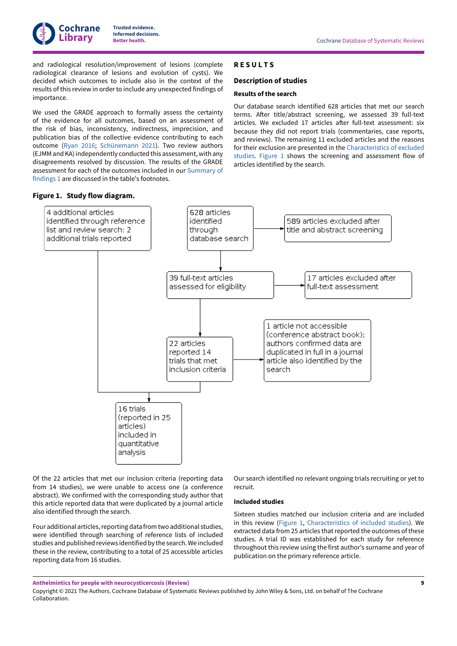

and radiological resolution/improvement of lesions (complete radiological clearance of lesions and evolution of cysts). We decided which outcomes to include also in the context of the results of this review in order to include any unexpected findings of importance.

We used the GRADE approach to formally assess the certainty of the evidence for all outcomes, based on an assessment of the risk of bias, inconsistency, indirectness, imprecision, and publication bias of the collective evidence contributing to each outcome [\(Ryan](#page-31-13) 2016; [Schünemann 2021\)](#page-31-14). Two review authors (EJMM and KA) independently conducted this assessment, with any disagreements resolved by discussion. The results of the GRADE assessment for each of the outcomes included in our [Summary](#page-6-1) of [findings 1](#page-6-1) are discussed in the table's footnotes.

#### <span id="page-11-1"></span>**Figure 1. Study flow diagram.**

### <span id="page-11-0"></span>**R E S U L T S**

#### **Description of studies**

#### **Results of the search**

Our database search identified 628 articles that met our search terms. After title/abstract screening, we assessed 39 full-text articles. We excluded 17 articles after full-text assessment: six because they did not report trials (commentaries, case reports, and reviews). The remaining 11 excluded articles and the reasons for their exclusion are presented in the [Characteristics](#page-50-0) of excluded [studies.](#page-50-0) [Figure](#page-11-1) 1 shows the screening and assessment flow of articles identified by the search.



Of the 22 articles that met our inclusion criteria (reporting data from 14 studies), we were unable to access one (a conference abstract). We confirmed with the corresponding study author that this article reported data that were duplicated by a journal article also identified through the search.

Four additional articles, reporting data from two additional studies, were identified through searching of reference lists of included studies and published reviews identified by the search.We included these in the review, contributing to a total of 25 accessible articles reporting data from 16 studies.

Our search identified no relevant ongoing trials recruiting or yet to recruit.

#### **Included studies**

Sixteen studies matched our inclusion criteria and are included in this review [\(Figure](#page-11-1) 1, [Characteristics](#page-32-4) of included studies). We extracted data from 25 articles that reported the outcomes of these studies. A trial ID was established for each study for reference throughout this review using the first author's surname and year of publication on the primary reference article.

**Anthelmintics for people with neurocysticercosis (Review)**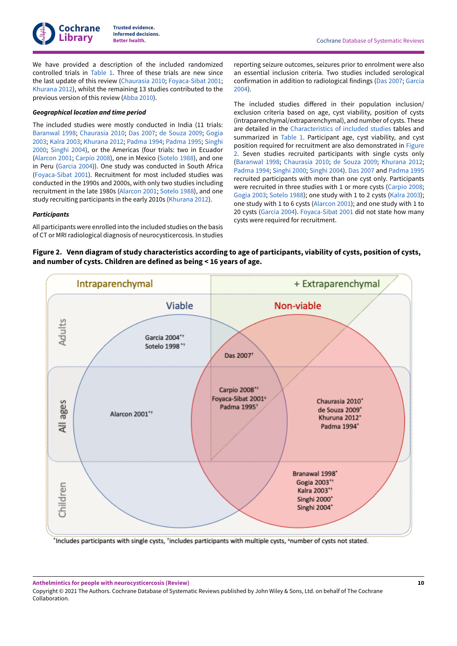We have provided a description of the included randomized controlled trials in [Table](#page-61-1) 1. Three of these trials are new since the last update of this review ([Chaurasia](#page-29-5) 2010; [Foyaca-Sibat](#page-29-6) 2001; [Khurana](#page-29-7) 2012), whilst the remaining 13 studies contributed to the previous version of this review ([Abba](#page-32-3) 2010).

### *Geographical location and time period*

The included studies were mostly conducted in India (11 trials: [Baranwal](#page-29-8) 1998; [Chaurasia](#page-29-5) 2010; [Das 2007](#page-29-9); de [Souza](#page-29-10) 2009; [Gogia](#page-29-11) [2003](#page-29-11); [Kalra](#page-29-12) 2003; [Khurana](#page-29-7) 2012; [Padma](#page-30-2) 1994; [Padma](#page-30-3) 1995; [Singhi](#page-30-4) [2000](#page-30-4); [Singhi 2004](#page-30-5)), or the Americas (four trials: two in Ecuador [\(Alarcon](#page-29-13) 2001; [Carpio 2008\)](#page-29-14), one in Mexico ([Sotelo](#page-30-6) 1988), and one in Peru ([Garcia](#page-29-15) 2004)). One study was conducted in South Africa [\(Foyaca-Sibat](#page-29-6) 2001). Recruitment for most included studies was conducted in the 1990s and 2000s, with only two studies including recruitment in the late 1980s ([Alarcon](#page-29-13) 2001; [Sotelo](#page-30-6) 1988), and one study recruiting participants in the early 2010s ([Khurana](#page-29-7) 2012).

### *Participants*

All participants were enrolled into the included studies on the basis of CT or MRI radiological diagnosis of neurocysticercosis. In studies

reporting seizure outcomes, seizures prior to enrolment were also an essential inclusion criteria. Two studies included serological confirmation in addition to radiological findings [\(Das 2007](#page-29-9); [Garcia](#page-29-15) [2004\)](#page-29-15).

The included studies differed in their population inclusion/ exclusion criteria based on age, cyst viability, position of cysts (intraparenchymal/extraparenchymal), and number of cysts. These are detailed in the [Characteristics](#page-32-4) of included studies tables and summarized in [Table](#page-61-1) 1. Participant age, cyst viability, and cyst position required for recruitment are also demonstrated in [Figure](#page-12-0) [2](#page-12-0). Seven studies recruited participants with single cysts only [\(Baranwal](#page-29-8) 1998; [Chaurasia](#page-29-5) 2010; de [Souza](#page-29-10) 2009; [Khurana](#page-29-7) 2012; [Padma](#page-30-2) 1994; [Singhi 2000;](#page-30-4) [Singhi 2004\)](#page-30-5). [Das 2007](#page-29-9) and [Padma](#page-30-3) 1995 recruited participants with more than one cyst only. Participants were recruited in three studies with 1 or more cysts [\(Carpio 2008;](#page-29-14) [Gogia 2003;](#page-29-11) [Sotelo](#page-30-6) 1988); one study with 1 to 2 cysts [\(Kalra](#page-29-12) 2003); one study with 1 to 6 cysts ([Alarcon](#page-29-13) 2001); and one study with 1 to 20 cysts ([Garcia](#page-29-15) 2004). [Foyaca-Sibat](#page-29-6) 2001 did not state how many cysts were required for recruitment.

<span id="page-12-0"></span>



'Includes participants with single cysts, 'includes participants with multiple cysts, "number of cysts not stated.

Copyright © 2021 The Authors. Cochrane Database of Systematic Reviews published by John Wiley & Sons, Ltd. on behalf of The Cochrane Collaboration.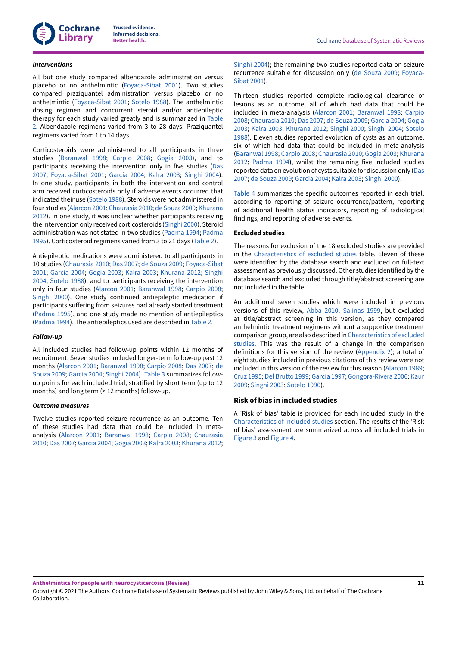

#### *Interventions*

All but one study compared albendazole administration versus placebo or no anthelmintic [\(Foyaca-Sibat](#page-29-6) 2001). Two studies compared praziquantel administration versus placebo or no anthelmintic ([Foyaca-Sibat](#page-29-6) 2001; [Sotelo](#page-30-6) 1988). The anthelmintic dosing regimen and concurrent steroid and/or antiepileptic therapy for each study varied greatly and is summarized in [Table](#page-63-0) [2.](#page-63-0) Albendazole regimens varied from 3 to 28 days. Praziquantel regimens varied from 1 to 14 days.

Corticosteroids were administered to all participants in three studies ([Baranwal](#page-29-8) 1998; [Carpio 2008](#page-29-14); [Gogia 2003\)](#page-29-11), and to participants receiving the intervention only in five studies ([Das](#page-29-9) [2007](#page-29-9); [Foyaca-Sibat](#page-29-6) 2001; [Garcia](#page-29-15) 2004; [Kalra](#page-29-12) 2003; [Singhi 2004\)](#page-30-5). In one study, participants in both the intervention and control arm received corticosteroids only if adverse events occurred that indicated their use ([Sotelo](#page-30-6) 1988). Steroids were not administered in four studies [\(Alarcon](#page-29-13) 2001; [Chaurasia](#page-29-5) 2010; de [Souza](#page-29-10) 2009; [Khurana](#page-29-7) [2012](#page-29-7)). In one study, it was unclear whether participants receiving the intervention only received corticosteroids [\(Singhi 2000](#page-30-4)). Steroid administration was not stated in two studies ([Padma](#page-30-2) 1994; [Padma](#page-30-3) [1995](#page-30-3)). Corticosteroid regimens varied from 3 to 21 days [\(Table](#page-63-0) 2).

Antiepileptic medications were administered to all participants in 10 studies ([Chaurasia](#page-29-5) 2010; [Das 2007;](#page-29-9) de [Souza](#page-29-10) 2009; [Foyaca-Sibat](#page-29-6) [2001](#page-29-6); [Garcia](#page-29-15) 2004; [Gogia 2003](#page-29-11); [Kalra](#page-29-12) 2003; [Khurana](#page-29-7) 2012; [Singhi](#page-30-5) [2004](#page-30-5); [Sotelo](#page-30-6) 1988), and to participants receiving the intervention only in four studies ([Alarcon](#page-29-13) 2001; [Baranwal](#page-29-8) 1998; [Carpio 2008](#page-29-14); [Singhi 2000\)](#page-30-4). One study continued antiepileptic medication if participants suffering from seizures had already started treatment [\(Padma](#page-30-3) 1995), and one study made no mention of antiepileptics [\(Padma](#page-30-2) 1994). The antiepileptics used are described in [Table](#page-63-0) 2.

#### *Follow-up*

All included studies had follow-up points within 12 months of recruitment. Seven studies included longer-term follow-up past 12 months ([Alarcon](#page-29-13) 2001; [Baranwal](#page-29-8) 1998; [Carpio 2008;](#page-29-14) [Das 2007](#page-29-9); [de](#page-29-10) [Souza](#page-29-10) 2009; [Garcia](#page-29-15) 2004; [Singhi 2004](#page-30-5)). [Table](#page-64-0) 3 summarizes followup points for each included trial, stratified by short term (up to 12 months) and long term (> 12 months) follow-up.

#### *Outcome measures*

Twelve studies reported seizure recurrence as an outcome. Ten of these studies had data that could be included in metaanalysis ([Alarcon](#page-29-13) 2001; [Baranwal](#page-29-8) 1998; [Carpio 2008;](#page-29-14) [Chaurasia](#page-29-5) [2010](#page-29-5); [Das 2007;](#page-29-9) [Garcia](#page-29-15) 2004; [Gogia 2003](#page-29-11); [Kalra](#page-29-12) 2003; [Khurana](#page-29-7) 2012; [Singhi 2004\)](#page-30-5); the remaining two studies reported data on seizure recurrence suitable for discussion only (de [Souza](#page-29-10) 2009; [Foyaca-](#page-29-6)[Sibat](#page-29-6) 2001).

Thirteen studies reported complete radiological clearance of lesions as an outcome, all of which had data that could be included in meta-analysis [\(Alarcon](#page-29-13) 2001; [Baranwal](#page-29-8) 1998; [Carpio](#page-29-14) [2008;](#page-29-14) [Chaurasia](#page-29-5) 2010; [Das 2007](#page-29-9); de [Souza](#page-29-10) 2009; [Garcia](#page-29-15) 2004; [Gogia](#page-29-11) [2003;](#page-29-11) [Kalra](#page-29-12) 2003; [Khurana](#page-29-7) 2012; [Singhi 2000](#page-30-4); [Singhi 2004;](#page-30-5) [Sotelo](#page-30-6) [1988\)](#page-30-6). Eleven studies reported evolution of cysts as an outcome, six of which had data that could be included in meta-analysis [\(Baranwal](#page-29-8) 1998; [Carpio 2008;](#page-29-14) [Chaurasia](#page-29-5) 2010; [Gogia 2003;](#page-29-11) [Khurana](#page-29-7) [2012;](#page-29-7) [Padma](#page-30-2) 1994), whilst the remaining five included studies reported data on evolution of cysts suitable for discussion only ([Das](#page-29-9) [2007;](#page-29-9) de [Souza](#page-29-10) 2009; [Garcia](#page-29-15) 2004; [Kalra](#page-29-12) 2003; [Singhi 2000\)](#page-30-4).

[Table](#page-66-0) 4 summarizes the specific outcomes reported in each trial, according to reporting of seizure occurrence/pattern, reporting of additional health status indicators, reporting of radiological findings, and reporting of adverse events.

#### **Excluded studies**

The reasons for exclusion of the 18 excluded studies are provided in the [Characteristics](#page-50-0) of excluded studies table. Eleven of these were identified by the database search and excluded on full-text assessment as previously discussed.Other studies identified by the database search and excluded through title/abstract screening are not included in the table.

An additional seven studies which were included in previous versions of this review, [Abba](#page-32-3) 2010; [Salinas 1999,](#page-32-2) but excluded at title/abstract screening in this version, as they compared anthelmintic treatment regimens without a supportive treatment comparison group, are also described in[Characteristics](#page-50-0) of excluded [studies.](#page-50-0) This was the result of a change in the comparison definitions for this version of the review [\(Appendix 2](#page-69-0)); a total of eight studies included in previous citations of this review were not included in this version of the review for this reason [\(Alarcon](#page-30-7) 1989; [Cruz 1995](#page-30-8); Del [Brutto](#page-30-9) 1999; [Garcia](#page-30-10) 1997; [Gongora-Rivera](#page-30-11) 2006; [Kaur](#page-30-12) [2009;](#page-30-12) [Singhi 2003;](#page-31-15) [Sotelo](#page-31-16) 1990).

### **Risk of bias in included studies**

A 'Risk of bias' table is provided for each included study in the [Characteristics](#page-32-4) of included studies section. The results of the 'Risk of bias' assessment are summarized across all included trials in [Figure](#page-14-0) 3 and [Figure](#page-15-0) 4.

Copyright © 2021 The Authors. Cochrane Database of Systematic Reviews published by John Wiley & Sons, Ltd. on behalf of The Cochrane Collaboration.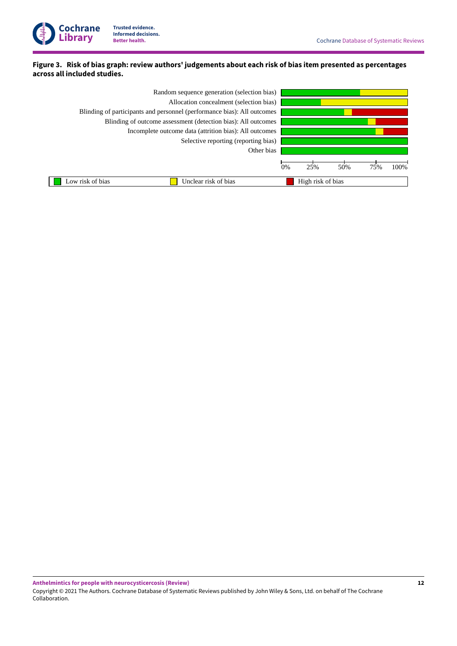

### <span id="page-14-0"></span>Figure 3. Risk of bias graph: review authors' judgements about each risk of bias item presented as percentages **across all included studies.**

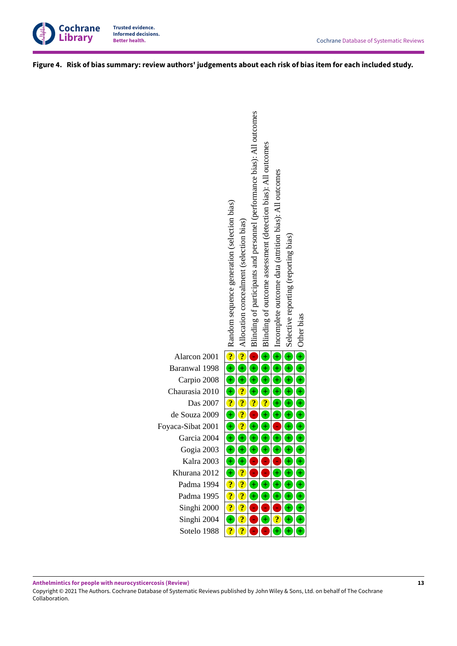

<span id="page-15-0"></span>Figure 4. Risk of bias summary: review authors' judgements about each risk of bias item for each included study.



Copyright © 2021 The Authors. Cochrane Database of Systematic Reviews published by John Wiley & Sons, Ltd. on behalf of The Cochrane Collaboration.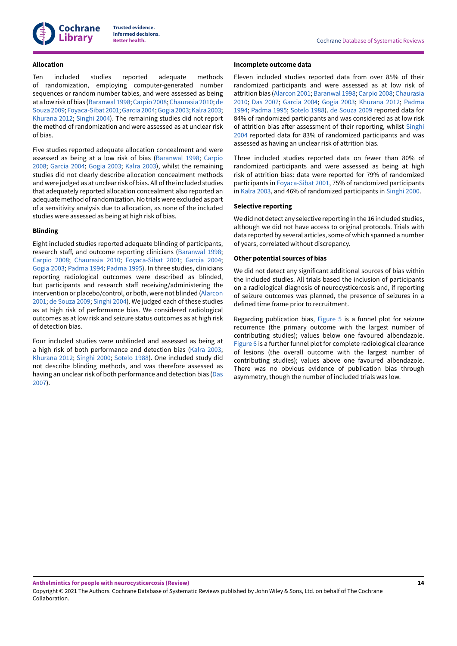

#### **Allocation**

Ten included studies reported adequate methods of randomization, employing computer-generated number sequences or random number tables, and were assessed as being at a lowrisk of bias [\(Baranwal](#page-29-8) 1998; [Carpio 2008](#page-29-14); [Chaurasia](#page-29-5) 2010; [de](#page-29-10) [Souza](#page-29-10) 2009; [Foyaca-Sibat](#page-29-6) 2001; [Garcia](#page-29-15) 2004; [Gogia 2003](#page-29-11); [Kalra](#page-29-12) 2003; [Khurana](#page-29-7) 2012; [Singhi 2004](#page-30-5)). The remaining studies did not report the method of randomization and were assessed as at unclear risk of bias.

Five studies reported adequate allocation concealment and were assessed as being at a low risk of bias ([Baranwal](#page-29-8) 1998; [Carpio](#page-29-14) [2008](#page-29-14); [Garcia](#page-29-15) 2004; [Gogia 2003](#page-29-11); [Kalra](#page-29-12) 2003), whilst the remaining studies did not clearly describe allocation concealment methods and were judged as at unclearrisk of bias. All ofthe included studies that adequately reported allocation concealment also reported an adequate method ofrandomization.No trials were excluded as part of a sensitivity analysis due to allocation, as none of the included studies were assessed as being at high risk of bias.

### **Blinding**

Eight included studies reported adequate blinding of participants, research staff, and outcome reporting clinicians ([Baranwal](#page-29-8) 1998; [Carpio 2008;](#page-29-14) [Chaurasia](#page-29-5) 2010; [Foyaca-Sibat](#page-29-6) 2001; [Garcia](#page-29-15) 2004; [Gogia 2003](#page-29-11); [Padma](#page-30-2) 1994; [Padma](#page-30-3) 1995). In three studies, clinicians reporting radiological outcomes were described as blinded, but participants and research staff receiving/administering the intervention or placebo/control, or both, were not blinded [\(Alarcon](#page-29-13) [2001](#page-29-13); de [Souza](#page-29-10) 2009; [Singhi 2004\)](#page-30-5). We judged each of these studies as at high risk of performance bias. We considered radiological outcomes as at low risk and seizure status outcomes as at high risk of detection bias.

Four included studies were unblinded and assessed as being at a high risk of both performance and detection bias ([Kalra](#page-29-12) 2003; [Khurana](#page-29-7) 2012; [Singhi 2000](#page-30-4); [Sotelo](#page-30-6) 1988). One included study did not describe blinding methods, and was therefore assessed as having an unclear risk of both performance and detection bias ([Das](#page-29-9) [2007](#page-29-9)).

#### **Incomplete outcome data**

Eleven included studies reported data from over 85% of their randomized participants and were assessed as at low risk of attrition bias ([Alarcon](#page-29-13) 2001; [Baranwal](#page-29-8) 1998; [Carpio 2008;](#page-29-14) [Chaurasia](#page-29-5) [2010;](#page-29-5) [Das 2007](#page-29-9); [Garcia](#page-29-15) 2004; [Gogia 2003](#page-29-11); [Khurana](#page-29-7) 2012; [Padma](#page-30-2) [1994;](#page-30-2) [Padma](#page-30-3) 1995; [Sotelo](#page-30-6) 1988). de [Souza](#page-29-10) 2009 reported data for 84% of randomized participants and was considered as at low risk of attrition bias after assessment of their reporting, whilst [Singhi](#page-30-5) [2004](#page-30-5) reported data for 83% of randomized participants and was assessed as having an unclear risk of attrition bias.

Three included studies reported data on fewer than 80% of randomized participants and were assessed as being at high risk of attrition bias: data were reported for 79% of randomized participants in [Foyaca-Sibat](#page-29-6) 2001, 75% of randomized participants in [Kalra](#page-29-12) 2003, and 46% of randomized participants in [Singhi 2000.](#page-30-4)

#### **Selective reporting**

We did not detect any selective reporting in the 16 included studies, although we did not have access to original protocols. Trials with data reported by several articles, some of which spanned a number of years, correlated without discrepancy.

#### **Other potential sources of bias**

We did not detect any significant additional sources of bias within the included studies. All trials based the inclusion of participants on a radiological diagnosis of neurocysticercosis and, if reporting of seizure outcomes was planned, the presence of seizures in a defined time frame prior to recruitment.

Regarding publication bias, [Figure](#page-17-0) 5 is a funnel plot for seizure recurrence (the primary outcome with the largest number of contributing studies); values below one favoured albendazole. [Figure](#page-18-0) 6 is a further funnel plot for complete radiological clearance of lesions (the overall outcome with the largest number of contributing studies); values above one favoured albendazole. There was no obvious evidence of publication bias through asymmetry, though the number of included trials was low.

Copyright © 2021 The Authors. Cochrane Database of Systematic Reviews published by John Wiley & Sons, Ltd. on behalf of The Cochrane Collaboration.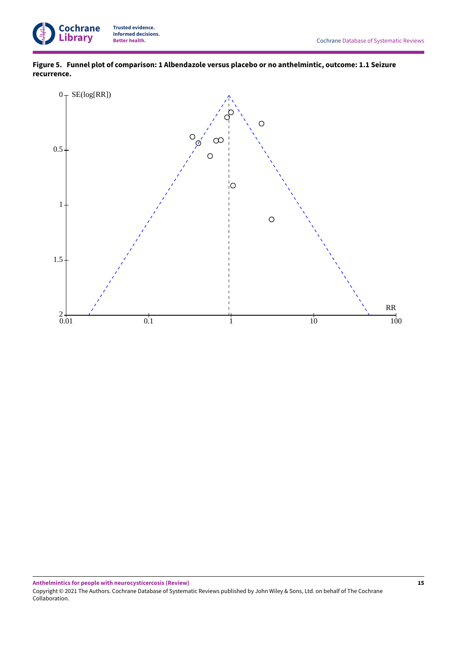

**Figure 5. Funnel plot of comparison: 1 Albendazole versus placebo or no anthelmintic, outcome: 1.1Seizure recurrence.**

<span id="page-17-0"></span>

**Anthelmintics for people with neurocysticercosis (Review)** Copyright © 2021 The Authors. Cochrane Database of Systematic Reviews published by John Wiley & Sons, Ltd. on behalf of The Cochrane Collaboration.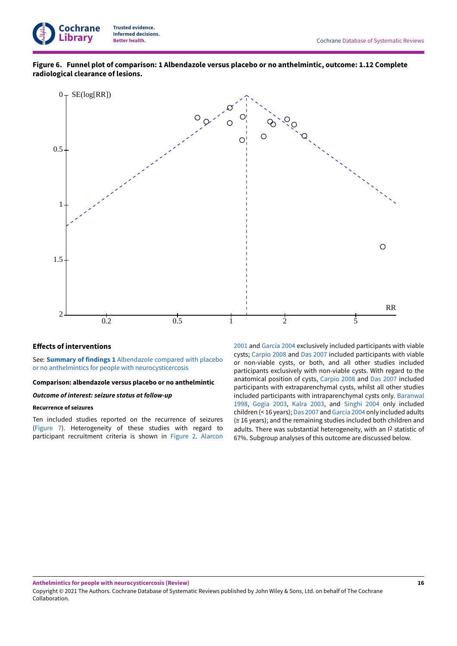

**Figure 6. Funnel plot of comparison: 1 Albendazole versus placebo or no anthelmintic, outcome: 1.12 Complete radiological clearance of lesions.**

<span id="page-18-0"></span>

### **Effects of interventions**

See: **Summary of findings 1** [Albendazole](#page-6-1) compared with placebo or no anthelmintics for people with [neurocysticercosis](#page-6-1)

#### **Comparison: albendazole versus placebo or no anthelmintic**

#### *Outcome of interest: seizure status at follow-up*

### **Recurrence of seizures**

Ten included studies reported on the recurrence of seizures [\(Figure](#page-19-0) 7). Heterogeneity of these studies with regard to participant recruitment criteria is shown in [Figure](#page-12-0) 2. [Alarcon](#page-29-13) [2001](#page-29-13) and [Garcia](#page-29-15) 2004 exclusively included participants with viable cysts; [Carpio 2008](#page-29-14) and [Das 2007](#page-29-9) included participants with viable or non-viable cysts, or both, and all other studies included participants exclusively with non-viable cysts. With regard to the anatomical position of cysts, [Carpio 2008](#page-29-14)  and [Das 2007](#page-29-9) included participants with extraparenchymal cysts, whilst all other studies included participants with intraparenchymal cysts only. [Baranwal](#page-29-8) [1998,](#page-29-8) [Gogia 2003,](#page-29-11) [Kalra](#page-29-12) 2003, and [Singhi 2004](#page-30-5) only included children (< 16 years); [Das 2007](#page-29-9) and [Garcia](#page-29-15) 2004 only included adults (≥ 16 years); and the remaining studies included both children and adults. There was substantial heterogeneity, with an I<sup>2</sup> statistic of 67%. Subgroup analyses of this outcome are discussed below.

Copyright © 2021 The Authors. Cochrane Database of Systematic Reviews published by John Wiley & Sons, Ltd. on behalf of The Cochrane Collaboration.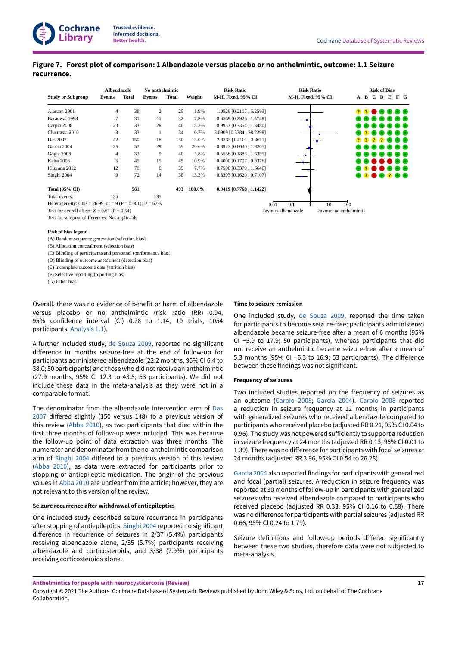## <span id="page-19-0"></span>**Figure 7. Forest plot of comparison: 1 Albendazole versus placebo or no anthelmintic, outcome: 1.1Seizure recurrence.**

|                                                                          | Albendazole    |       | No anthelmintic |              |        | <b>Risk Ratio</b>         | <b>Risk Ratio</b>   |                         |                                       |                              | <b>Risk of Bias</b>                  |                   |                            |
|--------------------------------------------------------------------------|----------------|-------|-----------------|--------------|--------|---------------------------|---------------------|-------------------------|---------------------------------------|------------------------------|--------------------------------------|-------------------|----------------------------|
| <b>Study or Subgroup</b>                                                 | Events         | Total | <b>Events</b>   | <b>Total</b> | Weight | M-H, Fixed, 95% CI        | M-H, Fixed, 95% CI  |                         |                                       | A B C D E                    |                                      |                   | $F$ G                      |
| Alarcon 2001                                                             | $\overline{4}$ | 38    | $\overline{2}$  | 20           | 1.9%   | 1.0526 [0.2107, 5.2593]   |                     |                         |                                       |                              |                                      |                   | 228888                     |
| Baranwal 1998                                                            | 7              | 31    | 11              | 32           | 7.8%   | $0.6569$ [0.2926, 1.4748] |                     |                         |                                       |                              |                                      |                   | .                          |
| Carpio 2008                                                              | 23             | 33    | 28              | 40           | 18.3%  | 0.9957 [0.7354, 1.3480]   |                     |                         |                                       | $\mathbf{F}$ or $\mathbf{F}$ |                                      | $_{+}$            | $+$ $+$                    |
| Chaurasia 2010                                                           | 3              | 33    |                 | 34           | 0.7%   | 3.0909 [0.3384, 28.2298]  |                     |                         |                                       | <b>2</b>                     | $_{\rm \oplus}$<br>$\left( +\right)$ | $\left( +\right)$ | $+) (+)$                   |
| Das 2007                                                                 | 42             | 150   | 18              | 150          | 13.0%  | 2.3333 [1.4101, 3.8611]   |                     |                         | 2 P                                   |                              | 2<br>2                               |                   |                            |
| Garcia 2004                                                              | 25             | 57    | 29              | 59           | 20.6%  | $0.8923$ [0.6030, 1.3205] |                     |                         |                                       |                              |                                      |                   | $+) (+)$                   |
| Gogia 2003                                                               | $\overline{4}$ | 32    | 9               | 40           | 5.8%   | 0.5556 [0.1883, 1.6395]   |                     |                         |                                       |                              |                                      |                   | $+$ $+$                    |
| Kalra 2003                                                               | 6              | 45    | 15              | 45           | 10.9%  | 0.4000 [0.1707, 0.9376]   |                     |                         | $\leftrightarrow$ $\leftrightarrow$ ( |                              |                                      | . .               | $+ +$                      |
| Khurana 2012                                                             | 12             | 70    | 8               | 35           | 7.7%   | $0.7500$ [0.3379, 1.6646] |                     |                         |                                       | 8288                         |                                      |                   | $\oplus$ $\oplus$ $\oplus$ |
| Singhi 2004                                                              | 9              | 72    | 14              | 38           | 13.3%  | $0.3393$ [0.1620, 0.7107] |                     |                         |                                       |                              |                                      |                   | .                          |
| <b>Total (95% CI)</b>                                                    |                | 561   |                 | 493          | 100.0% | 0.9419 [0.7768, 1.1422]   |                     |                         |                                       |                              |                                      |                   |                            |
| Total events:                                                            | 135            |       | 135             |              |        |                           |                     |                         |                                       |                              |                                      |                   |                            |
| Heterogeneity: Chi <sup>2</sup> = 26.99, df = 9 (P = 0.001); $I^2$ = 67% |                |       |                 |              |        |                           | 0.1<br>0.01         | 10 <sup>10</sup><br>100 |                                       |                              |                                      |                   |                            |
| Test for overall effect: $Z = 0.61$ (P = 0.54)                           |                |       |                 |              |        |                           | Favours albendazole | Favours no anthelmintic |                                       |                              |                                      |                   |                            |

Test for subgroup differences: Not applicable

**Cochrane Library**

#### **Risk of bias legend**

(A) Random sequence generation (selection bias)

(B) Allocation concealment (selection bias)

(C) Blinding of participants and personnel (performance bias)

(D) Blinding of outcome assessment (detection bias)

(E) Incomplete outcome data (attrition bias)

(F) Selective reporting (reporting bias)

(G) Other bias

Overall, there was no evidence of benefit or harm of albendazole versus placebo or no anthelmintic (risk ratio (RR) 0.94, 95% confidence interval (CI) 0.78 to 1.14; 10 trials, 1054 participants; [Analysis 1.1](#page-53-0)).

A further included study, de [Souza](#page-29-10) 2009, reported no significant difference in months seizure-free at the end of follow-up for participants administered albendazole (22.2 months, 95% CI 6.4 to 38.0; 50 participants) and those who did not receive an anthelmintic (27.9 months, 95% CI 12.3 to 43.5; 53 participants). We did not include these data in the meta-analysis as they were not in a comparable format.

The denominator from the albendazole intervention arm of [Das](#page-29-9)  $2007$  differed slightly (150 versus 148) to a previous version of this review ([Abba](#page-32-3) 2010), as two participants that died within the first three months of follow-up were included. This was because the follow-up point of data extraction was three months. The numerator and denominatorfrom the no-anthelmintic comparison arm of [Singhi 2004](#page-30-5) differed to a previous version of this review [\(Abba](#page-32-3) 2010), as data were extracted for participants prior to stopping of antiepileptic medication. The origin of the previous values in [Abba](#page-32-3) 2010 are unclear from the article; however, they are not relevant to this version of the review.

### **Seizure recurrence after withdrawal of antiepileptics**

One included study described seizure recurrence in participants after stopping of antiepileptics. [Singhi 2004](#page-30-5) reported no significant difference in recurrence of seizures in  $2/37$  (5.4%) participants receiving albendazole alone, 2/35 (5.7%) participants receiving albendazole and corticosteroids, and 3/38 (7.9%) participants receiving corticosteroids alone.

#### **Time to seizure remission**

One included study, de [Souza](#page-29-10) 2009, reported the time taken for participants to become seizure-free; participants administered albendazole became seizure-free after a mean of 6 months (95% CI −5.9 to 17.9; 50 participants), whereas participants that did not receive an anthelmintic became seizure-free after a mean of 5.3 months (95% CI −6.3 to 16.9; 53 participants). The difference between these findings was not significant.

#### **Frequency of seizures**

Two included studies reported on the frequency of seizures as an outcome [\(Carpio 2008](#page-29-14); [Garcia](#page-29-15) 2004). [Carpio 2008](#page-29-14) reported a reduction in seizure frequency at 12 months in participants with generalized seizures who received albendazole compared to participants who received placebo (adjusted RR 0.21, 95% CI 0.04 to 0.96). The study was not powered sufficiently to support a reduction in seizure frequency at 24 months (adjusted RR 0.13, 95% CI 0.01 to 1.39). There was no difference for participants with focal seizures at 24 months (adjusted RR 3.96, 95% CI 0.54 to 26.28).

[Garcia](#page-29-15) 2004 also reported findings for participants with generalized and focal (partial) seizures. A reduction in seizure frequency was reported at 30 months of follow-up in participants with generalized seizures who received albendazole compared to participants who received placebo (adjusted RR 0.33, 95% CI 0.16 to 0.68). There was no difference for participants with partial seizures (adjusted RR 0.66, 95% CI 0.24 to 1.79).

Seizure definitions and follow-up periods differed significantly between these two studies, therefore data were not subjected to meta-analysis.

Copyright © 2021 The Authors. Cochrane Database of Systematic Reviews published by John Wiley & Sons, Ltd. on behalf of The Cochrane Collaboration.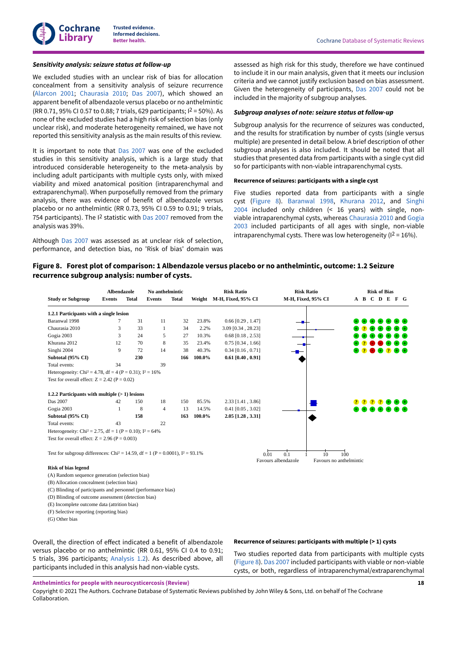#### *Sensitivity analysis: seizure status at follow-up*

We excluded studies with an unclear risk of bias for allocation concealment from a sensitivity analysis of seizure recurrence [\(Alarcon](#page-29-13) 2001; [Chaurasia](#page-29-5) 2010; [Das 2007\)](#page-29-9), which showed an apparent benefit of albendazole versus placebo or no anthelmintic (RR 0.71, 95% CI 0.57 to 0.88; 7 trials, 629 participants; I 2 = 50%). As none of the excluded studies had a high risk of selection bias (only unclear risk), and moderate heterogeneity remained, we have not reported this sensitivity analysis as the main results of this review.

It is important to note that [Das 2007](#page-29-9) was one of the excluded studies in this sensitivity analysis, which is a large study that introduced considerable heterogeneity to the meta-analysis by including adult participants with multiple cysts only, with mixed viability and mixed anatomical position (intraparenchymal and extraparenchymal). When purposefully removed from the primary analysis, there was evidence of benefit of albendazole versus placebo or no anthelmintic (RR 0.73, 95% CI 0.59 to 0.91; 9 trials, 754 participants). The I<sup>2</sup> statistic with [Das 2007](#page-29-9) removed from the analysis was 39%.

Although [Das 2007](#page-29-9) was assessed as at unclear risk of selection, performance, and detection bias, no 'Risk of bias' domain was

assessed as high risk for this study, therefore we have continued to include it in our main analysis, given that it meets our inclusion criteria and we cannot justify exclusion based on bias assessment. Given the heterogeneity of participants, [Das 2007](#page-29-9) could not be included in the majority of subgroup analyses.

### *Subgroup analyses of note: seizure status at follow-up*

Subgroup analysis for the recurrence of seizures was conducted, and the results for stratification by number of cysts (single versus multiple) are presented in detail below. A brief description of other subgroup analyses is also included. It should be noted that all studies that presented data from participants with a single cyst did so for participants with non-viable intraparenchymal cysts.

#### **Recurrence of seizures: participants with a single cyst**

Five studies reported data from participants with a single cyst ([Figure](#page-20-0) 8). [Baranwal](#page-29-8) 1998, [Khurana](#page-29-7) 2012, and [Singhi](#page-30-5) [2004](#page-30-5) included only children (< 16 years) with single, nonviable intraparenchymal cysts, whereas [Chaurasia](#page-29-5) 2010 and [Gogia](#page-29-11) [2003](#page-29-11) included participants of all ages with single, non-viable intraparenchymal cysts. There was low heterogeneity ( $1^2 = 16\%$ ).

### <span id="page-20-0"></span>**Figure 8. Forest plot of comparison: 1 Albendazole versus placebo or no anthelmintic, outcome: 1.2Seizure recurrence subgroup analysis: number of cysts.**

|                                                                                             | Albendazole |              | No anthelmintic |              |        | <b>Risk Ratio</b>         | <b>Risk Ratio</b>                  |    | <b>Risk of Bias</b>            |
|---------------------------------------------------------------------------------------------|-------------|--------------|-----------------|--------------|--------|---------------------------|------------------------------------|----|--------------------------------|
| <b>Study or Subgroup</b>                                                                    | Events      | <b>Total</b> | <b>Events</b>   | <b>Total</b> |        | Weight M-H, Fixed, 95% CI | M-H, Fixed, 95% CI                 |    | A B C D E F G                  |
| 1.2.1 Participants with a single lesion                                                     |             |              |                 |              |        |                           |                                    |    |                                |
| Baranwal 1998                                                                               | 7           | 31           | 11              | 32           | 23.8%  | $0.66$ [0.29, 1.47]       |                                    |    |                                |
| Chaurasia 2010                                                                              | 3           | 33           | $\mathbf{1}$    | 34           | 2.2%   | 3.09 [0.34, 28.23]        |                                    |    |                                |
| Gogia 2003                                                                                  | 3           | 24           | 5               | 27           | 10.3%  | $0.68$ [0.18, 2.53]       |                                    |    |                                |
| Khurana 2012                                                                                | 12          | 70           | 8               | 35           | 23.4%  | $0.75$ [0.34, 1.66]       |                                    |    |                                |
| Singhi 2004                                                                                 | 9           | 72           | 14              | 38           | 40.3%  | $0.34$ [0.16, 0.71]       |                                    |    |                                |
| Subtotal (95% CI)                                                                           |             | 230          |                 | 166          | 100.0% | $0.61$ [0.40, 0.91]       |                                    |    |                                |
| Total events:                                                                               | 34          |              | 39              |              |        |                           |                                    |    |                                |
| Heterogeneity: Chi <sup>2</sup> = 4.78, df = 4 (P = 0.31); $I^2 = 16\%$                     |             |              |                 |              |        |                           |                                    |    |                                |
| Test for overall effect: $Z = 2.42$ (P = 0.02)                                              |             |              |                 |              |        |                           |                                    |    |                                |
| 1.2.2 Participants with multiple $(>1)$ lesions                                             |             |              |                 |              |        |                           |                                    |    |                                |
| Das 2007                                                                                    | 42          | 150          | 18              | 150          | 85.5%  | $2.33$ [1.41, 3.86]       |                                    |    |                                |
| Gogia 2003                                                                                  | 1           | 8            | 4               | 13           | 14.5%  | $0.41$ [0.05, 3.02]       |                                    |    |                                |
| Subtotal (95% CI)                                                                           |             | 158          |                 | 163          | 100.0% | $2.05$ [1.28, 3.31]       |                                    |    |                                |
| Total events:                                                                               | 43          |              | 22              |              |        |                           |                                    |    |                                |
| Heterogeneity: Chi <sup>2</sup> = 2.75, df = 1 (P = 0.10); $I^2$ = 64%                      |             |              |                 |              |        |                           |                                    |    |                                |
| Test for overall effect: $Z = 2.96$ (P = 0.003)                                             |             |              |                 |              |        |                           |                                    |    |                                |
| Test for subgroup differences: Chi <sup>2</sup> = 14.59, df = 1 (P = 0.0001), $I^2$ = 93.1% |             |              |                 |              |        |                           | 0.1<br>0.01<br>Favours albendazole | 10 | 100<br>Favours no anthelmintic |
| <b>Risk of bias legend</b>                                                                  |             |              |                 |              |        |                           |                                    |    |                                |
| (A) Random sequence generation (selection bias)                                             |             |              |                 |              |        |                           |                                    |    |                                |
| (B) Allocation concealment (selection bias)                                                 |             |              |                 |              |        |                           |                                    |    |                                |
| (C) Blinding of participants and personnel (performance bias)                               |             |              |                 |              |        |                           |                                    |    |                                |

(D) Blinding of outcome assessment (detection bias)

(E) Incomplete outcome data (attrition bias)

(F) Selective reporting (reporting bias)

(G) Other bias

Overall, the direction of effect indicated a benefit of albendazole versus placebo or no anthelmintic (RR 0.61, 95% CI 0.4 to 0.91; 5 trials, 396 participants; [Analysis 1.2\)](#page-54-0). As described above, all participants included in this analysis had non-viable cysts.

### **Recurrence of seizures: participants with multiple (> 1) cysts**

Two studies reported data from participants with multiple cysts [\(Figure](#page-20-0) 8). [Das 2007](#page-29-9) included participants with viable or non-viable cysts, or both, regardless of intraparenchymal/extraparenchymal

**Anthelmintics for people with neurocysticercosis (Review)**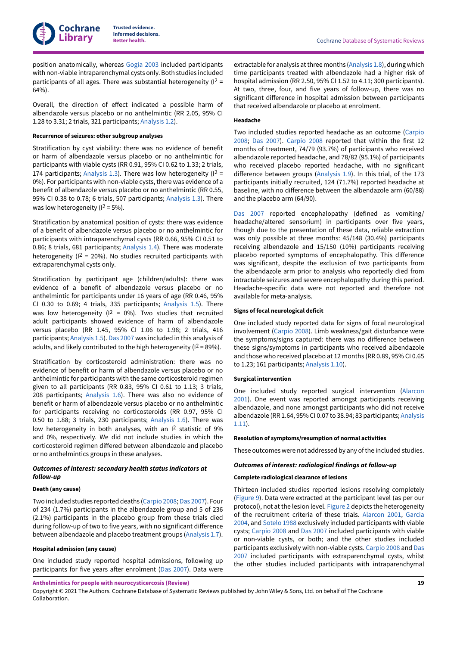position anatomically, whereas [Gogia 2003](#page-29-11) included participants with non-viable intraparenchymal cysts only. Both studies included participants of all ages. There was substantial heterogeneity (12 =  $64%$ ).

Overall, the direction of effect indicated a possible harm of albendazole versus placebo or no anthelmintic (RR 2.05, 95% CI 1.28 to 3.31; 2 trials, 321 participants; [Analysis 1.2\)](#page-54-0).

#### **Recurrence of seizures: other subgroup analyses**

Stratification by cyst viability: there was no evidence of benefit or harm of albendazole versus placebo or no anthelmintic for participants with viable cysts (RR 0.91, 95% CI 0.62 to 1.33; 2 trials, 174 participants; [Analysis 1.3](#page-54-1)). There was low heterogeneity ( $1^2$  = 0%). For participants with non-viable cysts, there was evidence of a benefit of albendazole versus placebo or no anthelmintic (RR 0.55, 95% CI 0.38 to 0.78; 6 trials, 507 participants; [Analysis 1.3](#page-54-1)). There was low heterogeneity ( $1^2 = 5\%$ ).

Stratification by anatomical position of cysts: there was evidence of a benefit of albendazole versus placebo or no anthelmintic for participants with intraparenchymal cysts (RR 0.66, 95% CI 0.51 to 0.86; 8 trials, 681 participants; [Analysis 1.4\)](#page-55-0). There was moderate heterogeneity ( $1^2$  = 20%). No studies recruited participants with extraparenchymal cysts only.

Stratification by participant age (children/adults): there was evidence of a benefit of albendazole versus placebo or no anthelmintic for participants under 16 years of age (RR 0.46, 95% CI 0.30 to 0.69; 4 trials, 335 participants; [Analysis 1.5](#page-55-1)). There was low heterogeneity ( $1^2 = 0\%$ ). Two studies that recruited adult participants showed evidence of harm of albendazole versus placebo (RR 1.45, 95% CI 1.06 to 1.98; 2 trials, 416 participants; [Analysis 1.5\)](#page-55-1). [Das 2007](#page-29-9) was included in this analysis of adults, and likely contributed to the high heterogeneity (I 2 = 89%).

Stratification by corticosteroid administration: there was no evidence of benefit or harm of albendazole versus placebo or no anthelmintic for participants with the same corticosteroid regimen given to all participants (RR 0.83, 95% CI 0.61 to 1.13; 3 trials, 208 participants; [Analysis 1.6\)](#page-56-0). There was also no evidence of benefit or harm of albendazole versus placebo or no anthelmintic for participants receiving no corticosteroids (RR 0.97, 95% CI 0.50 to 1.88; 3 trials, 230 participants; [Analysis 1.6\)](#page-56-0). There was low heterogeneity in both analyses, with an I<sup>2</sup> statistic of 9% and 0%, respectively. We did not include studies in which the corticosteroid regimen differed between albendazole and placebo or no anthelmintics groups in these analyses.

### *Outcomes of interest: secondary health status indicators at follow-up*

#### **Death (any cause)**

Two included studies reported deaths [\(Carpio 2008](#page-29-14); [Das 2007](#page-29-9)). Four of 234 (1.7%) participants in the albendazole group and 5 of 236 (2.1%) participants in the placebo group from these trials died during follow-up of two to five years, with no significant difference between albendazole and placebo treatment groups [\(Analysis 1.7\)](#page-56-1).

#### **Hospital admission (any cause)**

One included study reported hospital admissions, following up participants for five years after enrolment [\(Das 2007\)](#page-29-9). Data were

extractable for analysis at three months ([Analysis 1.8\)](#page-56-2), during which time participants treated with albendazole had a higher risk of hospital admission (RR 2.50, 95% CI 1.52 to 4.11; 300 participants). At two, three, four, and five years of follow-up, there was no significant difference in hospital admission between participants that received albendazole or placebo at enrolment.

### **Headache**

Two included studies reported headache as an outcome ([Carpio](#page-29-14) [2008;](#page-29-14) [Das 2007\)](#page-29-9). [Carpio 2008](#page-29-14) reported that within the first 12 months of treatment, 74/79 (93.7%) of participants who received albendazole reported headache, and 78/82 (95.1%) of participants who received placebo reported headache, with no significant difference between groups ([Analysis 1.9\)](#page-57-0). In this trial, of the 173 participants initially recruited, 124 (71.7%) reported headache at baseline, with no difference between the albendazole arm (60/88) and the placebo arm (64/90).

[Das 2007](#page-29-9) reported encephalopathy (defined as vomiting/ headache/altered sensorium) in participants over five years, though due to the presentation of these data, reliable extraction was only possible at three months: 45/148 (30.4%) participants receiving albendazole and 15/150 (10%) participants receiving placebo reported symptoms of encephalopathy. This difference was significant, despite the exclusion of two participants from the albendazole arm prior to analysis who reportedly died from intractable seizures and severe encephalopathy during this period. Headache-specific data were not reported and therefore not available for meta-analysis.

#### **Signs of focal neurological deficit**

One included study reported data for signs of focal neurological involvement ([Carpio 2008](#page-29-14)). Limb weakness/gait disturbance were the symptoms/signs captured: there was no difference between these signs/symptoms in participants who received albendazole and those who received placebo at 12 months (RR 0.89, 95% CI 0.65 to 1.23; 161 participants; [Analysis 1.10\)](#page-57-1).

#### **Surgical intervention**

One included study reported surgical intervention [\(Alarcon](#page-29-13) [2001\)](#page-29-13). One event was reported amongst participants receiving albendazole, and none amongst participants who did not receive albendazole (RR 1.64, 95% CI 0.07 to 38.94; 83 participants; [Analysis](#page-57-2) [1.11](#page-57-2)).

#### **Resolution of symptoms/resumption of normal activities**

These outcomes were not addressed by any of the included studies.

### *Outcomes of interest: radiological findings at follow-up*

#### **Complete radiological clearance of lesions**

Thirteen included studies reported lesions resolving completely [\(Figure](#page-22-0) 9). Data were extracted at the participant level (as per our protocol), not at the lesion level. [Figure](#page-12-0) 2 depicts the heterogeneity of the recruitment criteria of these trials. [Alarcon](#page-29-13) 2001, [Garcia](#page-29-15) [2004,](#page-29-15) and [Sotelo](#page-30-6) 1988 exclusively included participants with viable cysts; [Carpio 2008](#page-29-14) and [Das 2007](#page-29-9) included participants with viable or non-viable cysts, or both; and the other studies included participants exclusively with non-viable cysts. [Carpio 2008](#page-29-14) and [Das](#page-29-9) [2007](#page-29-9) included participants with extraparenchymal cysts, whilst the other studies included participants with intraparenchymal

**Anthelmintics for people with neurocysticercosis (Review)**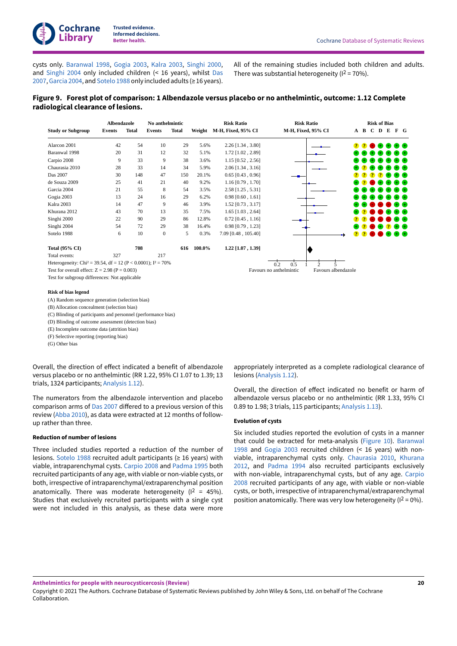cysts only. [Baranwal](#page-29-8) 1998, [Gogia 2003](#page-29-11), [Kalra](#page-29-12) 2003, [Singhi 2000](#page-30-4), and [Singhi 2004](#page-30-5) only included children (< 16 years), whilst [Das](#page-29-9) [2007](#page-29-9), [Garcia](#page-29-15) 2004, and [Sotelo](#page-30-6) 1988 only included adults (≥ 16 years). All of the remaining studies included both children and adults. There was substantial heterogeneity ( $1^2$  = 70%).

### <span id="page-22-0"></span>**Figure 9. Forest plot of comparison: 1 Albendazole versus placebo or no anthelmintic, outcome: 1.12 Complete radiological clearance of lesions.**

|                                                                            |        | Albendazole |               | No anthelmintic |        | <b>Risk Ratio</b>         | <b>Risk Ratio</b>                              |                |      | <b>Risk of Bias</b> |           |  |             |  |  |
|----------------------------------------------------------------------------|--------|-------------|---------------|-----------------|--------|---------------------------|------------------------------------------------|----------------|------|---------------------|-----------|--|-------------|--|--|
| <b>Study or Subgroup</b>                                                   | Events | Total       | <b>Events</b> | <b>Total</b>    | Weight | <b>M-H, Fixed, 95% CI</b> | M-H, Fixed, 95% CI                             |                |      |                     | A B C D E |  | F G         |  |  |
| Alarcon 2001                                                               | 42     | 54          | 10            | 29              | 5.6%   | 2.26 [1.34, 3.80]         |                                                | <b>P</b>       |      |                     |           |  |             |  |  |
| Baranwal 1998                                                              | 20     | 31          | 12            | 32              | 5.1%   | $1.72$ [1.02, 2.89]       |                                                |                |      |                     |           |  | $+$         |  |  |
| Carpio 2008                                                                | 9      | 33          | 9             | 38              | 3.6%   | $1.15$ [0.52, 2.56]       |                                                |                |      | Œ.,                 |           |  | $+) (+)$    |  |  |
| Chaurasia 2010                                                             | 28     | 33          | 14            | 34              | 5.9%   | $2.06$ [1.34, 3.16]       |                                                |                |      |                     |           |  | $+$ $+$     |  |  |
| Das 2007                                                                   | 30     | 148         | 47            | 150             | 20.1%  | $0.65$ [0.43, 0.96]       |                                                |                |      |                     |           |  | + +         |  |  |
| de Souza 2009                                                              | 25     | 41          | 21            | 40              | 9.2%   | $1.16$ [0.79, 1.70]       |                                                |                |      |                     |           |  | $+1 +$      |  |  |
| Garcia 2004                                                                | 21     | 55          | 8             | 54              | 3.5%   | 2.58 [1.25, 5.31]         |                                                |                |      |                     |           |  | + +         |  |  |
| Gogia 2003                                                                 | 13     | 24          | 16            | 29              | 6.2%   | $0.98$ [0.60, 1.61]       |                                                |                | $+1$ | $\rightarrow$       | $_{+}$    |  | $(+)$ $(+)$ |  |  |
| Kalra 2003                                                                 | 14     | 47          | 9             | 46              | 3.9%   | $1.52$ [0.73, 3.17]       |                                                |                |      |                     |           |  | $+1 +$      |  |  |
| Khurana 2012                                                               | 43     | 70          | 13            | 35              | 7.5%   | $1.65$ [1.03, 2.64]       |                                                |                |      |                     |           |  | +) (+)      |  |  |
| Singhi 2000                                                                | 22     | 90          | 29            | 86              | 12.8%  | $0.72$ [0.45, 1.16]       |                                                |                |      |                     |           |  | $+ 6$       |  |  |
| Singhi 2004                                                                | 54     | 72          | 29            | 38              | 16.4%  | $0.98$ [0.79, 1.23]       |                                                |                |      |                     |           |  | $+1$ (+)    |  |  |
| Sotelo 1988                                                                | 6      | 10          | $\bf{0}$      | 5               | 0.3%   | 7.09 [0.48, 105.40]       |                                                | $\overline{P}$ | - 21 |                     |           |  | $+$         |  |  |
| <b>Total (95% CI)</b>                                                      |        | 708         |               | 616             | 100.0% | $1.22$ [1.07, 1.39]       |                                                |                |      |                     |           |  |             |  |  |
| Total events:                                                              | 327    |             | 217           |                 |        |                           |                                                |                |      |                     |           |  |             |  |  |
| Heterogeneity: Chi <sup>2</sup> = 39.54, df = 12 (P < 0.0001); $I^2$ = 70% |        |             |               |                 |        |                           | 0.5<br>0.2<br>$\mathcal{D}$                    |                |      |                     |           |  |             |  |  |
| Test for overall effect: $Z = 2.98$ (P = 0.003)                            |        |             |               |                 |        |                           | Favours albendazole<br>Favours no anthelmintic |                |      |                     |           |  |             |  |  |

Test for subgroup differences: Not applicable

**Risk of bias legend** (A) Random sequence generation (selection bias)

(B) Allocation concealment (selection bias)

(C) Blinding of participants and personnel (performance bias)

(D) Blinding of outcome assessment (detection bias)

(E) Incomplete outcome data (attrition bias)

(F) Selective reporting (reporting bias)

(G) Other bias

Overall, the direction of effect indicated a benefit of albendazole versus placebo or no anthelmintic (RR 1.22, 95% CI 1.07 to 1.39; 13 trials, 1324 participants; [Analysis 1.12](#page-58-0)).

The numerators from the albendazole intervention and placebo comparison arms of [Das 2007](#page-29-9) differed to a previous version of this review [\(Abba](#page-32-3) 2010), as data were extracted at 12 months of followup rather than three.

#### **Reduction of number of lesions**

Three included studies reported a reduction of the number of lesions. [Sotelo](#page-30-6) 1988 recruited adult participants ( $\geq$  16 years) with viable, intraparenchymal cysts. [Carpio 2008](#page-29-14) and [Padma](#page-30-3) 1995 both recruited participants of any age, with viable or non-viable cysts, or both, irrespective of intraparenchymal/extraparenchymal position anatomically. There was moderate heterogeneity ( $1^2$  = 45%). Studies that exclusively recruited participants with a single cyst were not included in this analysis, as these data were more appropriately interpreted as a complete radiological clearance of lesions ([Analysis 1.12\)](#page-58-0).

Overall, the direction of effect indicated no benefit or harm of albendazole versus placebo or no anthelmintic (RR 1.33, 95% CI 0.89 to 1.98; 3 trials, 115 participants; [Analysis 1.13](#page-58-1)).

#### **Evolution of cysts**

Six included studies reported the evolution of cysts in a manner that could be extracted for meta-analysis ([Figure](#page-23-0) 10). [Baranwal](#page-29-8) [1998](#page-29-8)  and [Gogia 2003](#page-29-11) recruited children (< 16 years) with nonviable, intraparenchymal cysts only. [Chaurasia](#page-29-5) 2010, [Khurana](#page-29-7) [2012,](#page-29-7) and [Padma](#page-30-2) 1994 also recruited participants exclusively with non-viable, intraparenchymal cysts, but of any age. [Carpio](#page-29-14) [2008](#page-29-14) recruited participants of any age, with viable or non-viable cysts, or both, irrespective of intraparenchymal/extraparenchymal position anatomically. There was very low heterogeneity ( $1^2 = 0\%$ ).

Copyright © 2021 The Authors. Cochrane Database of Systematic Reviews published by John Wiley & Sons, Ltd. on behalf of The Cochrane Collaboration.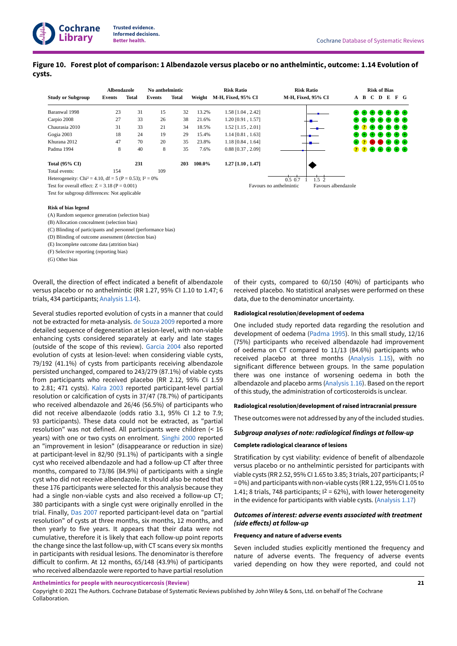### <span id="page-23-0"></span>Figure 10. Forest plot of comparison: 1 Albendazole versus placebo or no anthelmintic, outcome: 1.14 Evolution of **cysts.**

|                                                                        | Albendazole |              | No anthelmintic |              |        | <b>Risk Ratio</b>   | <b>Risk Ratio</b>                | <b>Risk of Bias</b>                                             |
|------------------------------------------------------------------------|-------------|--------------|-----------------|--------------|--------|---------------------|----------------------------------|-----------------------------------------------------------------|
| <b>Study or Subgroup</b>                                               | Events      | <b>Total</b> | Events          | <b>Total</b> | Weight | M-H, Fixed, 95% CI  | M-H, Fixed, 95% CI               | A B C D E F G                                                   |
| Baranwal 1998                                                          | 23          | 31           | 15              | 32           | 13.2%  | 1.58 [1.04, 2.42]   |                                  | .                                                               |
| Carpio 2008                                                            | 27          | 33           | 26              | 38           | 21.6%  | 1.20 [0.91, 1.57]   |                                  | $\bullet\bullet\bullet\bullet\bullet\bullet\bullet$             |
| Chaurasia 2010                                                         | 31          | 33           | 21              | 34           | 18.5%  | $1.52$ [1.15, 2.01] |                                  |                                                                 |
| Gogia 2003                                                             | 18          | 24           | 19              | 29           | 15.4%  | $1.14$ [0.81, 1.63] |                                  | $\qquad \qquad \bullet \bullet \bullet \bullet \bullet \bullet$ |
| Khurana 2012                                                           | 47          | 70           | 20              | 35           | 23.8%  | $1.18$ [0.84, 1.64] |                                  | . <b>.</b>                                                      |
| Padma 1994                                                             | 8           | 40           | 8               | 35           | 7.6%   | $0.88$ [0.37, 2.09] |                                  | 0.000000                                                        |
| Total $(95\% \text{ CI})$                                              |             | 231          |                 | 203          | 100.0% | $1.27$ [1.10, 1.47] |                                  |                                                                 |
| Total events:                                                          | 154         |              | 109             |              |        |                     |                                  |                                                                 |
| Heterogeneity: Chi <sup>2</sup> = 4.10, df = 5 (P = 0.53); $I^2 = 0\%$ |             |              |                 |              |        |                     | $0.5 \; 0.7$<br>1.5 <sup>2</sup> |                                                                 |
| Test for overall effect: $Z = 3.18$ (P = 0.001)                        |             |              |                 |              |        |                     | Favours no anthelmintic          | Favours albendazole                                             |

Test for subgroup differences: Not applicable

**Cochrane Library**

**Trusted evidence. Informed decisions.**

#### **Risk of bias legend**

(A) Random sequence generation (selection bias)

(B) Allocation concealment (selection bias)

(C) Blinding of participants and personnel (performance bias)

(D) Blinding of outcome assessment (detection bias)

(E) Incomplete outcome data (attrition bias)

(F) Selective reporting (reporting bias)

(G) Other bias

Overall, the direction of effect indicated a benefit of albendazole versus placebo or no anthelmintic (RR 1.27, 95% CI 1.10 to 1.47; 6 trials, 434 participants; [Analysis 1.14](#page-59-0)).

Several studies reported evolution of cysts in a manner that could not be extracted for meta-analysis. de [Souza](#page-29-10) 2009 reported a more detailed sequence of degeneration at lesion-level, with non-viable enhancing cysts considered separately at early and late stages (outside of the scope of this review). [Garcia](#page-29-15) 2004 also reported evolution of cysts at lesion-level: when considering viable cysts, 79/192 (41.1%) of cysts from participants receiving albendazole persisted unchanged, compared to 243/279 (87.1%) of viable cysts from participants who received placebo (RR 2.12, 95% CI 1.59 to 2.81; 471 cysts). [Kalra](#page-29-12) 2003 reported participant-level partial resolution or calcification of cysts in 37/47 (78.7%) of participants who received albendazole and 26/46 (56.5%) of participants who did not receive albendazole (odds ratio 3.1, 95% CI 1.2 to 7.9; 93 participants). These data could not be extracted, as "partial resolution" was not defined. All participants were children (< 16 years) with one or two cysts on enrolment. [Singhi 2000](#page-30-4) reported an "improvement in lesion" (disappearance or reduction in size) at participant-level in 82/90 (91.1%) of participants with a single cyst who received albendazole and had a follow-up CT after three months, compared to 73/86 (84.9%) of participants with a single cyst who did not receive albendazole. It should also be noted that these 176 participants were selected for this analysis because they had a single non-viable cysts and also received a follow-up CT; 380 participants with a single cyst were originally enrolled in the trial. Finally, [Das 2007](#page-29-9) reported participant-level data on "partial resolution" of cysts at three months, six months, 12 months, and then yearly to five years. It appears that their data were not cumulative, therefore it is likely that each follow-up point reports the change since the last follow-up, with CT scans every six months in participants with residual lesions. The denominator is therefore difficult to confirm. At 12 months,  $65/148$  (43.9%) of participants who received albendazole were reported to have partial resolution

of their cysts, compared to 60/150 (40%) of participants who received placebo. No statistical analyses were performed on these data, due to the denominator uncertainty.

#### **Radiological resolution/development of oedema**

One included study reported data regarding the resolution and development of oedema [\(Padma](#page-30-3) 1995). In this small study, 12/16 (75%) participants who received albendazole had improvement of oedema on CT compared to 11/13 (84.6%) participants who received placebo at three months ([Analysis 1.15](#page-59-1)), with no significant difference between groups. In the same population there was one instance of worsening oedema in both the albendazole and placebo arms ([Analysis 1.16\)](#page-59-2). Based on the report of this study, the administration of corticosteroids is unclear.

#### **Radiological resolution/development of raised intracranial pressure**

These outcomes were not addressed by any of the included studies.

### *Subgroup analyses of note: radiological findings at follow-up*

#### **Complete radiological clearance of lesions**

Stratification by cyst viability: evidence of benefit of albendazole versus placebo or no anthelmintic persisted for participants with viable cysts (RR 2.52, 95% CI 1.65 to 3.85; 3 trials, 207 participants; I 2 = 0%) and participants with non-viable cysts (RR 1.22, 95% CI 1.05 to 1.41; 8 trials, 748 participants;  $I^2 = 62\%$ ), with lower heterogeneity in the evidence for participants with viable cysts. ([Analysis 1.17](#page-60-0))

### *Outcomes of interest: adverse events associated with treatment (side effects)* at *follow-up*

#### **Frequency and nature of adverse events**

Seven included studies explicitly mentioned the frequency and nature of adverse events. The frequency of adverse events varied depending on how they were reported, and could not

**Anthelmintics for people with neurocysticercosis (Review)**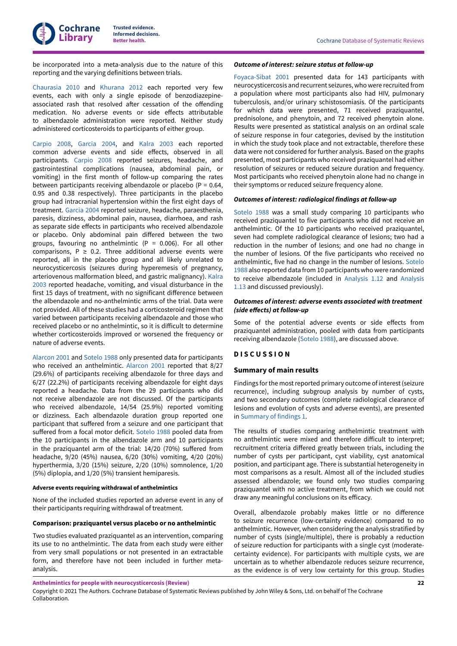

be incorporated into a meta-analysis due to the nature of this reporting and the varying definitions between trials.

[Chaurasia](#page-29-5) 2010 and [Khurana](#page-29-7) 2012 each reported very few events, each with only a single episode of benzodiazepineassociated rash that resolved after cessation of the offending medication. No adverse events or side effects attributable to albendazole administration were reported. Neither study administered corticosteroids to participants of either group.

[Carpio 2008](#page-29-14), [Garcia](#page-29-15) 2004, and [Kalra](#page-29-12) 2003 each reported common adverse events and side effects, observed in all participants. [Carpio 2008](#page-29-14) reported seizures, headache, and gastrointestinal complications (nausea, abdominal pain, or vomiting) in the first month of follow-up comparing the rates between participants receiving albendazole or placebo ( $P = 0.64$ , 0.95 and 0.38 respectively). Three participants in the placebo group had intracranial hypertension within the first eight days of treatment. [Garcia](#page-29-15) 2004 reported seizure, headache, paraesthenia, paresis, dizziness, abdominal pain, nausea, diarrhoea, and rash as separate side effects in participants who received albendazole or placebo. Only abdominal pain differed between the two groups, favouring no anthelmintic ( $P = 0.006$ ). For all other comparisons,  $P \ge 0.2$ . Three additional adverse events were reported, all in the placebo group and all likely unrelated to neurocysticercosis (seizures during hyperemesis of pregnancy, arteriovenous malformation bleed, and gastric malignancy). [Kalra](#page-29-12) [2003](#page-29-12) reported headache, vomiting, and visual disturbance in the first 15 days of treatment, with no significant difference between the albendazole and no-anthelmintic arms of the trial. Data were not provided. All of these studies had a corticosteroid regimen that varied between participants receiving albendazole and those who received placebo or no anthelmintic, so it is difficult to determine whether corticosteroids improved or worsened the frequency or nature of adverse events.

[Alarcon](#page-29-13) 2001 and [Sotelo](#page-30-6) 1988 only presented data for participants who received an anthelmintic. [Alarcon](#page-29-13) 2001 reported that 8/27 (29.6%) of participants receiving albendazole for three days and 6/27 (22.2%) of participants receiving albendazole for eight days reported a headache. Data from the 29 participants who did not receive albendazole are not discussed. Of the participants who received albendazole, 14/54 (25.9%) reported vomiting or dizziness. Each albendazole duration group reported one participant that suffered from a seizure and one participant that suffered from a focal motor deficit. [Sotelo](#page-30-6) 1988 pooled data from the 10 participants in the albendazole arm and 10 participants in the praziquantel arm of the trial: 14/20 (70%) suffered from headache, 9/20 (45%) nausea, 6/20 (30%) vomiting, 4/20 (20%) hyperthermia, 3/20 (15%) seizure, 2/20 (10%) somnolence, 1/20 (5%) diplopia, and 1/20 (5%) transient hemiparesis.

#### **Adverse events requiring withdrawal of anthelmintics**

None of the included studies reported an adverse event in any of their participants requiring withdrawal of treatment.

#### **Comparison: praziquantel versus placebo or no anthelmintic**

Two studies evaluated praziquantel as an intervention, comparing its use to no anthelmintic. The data from each study were either from very small populations or not presented in an extractable form, and therefore have not been included in further metaanalysis.

#### *Outcome of interest: seizure status at follow-up*

[Foyaca-Sibat](#page-29-6) 2001 presented data for 143 participants with neurocysticercosis and recurrent seizures, who were recruited from a population where most participants also had HIV, pulmonary tuberculosis, and/or urinary schistosomiasis. Of the participants for which data were presented, 71 received praziquantel, prednisolone, and phenytoin, and 72 received phenytoin alone. Results were presented as statistical analysis on an ordinal scale of seizure response in four categories, devised by the institution in which the study took place and not extractable, therefore these data were not considered for further analysis. Based on the graphs presented, most participants who received praziquantel had either resolution of seizures or reduced seizure duration and frequency. Most participants who received phenytoin alone had no change in their symptoms or reduced seizure frequency alone.

#### *Outcomes of interest: radiological findings at follow-up*

[Sotelo](#page-30-6) 1988 was a small study comparing 10 participants who received praziquantel to five participants who did not receive an anthelmintic. Of the 10 participants who received praziquantel, seven had complete radiological clearance of lesions; two had a reduction in the number of lesions; and one had no change in the number of lesions. Of the five participants who received no anthelmintic, five had no change in the number of lesions. [Sotelo](#page-30-6) [1988](#page-30-6) also reported data from 10 participants who were randomized to receive albendazole (included in [Analysis 1.12](#page-58-0) and [Analysis](#page-58-1) [1.13](#page-58-1) and discussed previously).

### *Outcomes of interest: adverse events associated with treatment (side effects)* at *follow-up*

Some of the potential adverse events or side effects from praziquantel administration, pooled with data from participants receiving albendazole [\(Sotelo](#page-30-6) 1988), are discussed above.

#### <span id="page-24-0"></span>**D I S C U S S I O N**

#### **Summary of main results**

Findings for the most reported primary outcome of interest (seizure recurrence), including subgroup analysis by number of cysts, and two secondary outcomes (complete radiological clearance of lesions and evolution of cysts and adverse events), are presented in [Summary](#page-6-1) of findings 1.

The results of studies comparing anthelmintic treatment with no anthelmintic were mixed and therefore difficult to interpret; recruitment criteria differed greatly between trials, including the number of cysts per participant, cyst viability, cyst anatomical position, and participant age. There is substantial heterogeneity in most comparisons as a result. Almost all of the included studies assessed albendazole; we found only two studies comparing praziquantel with no active treatment, from which we could not draw any meaningful conclusions on its efficacy.

Overall, albendazole probably makes little or no difference to seizure recurrence (low-certainty evidence) compared to no anthelmintic. However, when considering the analysis stratified by number of cysts (single/multiple), there is probably a reduction of seizure reduction for participants with a single cyst (moderatecertainty evidence). For participants with multiple cysts, we are uncertain as to whether albendazole reduces seizure recurrence, as the evidence is of very low certainty for this group. Studies

**Anthelmintics for people with neurocysticercosis (Review)**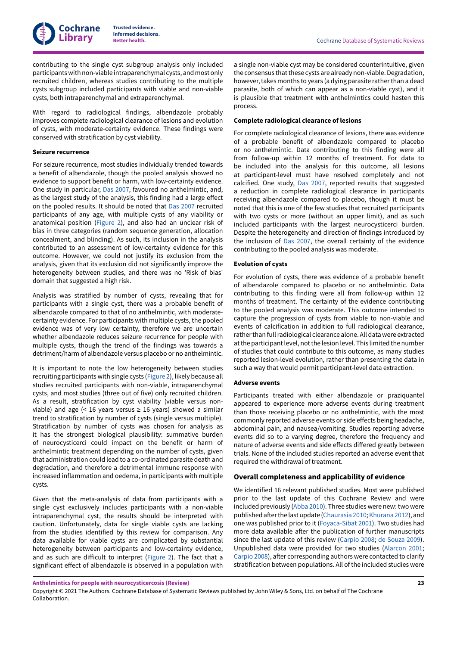contributing to the single cyst subgroup analysis only included participants with non-viable intraparenchymal cysts, and most only recruited children, whereas studies contributing to the multiple cysts subgroup included participants with viable and non-viable cysts, both intraparenchymal and extraparenchymal.

With regard to radiological findings, albendazole probably improves complete radiological clearance of lesions and evolution of cysts, with moderate-certainty evidence. These findings were conserved with stratification by cyst viability.

#### **Seizure recurrence**

For seizure recurrence, most studies individually trended towards a benefit of albendazole, though the pooled analysis showed no evidence to support benefit or harm, with low-certainty evidence. One study in particular, [Das 2007](#page-29-9), favoured no anthelmintic, and, as the largest study of the analysis, this finding had a large effect on the pooled results. It should be noted that [Das 2007](#page-29-9) recruited participants of any age, with multiple cysts of any viability or anatomical position ([Figure](#page-12-0) 2), and also had an unclear risk of bias in three categories (random sequence generation, allocation concealment, and blinding). As such, its inclusion in the analysis contributed to an assessment of low-certainty evidence for this outcome. However, we could not justify its exclusion from the analysis, given that its exclusion did not significantly improve the heterogeneity between studies, and there was no 'Risk of bias' domain that suggested a high risk.

Analysis was stratified by number of cysts, revealing that for participants with a single cyst, there was a probable benefit of albendazole compared to that of no anthelmintic, with moderatecertainty evidence. For participants with multiple cysts, the pooled evidence was of very low certainty, therefore we are uncertain whether albendazole reduces seizure recurrence for people with multiple cysts, though the trend of the findings was towards a detriment/harm of albendazole versus placebo or no anthelmintic.

It is important to note the low heterogeneity between studies recruiting participants with single cysts ([Figure](#page-12-0) 2), likely because all studies recruited participants with non-viable, intraparenchymal cysts, and most studies (three out of five) only recruited children. As a result, stratification by cyst viability (viable versus nonviable) and age (< 16 years versus ≥ 16 years) showed a similar trend to stratification by number of cysts (single versus multiple). Stratification by number of cysts was chosen for analysis as it has the strongest biological plausibility: summative burden of neurocysticerci could impact on the benefit or harm of anthelmintic treatment depending on the number of cysts, given that administration could lead to a co-ordinated parasite death and degradation, and therefore a detrimental immune response with increased inflammation and oedema, in participants with multiple cysts.

Given that the meta-analysis of data from participants with a single cyst exclusively includes participants with a non-viable intraparenchymal cyst, the results should be interpreted with caution. Unfortunately, data for single viable cysts are lacking from the studies identified by this review for comparison. Any data available for viable cysts are complicated by substantial heterogeneity between participants and low-certainty evidence, and as such are difficult to interpret ([Figure](#page-12-0) 2). The fact that a significant effect of albendazole is observed in a population with

a single non-viable cyst may be considered counterintuitive, given the consensus that these cysts are already non-viable. Degradation, however, takes months to years (a dying parasite rather than a dead parasite, both of which can appear as a non-viable cyst), and it is plausible that treatment with anthelmintics could hasten this process.

### **Complete radiological clearance of lesions**

For complete radiological clearance of lesions, there was evidence of a probable benefit of albendazole compared to placebo or no anthelmintic. Data contributing to this finding were all from follow-up within 12 months of treatment. For data to be included into the analysis for this outcome, all lesions at participant-level must have resolved completely and not calcified. One study, [Das 2007,](#page-29-9) reported results that suggested a reduction in complete radiological clearance in participants receiving albendazole compared to placebo, though it must be noted that this is one of the few studies that recruited participants with two cysts or more (without an upper limit), and as such included participants with the largest neurocysticerci burden. Despite the heterogeneity and direction of findings introduced by the inclusion of [Das 2007,](#page-29-9) the overall certainty of the evidence contributing to the pooled analysis was moderate.

#### **Evolution of cysts**

For evolution of cysts, there was evidence of a probable benefit of albendazole compared to placebo or no anthelmintic. Data contributing to this finding were all from follow-up within 12 months of treatment. The certainty of the evidence contributing to the pooled analysis was moderate. This outcome intended to capture the progression of cysts from viable to non-viable and events of calcification in addition to full radiological clearance, rather than full radiological clearance alone. All data were extracted at the participant level, not the lesion level. This limited the number of studies that could contribute to this outcome, as many studies reported lesion-level evolution, rather than presenting the data in such a way that would permit participant-level data extraction.

#### **Adverse events**

Participants treated with either albendazole or praziquantel appeared to experience more adverse events during treatment than those receiving placebo or no anthelmintic, with the most commonly reported adverse events or side effects being headache, abdominal pain, and nausea/vomiting. Studies reporting adverse events did so to a varying degree, therefore the frequency and nature of adverse events and side effects differed greatly between trials. None of the included studies reported an adverse event that required the withdrawal of treatment.

#### **Overall completeness and applicability of evidence**

We identified 16 relevant published studies. Most were published prior to the last update of this Cochrane Review and were included previously [\(Abba](#page-32-3) 2010). Three studies were new: two were published after the last update [\(Chaurasia](#page-29-5) 2010; [Khurana](#page-29-7) 2012), and one was published prior to it ([Foyaca-Sibat](#page-29-6) 2001). Two studies had more data available after the publication of further manuscripts since the last update of this review ([Carpio 2008](#page-29-14); de [Souza](#page-29-10) 2009). Unpublished data were provided for two studies ([Alarcon](#page-29-13) 2001; [Carpio 2008](#page-29-14)), after corresponding authors were contacted to clarify stratification between populations. All of the included studies were

**Anthelmintics for people with neurocysticercosis (Review)**

Copyright © 2021 The Authors. Cochrane Database of Systematic Reviews published by John Wiley & Sons, Ltd. on behalf of The Cochrane Collaboration.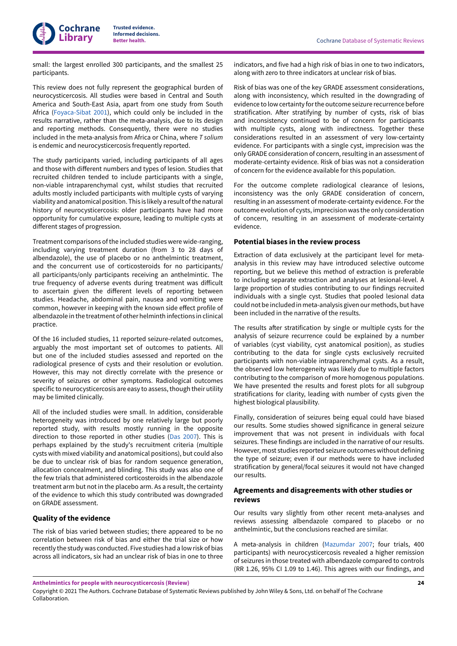

small: the largest enrolled 300 participants, and the smallest 25 participants.

This review does not fully represent the geographical burden of neurocysticercosis. All studies were based in Central and South America and South-East Asia, apart from one study from South Africa ([Foyaca-Sibat](#page-29-6) 2001), which could only be included in the results narrative, rather than the meta-analysis, due to its design and reporting methods. Consequently, there were no studies included in the meta-analysis from Africa or China, where *T solium* is endemic and neurocysticercosis frequently reported.

The study participants varied, including participants of all ages and those with different numbers and types of lesion. Studies that recruited children tended to include participants with a single, non-viable intraparenchymal cyst, whilst studies that recruited adults mostly included participants with multiple cysts of varying viability and anatomical position. This is likely a result of the natural history of neurocysticercosis: older participants have had more opportunity for cumulative exposure, leading to multiple cysts at different stages of progression.

Treatment comparisons of the included studies were wide-ranging, including varying treatment duration (from 3 to 28 days of albendazole), the use of placebo or no anthelmintic treatment, and the concurrent use of corticosteroids for no participants/ all participants/only participants receiving an anthelmintic. The true frequency of adverse events during treatment was difficult to ascertain given the different levels of reporting between studies. Headache, abdominal pain, nausea and vomiting were common, however in keeping with the known side effect profile of albendazole in the treatment of other helminth infections in clinical practice.

Of the 16 included studies, 11 reported seizure-related outcomes, arguably the most important set of outcomes to patients. All but one of the included studies assessed and reported on the radiological presence of cysts and their resolution or evolution. However, this may not directly correlate with the presence or severity of seizures or other symptoms. Radiological outcomes specific to neurocysticercosis are easy to assess, though their utility may be limited clinically.

All of the included studies were small. In addition, considerable heterogeneity was introduced by one relatively large but poorly reported study, with results mostly running in the opposite direction to those reported in other studies [\(Das 2007](#page-29-9)). This is perhaps explained by the study's recruitment criteria (multiple cysts with mixed viability and anatomical positions), but could also be due to unclear risk of bias for random sequence generation, allocation concealment, and blinding. This study was also one of the few trials that administered corticosteroids in the albendazole treatment arm but not in the placebo arm. As a result, the certainty of the evidence to which this study contributed was downgraded on GRADE assessment.

### **Quality of the evidence**

The risk of bias varied between studies; there appeared to be no correlation between risk of bias and either the trial size or how recently the study was conducted. Five studies had a low risk of bias across all indicators, six had an unclear risk of bias in one to three

indicators, and five had a high risk of bias in one to two indicators, along with zero to three indicators at unclear risk of bias.

Risk of bias was one of the key GRADE assessment considerations, along with inconsistency, which resulted in the downgrading of evidence to low certainty forthe outcome seizure recurrence before stratification. After stratifying by number of cysts, risk of bias and inconsistency continued to be of concern for participants with multiple cysts, along with indirectness. Together these considerations resulted in an assessment of very low-certainty evidence. For participants with a single cyst, imprecision was the only GRADE consideration of concern, resulting in an assessment of moderate-certainty evidence. Risk of bias was not a consideration of concern for the evidence available for this population.

For the outcome complete radiological clearance of lesions, inconsistency was the only GRADE consideration of concern, resulting in an assessment of moderate-certainty evidence. For the outcome evolution of cysts, imprecision was the only consideration of concern, resulting in an assessment of moderate-certainty evidence.

### **Potential biases in the review process**

Extraction of data exclusively at the participant level for metaanalysis in this review may have introduced selective outcome reporting, but we believe this method of extraction is preferable to including separate extraction and analyses at lesional-level. A large proportion of studies contributing to our findings recruited individuals with a single cyst. Studies that pooled lesional data could not be included in meta-analysis given our methods, but have been included in the narrative of the results.

The results after stratification by single or multiple cysts for the analysis of seizure recurrence could be explained by a number of variables (cyst viability, cyst anatomical position), as studies contributing to the data for single cysts exclusively recruited participants with non-viable intraparenchymal cysts. As a result, the observed low heterogeneity was likely due to multiple factors contributing to the comparison of more homogenous populations. We have presented the results and forest plots for all subgroup stratifications for clarity, leading with number of cysts given the highest biological plausibility.

Finally, consideration of seizures being equal could have biased our results. Some studies showed significance in general seizure improvement that was not present in individuals with focal seizures. These findings are included in the narrative of our results. However, most studies reported seizure outcomes without defining the type of seizure; even if our methods were to have included stratification by general/focal seizures it would not have changed our results.

### **Agreements and disagreements with other studies or reviews**

Our results vary slightly from other recent meta-analyses and reviews assessing albendazole compared to placebo or no anthelmintic, but the conclusions reached are similar.

A meta-analysis in children ([Mazumdar](#page-31-17) 2007; four trials, 400 participants) with neurocysticercosis revealed a higher remission of seizures in those treated with albendazole compared to controls (RR 1.26, 95% CI 1.09 to 1.46). This agrees with our findings, and

**Anthelmintics for people with neurocysticercosis (Review)**

Copyright © 2021 The Authors. Cochrane Database of Systematic Reviews published by John Wiley & Sons, Ltd. on behalf of The Cochrane Collaboration.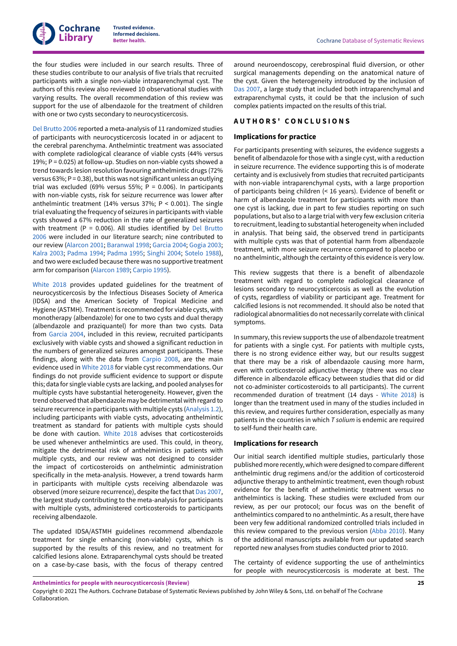the four studies were included in our search results. Three of these studies contribute to our analysis of five trials that recruited participants with a single non-viable intraparenchymal cyst. The authors of this review also reviewed 10 observational studies with varying results. The overall recommendation of this review was support for the use of albendazole for the treatment of children with one or two cysts secondary to neurocysticercosis.

Del [Brutto](#page-31-18) 2006 reported a meta-analysis of 11 randomized studies of participants with neurocysticercosis located in or adjacent to the cerebral parenchyma. Anthelmintic treatment was associated with complete radiological clearance of viable cysts (44% versus 19%; P = 0.025) at follow-up. Studies on non-viable cysts showed a trend towards lesion resolution favouring anthelmintic drugs (72% versus 63%;  $P = 0.38$ ), but this was not significant unless an outlying trial was excluded (69% versus 55%;  $P = 0.006$ ). In participants with non-viable cysts, risk for seizure recurrence was lower after anthelmintic treatment (14% versus 37%; P < 0.001). The single trial evaluating the frequency of seizures in participants with viable cysts showed a 67% reduction in the rate of generalized seizures with treatment (P = 0.006). All studies identified by Del [Brutto](#page-31-18) [2006](#page-31-18) were included in our literature search; nine contributed to our review ([Alarcon](#page-29-13) 2001; [Baranwal](#page-29-8) 1998; [Garcia](#page-29-15) 2004; [Gogia 2003](#page-29-11); [Kalra](#page-29-12) 2003; [Padma](#page-30-2) 1994; [Padma](#page-30-3) 1995; [Singhi 2004;](#page-30-5) [Sotelo](#page-30-6) 1988), and two were excluded because there was no supportive treatment arm for comparison ([Alarcon](#page-30-7) 1989; [Carpio 1995\)](#page-30-13).

[White](#page-32-1) 2018 provides updated guidelines for the treatment of neurocysticercosis by the Infectious Diseases Society of America (IDSA) and the American Society of Tropical Medicine and Hygiene (ASTMH). Treatment is recommended for viable cysts, with monotherapy (albendazole) for one to two cysts and dual therapy (albendazole and praziquantel) for more than two cysts. Data from [Garcia](#page-29-15) 2004, included in this review, recruited participants exclusively with viable cysts and showed a significant reduction in the numbers of generalized seizures amongst participants. These findings, along with the data from [Carpio 2008](#page-29-14), are the main evidence used in [White](#page-32-1) 2018 for viable cyst recommendations. Our findings do not provide sufficient evidence to support or dispute this; data for single viable cysts are lacking, and pooled analyses for multiple cysts have substantial heterogeneity. However, given the trend observed that albendazole may be detrimental with regard to seizure recurrence in participants with multiple cysts [\(Analysis 1.2\)](#page-54-0), including participants with viable cysts, advocating anthelmintic treatment as standard for patients with multiple cysts should be done with caution. [White](#page-32-1) 2018 advises that corticosteroids be used whenever anthelmintics are used. This could, in theory, mitigate the detrimental risk of anthelmintics in patients with multiple cysts, and our review was not designed to consider the impact of corticosteroids on anthelmintic administration specifically in the meta-analysis. However, a trend towards harm in participants with multiple cysts receiving albendazole was observed (more seizure recurrence), despite the fact that [Das 2007](#page-29-9), the largest study contributing to the meta-analysis for participants with multiple cysts, administered corticosteroids to participants receiving albendazole.

The updated IDSA/ASTMH guidelines recommend albendazole treatment for single enhancing (non-viable) cysts, which is supported by the results of this review, and no treatment for calcified lesions alone. Extraparenchymal cysts should be treated on a case-by-case basis, with the focus of therapy centred

**Better health.** Cochrane Database of Systematic Reviews

around neuroendoscopy, cerebrospinal fluid diversion, or other surgical managements depending on the anatomical nature of the cyst. Given the heterogeneity introduced by the inclusion of [Das 2007,](#page-29-9) a large study that included both intraparenchymal and extraparenchymal cysts, it could be that the inclusion of such complex patients impacted on the results of this trial.

### <span id="page-27-0"></span>**A U T H O R S ' C O N C L U S I O N S**

### **Implications for practice**

For participants presenting with seizures, the evidence suggests a benefit of albendazole for those with a single cyst, with a reduction in seizure recurrence. The evidence supporting this is of moderate certainty and is exclusively from studies that recruited participants with non-viable intraparenchymal cysts, with a large proportion of participants being children (< 16 years). Evidence of benefit or harm of albendazole treatment for participants with more than one cyst is lacking, due in part to few studies reporting on such populations, but also to a large trial with very few exclusion criteria to recruitment, leading to substantial heterogeneity when included in analysis. That being said, the observed trend in participants with multiple cysts was that of potential harm from albendazole treatment, with more seizure recurrence compared to placebo or no anthelmintic, although the certainty of this evidence is very low.

This review suggests that there is a benefit of albendazole treatment with regard to complete radiological clearance of lesions secondary to neurocysticercosis as well as the evolution of cysts, regardless of viability or participant age. Treatment for calcified lesions is not recommended. It should also be noted that radiological abnormalities do not necessarily correlate with clinical symptoms.

In summary, this review supports the use of albendazole treatment for patients with a single cyst. For patients with multiple cysts, there is no strong evidence either way, but our results suggest that there may be a risk of albendazole causing more harm, even with corticosteroid adjunctive therapy (there was no clear difference in albendazole efficacy between studies that did or did not co-administer corticosteroids to all participants). The current recommended duration of treatment (14 days - [White](#page-32-1) 2018) is longer than the treatment used in many of the studies included in this review, and requires further consideration, especially as many patients in the countries in which *T solium* is endemic are required to self-fund their health care.

### **Implications for research**

Our initial search identified multiple studies, particularly those published more recently, which were designed to compare different anthelmintic drug regimens and/or the addition of corticosteroid adjunctive therapy to anthelmintic treatment, even though robust evidence for the benefit of anthelmintic treatment versus no anthelmintics is lacking. These studies were excluded from our review, as per our protocol; our focus was on the benefit of anthelmintics compared to no anthelmintic. As a result, there have been very few additional randomized controlled trials included in this review compared to the previous version ([Abba](#page-32-3) 2010). Many of the additional manuscripts available from our updated search reported new analyses from studies conducted prior to 2010.

The certainty of evidence supporting the use of anthelmintics for people with neurocysticercosis is moderate at best. The

**Anthelmintics for people with neurocysticercosis (Review)**

Copyright © 2021 The Authors. Cochrane Database of Systematic Reviews published by John Wiley & Sons, Ltd. on behalf of The Cochrane Collaboration.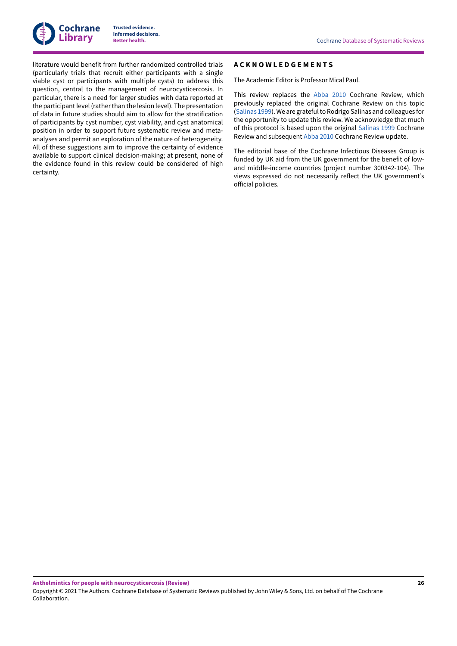

literature would benefit from further randomized controlled trials (particularly trials that recruit either participants with a single viable cyst or participants with multiple cysts) to address this question, central to the management of neurocysticercosis. In particular, there is a need for larger studies with data reported at the participant level (rather than the lesion level). The presentation of data in future studies should aim to allow for the stratification of participants by cyst number, cyst viability, and cyst anatomical position in order to support future systematic review and metaanalyses and permit an exploration of the nature of heterogeneity. All of these suggestions aim to improve the certainty of evidence available to support clinical decision-making; at present, none of the evidence found in this review could be considered of high certainty.

### <span id="page-28-0"></span>**A C K N O W L E D G E M E N T S**

The Academic Editor is Professor Mical Paul.

This review replaces the [Abba](#page-32-3) 2010 Cochrane Review, which previously replaced the original Cochrane Review on this topic [\(Salinas 1999\)](#page-32-2). We are grateful to Rodrigo Salinas and colleagues for the opportunity to update this review. We acknowledge that much of this protocol is based upon the original [Salinas 1999](#page-32-2) Cochrane Review and subsequent [Abba](#page-32-3) 2010 Cochrane Review update.

The editorial base of the Cochrane Infectious Diseases Group is funded by UK aid from the UK government for the benefit of lowand middle-income countries (project number 300342-104). The views expressed do not necessarily reflect the UK government's official policies.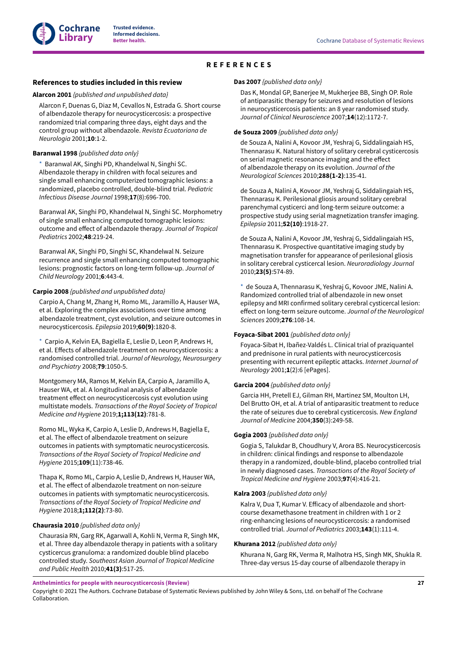# <span id="page-29-3"></span>**REFERENCES**

### <span id="page-29-4"></span><span id="page-29-0"></span>**References to studies included in this review**

### <span id="page-29-13"></span>**Alarcon 2001** *{published and unpublished data}*

Alarcon F, Duenas G, Diaz M, Cevallos N, Estrada G. Short course of albendazole therapy for neurocysticercosis: a prospective randomized trial comparing three days, eight days and the control group without albendazole. *Revista Ecuatoriana de Neurologia* 2001;**10**:1-2.

### <span id="page-29-8"></span>**Baranwal 1998** *{published data only}*

Baranwal AK, Singhi PD, Khandelwal N, Singhi SC. Albendazole therapy in children with focal seizures and single small enhancing computerized tomographic lesions: a randomized, placebo controlled, double-blind trial. *Pediatric Infectious Disease Journal* 1998;**17**(8):696-700.

Baranwal AK, Singhi PD, Khandelwal N, Singhi SC. Morphometry of single small enhancing computed tomographic lesions:  $outcome$  and effect of albendazole therapy. *Journal of Tropical Pediatrics* 2002;**48**:219-24.

Baranwal AK, Singhi PD, Singhi SC, Khandelwal N. Seizure recurrence and single small enhancing computed tomographic lesions: prognostic factors on long-term follow-up. *Journal of Child Neurology* 2001;**6**:443-4.

### <span id="page-29-14"></span>**Carpio 2008** *{published and unpublished data}*

Carpio A, Chang M, Zhang H, Romo ML, Jaramillo A, Hauser WA, et al. Exploring the complex associations over time among albendazole treatment, cyst evolution, and seizure outcomes in neurocysticercosis. *Epilepsia* 2019;**60(9)**:1820-8.

[\\*](#page-32-5)  Carpio A, Kelvin EA, Bagiella E, Leslie D, Leon P, Andrews H, et al. Effects of albendazole treatment on neurocysticercosis: a randomised controlled trial. *Journal of Neurology, Neurosurgery and Psychiatry* 2008;**79**:1050-5.

Montgomery MA, Ramos M, Kelvin EA, Carpio A, Jaramillo A, Hauser WA, et al. A longitudinal analysis of albendazole treatment effect on neurocysticercosis cyst evolution using multistate models. *Transactions of the Royal Society of Tropical Medicine and Hygiene* 2019;**1;113(12)**:781-8.

Romo ML, Wyka K, Carpio A, Leslie D, Andrews H, Bagiella E, et al. The effect of albendazole treatment on seizure outcomes in patients with symptomatic neurocysticercosis. *Transactions of the Royal Society of Tropical Medicine and Hygiene* 2015;**109**(11):738-46.

Thapa K, Romo ML, Carpio A, Leslie D, Andrews H, Hauser WA, et al. The effect of albendazole treatment on non-seizure outcomes in patients with symptomatic neurocysticercosis. *Transactions of the Royal Society of Tropical Medicine and Hygiene* 2018;**1;112(2)**:73-80.

### <span id="page-29-5"></span>**Chaurasia 2010** *{published data only}*

Chaurasia RN, Garg RK, Agarwall A, Kohli N, Verma R, Singh MK, et al. Three day albendazole therapy in patients with a solitary cysticercus granuloma: a randomized double blind placebo controlled study. *Southeast Asian Journal of Tropical Medicine and Public Health* 2010;**41(3)**:517-25.

#### <span id="page-29-9"></span>**Das 2007** *{published data only}*

Das K, Mondal GP, Banerjee M, Mukherjee BB, Singh OP. Role of antiparasitic therapy for seizures and resolution of lesions in neurocysticercosis patients: an 8 year randomised study. *Journal of Clinical Neuroscience* 2007;**14**(12):1172-7.

### <span id="page-29-10"></span>**de Souza 2009** *{published data only}*

de Souza A, Nalini A, Kovoor JM, Yeshraj G, Siddalingaiah HS, Thennarasu K. Natural history of solitary cerebral cysticercosis on serial magnetic resonance imaging and the effect of albendazole therapy on its evolution. *Journal of the Neurological Sciences* 2010;**288(1-2)**:135-41.

de Souza A, Nalini A, Kovoor JM, Yeshraj G, Siddalingaiah HS, Thennarasu K. Perilesional gliosis around solitary cerebral parenchymal cysticerci and long-term seizure outcome: a prospective study using serial magnetization transfer imaging. *Epilepsia* 2011;**52(10)**:1918-27.

de Souza A, Nalini A, Kovoor JM, Yeshraj G, Siddalingaiah HS, Thennarasu K. Prospective quantitative imaging study by magnetisation transfer for appearance of perilesional gliosis in solitary cerebral cysticercal lesion. *Neuroradiology Journal* 2010;**23(5)**:574-89.

<span id="page-29-1"></span>[\\*](#page-32-5)  de Souza A, Thennarasu K, Yeshraj G, Kovoor JME, Nalini A. Randomized controlled trial of albendazole in new onset epilepsy and MRI confirmed solitary cerebral cysticercal lesion: effect on long-term seizure outcome. Journal of the Neurological *Sciences* 2009;**276**:108-14.

#### <span id="page-29-6"></span>**Foyaca-Sibat 2001** *{published data only}*

<span id="page-29-2"></span>Foyaca-Sibat H, Ibañez-Valdés L. Clinical trial of praziquantel and prednisone in rural patients with neurocysticercosis presenting with recurrent epileptic attacks. *Internet Journal of Neurology* 2001;**1**(2):6 [ePages].

#### <span id="page-29-15"></span>**Garcia 2004** *{published data only}*

Garcia HH, Pretell EJ, Gilman RH, Martinez SM, Moulton LH, Del Brutto OH, et al. A trial of antiparasitic treatment to reduce the rate of seizures due to cerebral cysticercosis. *New England Journal of Medicine* 2004;**350**(3):249-58.

### <span id="page-29-11"></span>**Gogia 2003** *{published data only}*

Gogia S, Talukdar B, Choudhury V, Arora BS. Neurocysticercosis in children: clinical findings and response to albendazole therapy in a randomized, double-blind, placebo controlled trial in newly diagnosed cases. *Transactions of the Royal Society of Tropical Medicine and Hygiene* 2003;**97**(4):416-21.

#### <span id="page-29-12"></span>**Kalra 2003** *{published data only}*

Kalra V, Dua T, Kumar V. Efficacy of albendazole and shortcourse dexamethasone treatment in children with 1 or 2 ring-enhancing lesions of neurocysticercosis: a randomised controlled trial. *Journal of Pediatrics* 2003;**143**(1):111-4.

#### <span id="page-29-7"></span>**Khurana 2012** *{published data only}*

Khurana N, Garg RK, Verma R, Malhotra HS, Singh MK, Shukla R. Three-day versus 15-day course of albendazole therapy in

**Anthelmintics for people with neurocysticercosis (Review)**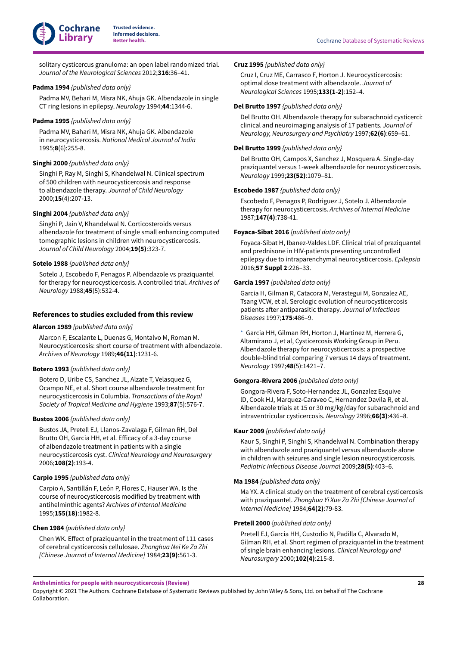<span id="page-30-1"></span><span id="page-30-0"></span>solitary cysticercus granuloma: an open label randomized trial. *Journal of the Neurological Sciences* 2012;**316**:36–41.

### <span id="page-30-2"></span>**Padma 1994** *{published data only}*

Padma MV, Behari M, Misra NK, Ahuja GK. Albendazole in single CT ring lesions in epilepsy. *Neurology* 1994;**44**:1344-6.

### <span id="page-30-3"></span>**Padma 1995** *{published data only}*

Padma MV, Bahari M, Misra NK, Ahuja GK. Albendazole in neurocysticercosis. *National Medical Journal of India* 1995;**8**(6):255-8.

### <span id="page-30-4"></span>**Singhi 2000** *{published data only}*

Singhi P, Ray M, Singhi S, Khandelwal N. Clinical spectrum of 500 children with neurocysticercosis and response to albendazole therapy. *Journal of Child Neurology* 2000;**15**(4):207-13.

### <span id="page-30-5"></span>**Singhi 2004** *{published data only}*

Singhi P, Jain V, Khandelwal N. Corticosteroids versus albendazole for treatment of single small enhancing computed tomographic lesions in children with neurocysticercosis. *Journal of Child Neurology* 2004;**19(5)**:323-7.

### <span id="page-30-6"></span>**Sotelo 1988** *{published data only}*

Sotelo J, Escobedo F, Penagos P. Albendazole vs praziquantel for therapy for neurocysticercosis. A controlled trial. *Archives of Neurology* 1988;**45**(5):532-4.

### **References to studies excluded from this review**

#### <span id="page-30-7"></span>**Alarcon 1989** *{published data only}*

Alarcon F, Escalante L, Duenas G, Montalvo M, Roman M. Neurocysticercosis: short course of treatment with albendazole. *Archives of Neurology* 1989;**46(11)**:1231-6.

### **Botero 1993** *{published data only}*

Botero D, Uribe CS, Sanchez JL, Alzate T, Velasquez G, Ocampo NE, et al. Short course albendazole treatment for neurocysticercosis in Columbia. *Transactions of the Royal Society of Tropical Medicine and Hygiene* 1993;**87**(5):576-7.

#### **Bustos 2006** *{published data only}*

Bustos JA, Pretell EJ, Llanos-Zavalaga F, Gilman RH, Del Brutto OH, Garcia HH, et al. Efficacy of a 3-day course of albendazole treatment in patients with a single neurocysticercosis cyst. *Clinical Neurology and Neurosurgery* 2006;**108(2)**:193-4.

### <span id="page-30-13"></span>**Carpio 1995** *{published data only}*

Carpio A, Santillán F, León P, Flores C, Hauser WA. Is the course of neurocysticercosis modified by treatment with antihelminthic agents? *Archives of Internal Medicine* 1995;**155(18)**:1982-8.

#### **Chen 1984** *{published data only}*

Chen WK. Effect of praziquantel in the treatment of 111 cases of cerebral cysticercosis cellulosae. *Zhonghua Nei Ke Za Zhi [Chinese Journal of Internal Medicine]* 1984;**23(9)**:561-3.

### <span id="page-30-8"></span>**Cruz 1995** *{published data only}*

Cruz I, Cruz ME, Carrasco F, Horton J. Neurocysticercosis: optimal dose treatment with albendazole. *Journal of Neurological Sciences* 1995;**133(1-2)**:152–4.

### **Del Brutto 1997** *{published data only}*

Del Brutto OH. Albendazole therapy for subarachnoid cysticerci: clinical and neuroimaging analysis of 17 patients. *Journal of Neurology, Neurosurgery and Psychiatry* 1997;**62(6)**:659–61.

### <span id="page-30-9"></span>**Del Brutto 1999** *{published data only}*

Del Brutto OH, Campos X, Sanchez J, Mosquera A. Single-day praziquantel versus 1-week albendazole for neurocysticercosis. *Neurology* 1999;**23(52)**:1079–81.

### **Escobedo 1987** *{published data only}*

Escobedo F, Penagos P, Rodriguez J, Sotelo J. Albendazole therapy for neurocysticercosis. *Archives of Internal Medicine* 1987;**147(4)**:738-41.

### **Foyaca-Sibat 2016** *{published data only}*

Foyaca-Sibat H, Ibanez-Valdes LDF. Clinical trial of praziquantel and prednisone in HIV-patients presenting uncontrolled epilepsy due to intraparenchymal neurocysticercosis. *Epilepsia* 2016;**57 Suppl 2**:226–33.

### <span id="page-30-10"></span>**Garcia 1997** *{published data only}*

Garcia H, Gilman R, Catacora M, Verastegui M, Gonzalez AE, Tsang VCW, et al. Serologic evolution of neurocysticercosis patients after antiparasitic therapy. Journal of Infectious *Diseases* 1997;**175**:486–9.

[\\*](#page-32-5)  Garcia HH, Gilman RH, Horton J, Martinez M, Herrera G, Altamirano J, et al, Cysticercosis Working Group in Peru. Albendazole therapy for neurocysticercosis: a prospective double-blind trial comparing 7 versus 14 days of treatment. *Neurology* 1997;**48**(5):1421–7.

### <span id="page-30-11"></span>**Gongora-Rivera 2006** *{published data only}*

Gongora-Rivera F, Soto-Hernandez JL, Gonzalez Esquive lD, Cook HJ, Marquez-Caraveo C, Hernandez Davila R, et al. Albendazole trials at 15 or 30 mg/kg/day for subarachnoid and intraventricular cysticercosis. *Neurology* 2996;**66(3)**:436–8.

### <span id="page-30-12"></span>**Kaur 2009** *{published data only}*

Kaur S, Singhi P, Singhi S, Khandelwal N. Combination therapy with albendazole and praziquantel versus albendazole alone in children with seizures and single lesion neurocysticercosis. *Pediatric Infectious Disease Journal* 2009;**28(5)**:403–6.

### **Ma 1984** *{published data only}*

Ma YX. A clinical study on the treatment of cerebral cysticercosis with praziquantel. *Zhonghua Yi Xue Za Zhi [Chinese Journal of Internal Medicine]* 1984;**64(2)**:79-83.

#### **Pretell 2000** *{published data only}*

Pretell EJ, Garcia HH, Custodio N, Padilla C, Alvarado M, Gilman RH, et al. Short regimen of praziquantel in the treatment of single brain enhancing lesions. *Clinical Neurology and Neurosurgery* 2000;**102(4)**:215-8.

**Anthelmintics for people with neurocysticercosis (Review)**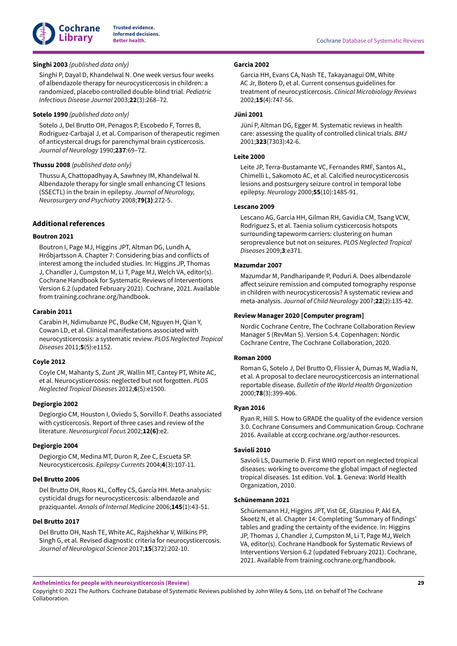

### <span id="page-31-15"></span>**Singhi 2003** *{published data only}*

Singhi P, Dayal D, Khandelwal N. One week versus four weeks of albendazole therapy for neurocysticercosis in children: a randomized, placebo controlled double-blind trial. *Pediatric Infectious Disease Journal* 2003;**22**(3):268–72.

### <span id="page-31-16"></span>**Sotelo 1990** *{published data only}*

Sotelo J, Del Brutto OH, Penagos P, Escobedo F, Torres B, Rodriguez-Carbajal J, et al. Comparison of therapeutic regimen of anticystercal drugs for parenchymal brain cysticercosis. *Journal of Neurology* 1990;**237**:69–72.

### **Thussu 2008** *{published data only}*

Thussu A, Chattopadhyay A, Sawhney IM, Khandelwal N. Albendazole therapy for single small enhancing CT lesions (SSECTL) in the brain in epilepsy. *Journal of Neurology, Neurosurgery and Psychiatry* 2008;**79(3)**:272-5.

### **Additional references**

### <span id="page-31-11"></span>**Boutron 2021**

Boutron I, Page MJ, Higgins JPT, Altman DG, Lundh A, Hróbjartsson A. Chapter 7: Considering bias and conflicts of interest among the included studies. In: Higgins JP, Thomas J, Chandler J, Cumpston M, Li T, Page MJ, Welch VA, editor(s). Cochrane Handbook for Systematic Reviews of Interventions Version 6.2 (updated February 2021). Cochrane, 2021. Available from training.cochrane.org/handbook.

### <span id="page-31-4"></span>**Carabin 2011**

Carabin H, Ndimubanze PC, Budke CM, Nguyen H, Qian Y, Cowan LD, et al. Clinical manifestations associated with neurocysticercosis: a systematic review. *PLOS Neglected Tropical Diseases* 2011;**5**(5):e1152.

#### <span id="page-31-1"></span>**Coyle 2012**

Coyle CM, Mahanty S, Zunt JR, Wallin MT, Cantey PT, White AC, et al. Neurocysticercosis: neglected but not forgotten. *PLOS Neglected Tropical Diseases* 2012;**6**(5):e1500.

#### <span id="page-31-5"></span>**Degiorgio 2002**

Degiorgio CM, Houston I, Oviedo S, Sorvillo F. Deaths associated with cysticercosis. Report of three cases and review of the literature. *Neurosurgical Focus* 2002;**12(6)**:e2.

### <span id="page-31-7"></span>**Degiorgio 2004**

Degiorgio CM, Medina MT, Duron R, Zee C, Escueta SP. Neurocysticercosis. *Epilepsy Currents* 2004;**4**(3):107-11.

#### <span id="page-31-18"></span>**Del Brutto 2006**

Del Brutto OH, Roos KL, Coffey CS, García HH. Meta-analysis: cysticidal drugs for neurocysticercosis: albendazole and praziquantel. *Annals of Internal Medicine* 2006;**145**(1):43-51.

#### <span id="page-31-6"></span>**Del Brutto 2017**

Del Brutto OH, Nash TE, White AC, Rajshekhar V, Wilkins PP, Singh G, et al. Revised diagnostic criteria for neurocysticercosis. *Journal of Neurological Science* 2017;**15**(372):202-10.

### <span id="page-31-9"></span>**Garcia 2002**

Garcia HH, Evans CA, Nash TE, Takayanagui OM, White AC Jr, Botero D, et al. Current consensus guidelines for treatment of neurocysticercosis. *Clinical Microbiology Reviews* 2002;**15**(4):747-56.

### <span id="page-31-12"></span>**Jüni 2001**

Jüni P, Altman DG, Egger M. Systematic reviews in health care: assessing the quality of controlled clinical trials. *BMJ* 2001;**323**(7303):42-6.

### <span id="page-31-8"></span>**Leite 2000**

Leite JP, Terra-Bustamante VC, Fernandes RMF, Santos AL, Chimelli L, Sakomoto AC, et al. Calcified neurocysticercosis lesions and postsurgery seizure control in temporal lobe epilepsy. *Neurology* 2000;**55**(10):1485-91.

#### <span id="page-31-0"></span>**Lescano 2009**

Lescano AG, Garcia HH, Gilman RH, Gavidia CM, Tsang VCW, Rodriguez S, et al. Taenia solium cysticercosis hotspots surrounding tapeworm carriers: clustering on human seroprevalence but not on seizures. *PLOS Neglected Tropical Diseases* 2009;**3**:e371.

### <span id="page-31-17"></span>**Mazumdar 2007**

Mazumdar M, Pandharipande P, Poduri A. Does albendazole affect seizure remission and computed tomography response in children with neurocysticercosis? A systematic review and meta-analysis. *Journal of Child Neurology* 2007;**22**(2):135-42.

### <span id="page-31-10"></span>**Review Manager 2020 [Computer program]**

Nordic Cochrane Centre, The Cochrane Collaboration Review Manager 5 (RevMan 5). Version 5.4. Copenhagen: Nordic Cochrane Centre, The Cochrane Collaboration, 2020.

### <span id="page-31-3"></span>**Roman 2000**

Roman G, Sotelo J, Del Brutto O, Flissier A, Dumas M, Wadia N, et al. A proposal to declare neurocysticercosis an international reportable disease. *Bulletin of the World Health Organization* 2000;**78**(3):399-406.

#### <span id="page-31-13"></span>**Ryan 2016**

Ryan R, Hill S. How to GRADE the quality of the evidence version 3.0. Cochrane Consumers and Communication Group. Cochrane 2016. Available at cccrg.cochrane.org/author-resources.

### <span id="page-31-2"></span>**Savioli 2010**

Savioli LS, Daumerie D. First WHO report on neglected tropical diseases: working to overcome the global impact of neglected tropical diseases. 1st edition. Vol. **1**. Geneva: World Health Organization, 2010.

#### <span id="page-31-14"></span>**Schünemann 2021**

Schünemann HJ, Higgins JPT, Vist GE, Glasziou P, Akl EA, Skoetz N, et al. Chapter 14: Completing 'Summary of findings' tables and grading the certainty of the evidence. In: Higgins JP, Thomas J, Chandler J, Cumpston M, Li T, Page MJ, Welch VA, editor(s). Cochrane Handbook for Systematic Reviews of Interventions Version 6.2 (updated February 2021). Cochrane, 2021. Available from training.cochrane.org/handbook.

**Anthelmintics for people with neurocysticercosis (Review)**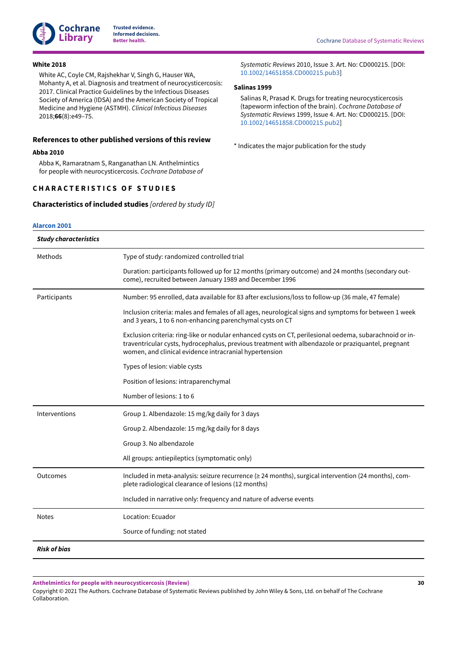

### <span id="page-32-1"></span>**White 2018**

White AC, Coyle CM, Rajshekhar V, Singh G, Hauser WA, Mohanty A, et al. Diagnosis and treatment of neurocysticercosis: 2017. Clinical Practice Guidelines by the Infectious Diseases Society of America (IDSA) and the American Society of Tropical Medicine and Hygiene (ASTMH). *Clinical Infectious Diseases* 2018;**66**(8):e49–75.

### **References to other published versions of this review**

#### <span id="page-32-3"></span>**Abba 2010**

Abba K, Ramaratnam S, Ranganathan LN. Anthelmintics for people with neurocysticercosis. *Cochrane Database of*

# <span id="page-32-0"></span>**C H A R A C T E R I S T I C S O F S T U D I E S**

<span id="page-32-4"></span>**Characteristics of included studies** *[ordered by study ID]*

**[Alarcon](#page-29-13) 2001**

*Systematic Reviews* 2010, Issue 3. Art. No: CD000215. [DOI: [10.1002/14651858.CD000215.pub3\]](https://doi.org/10.1002%2F14651858.CD000215.pub3)

### <span id="page-32-2"></span>**Salinas 1999**

Salinas R, Prasad K. Drugs for treating neurocysticercosis (tapeworm infection of the brain). *Cochrane Database of Systematic Reviews* 1999, Issue 4. Art. No: CD000215. [DOI: [10.1002/14651858.CD000215.pub2\]](https://doi.org/10.1002%2F14651858.CD000215.pub2)

<span id="page-32-5"></span>\* Indicates the major publication for the study

| <b>Study characteristics</b> |                                                                                                                                                                                                                                                                         |
|------------------------------|-------------------------------------------------------------------------------------------------------------------------------------------------------------------------------------------------------------------------------------------------------------------------|
| Methods                      | Type of study: randomized controlled trial                                                                                                                                                                                                                              |
|                              | Duration: participants followed up for 12 months (primary outcome) and 24 months (secondary out-<br>come), recruited between January 1989 and December 1996                                                                                                             |
| Participants                 | Number: 95 enrolled, data available for 83 after exclusions/loss to follow-up (36 male, 47 female)                                                                                                                                                                      |
|                              | Inclusion criteria: males and females of all ages, neurological signs and symptoms for between 1 week<br>and 3 years, 1 to 6 non-enhancing parenchymal cysts on CT                                                                                                      |
|                              | Exclusion criteria: ring-like or nodular enhanced cysts on CT, perilesional oedema, subarachnoid or in-<br>traventricular cysts, hydrocephalus, previous treatment with albendazole or praziquantel, pregnant<br>women, and clinical evidence intracranial hypertension |
|                              | Types of lesion: viable cysts                                                                                                                                                                                                                                           |
|                              | Position of lesions: intraparenchymal                                                                                                                                                                                                                                   |
|                              | Number of lesions: 1 to 6                                                                                                                                                                                                                                               |
| Interventions                | Group 1. Albendazole: 15 mg/kg daily for 3 days                                                                                                                                                                                                                         |
|                              | Group 2. Albendazole: 15 mg/kg daily for 8 days                                                                                                                                                                                                                         |
|                              | Group 3. No albendazole                                                                                                                                                                                                                                                 |
|                              | All groups: antiepileptics (symptomatic only)                                                                                                                                                                                                                           |
| Outcomes                     | Included in meta-analysis: seizure recurrence (≥ 24 months), surgical intervention (24 months), com-<br>plete radiological clearance of lesions (12 months)                                                                                                             |
|                              | Included in narrative only: frequency and nature of adverse events                                                                                                                                                                                                      |
| <b>Notes</b>                 | Location: Ecuador                                                                                                                                                                                                                                                       |
|                              | Source of funding: not stated                                                                                                                                                                                                                                           |
| <b>Risk of bias</b>          |                                                                                                                                                                                                                                                                         |

**Anthelmintics for people with neurocysticercosis (Review)**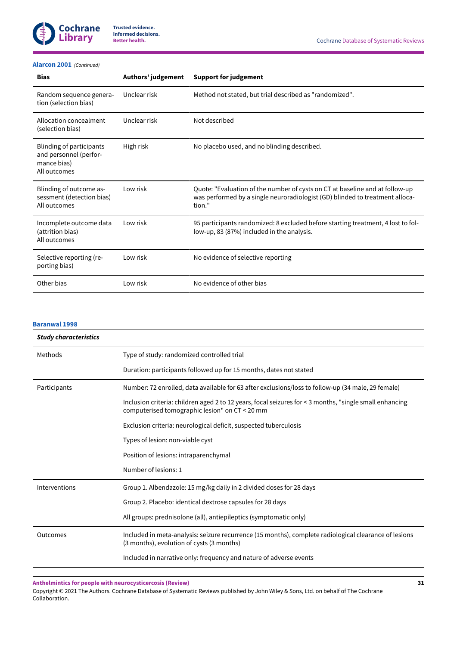

### **[Alarcon](#page-29-13) 2001**  *(Continued)*

| <b>Bias</b>                                                                              | Authors' judgement | <b>Support for judgement</b>                                                                                                                                           |
|------------------------------------------------------------------------------------------|--------------------|------------------------------------------------------------------------------------------------------------------------------------------------------------------------|
| Random sequence genera-<br>tion (selection bias)                                         | Unclear risk       | Method not stated, but trial described as "randomized".                                                                                                                |
| Allocation concealment<br>(selection bias)                                               | Unclear risk       | Not described                                                                                                                                                          |
| <b>Blinding of participants</b><br>and personnel (perfor-<br>mance bias)<br>All outcomes | High risk          | No placebo used, and no blinding described.                                                                                                                            |
| Blinding of outcome as-<br>sessment (detection bias)<br>All outcomes                     | Low risk           | Quote: "Evaluation of the number of cysts on CT at baseline and at follow-up<br>was performed by a single neuroradiologist (GD) blinded to treatment alloca-<br>tion." |
| Incomplete outcome data<br>(attrition bias)<br>All outcomes                              | Low risk           | 95 participants randomized: 8 excluded before starting treatment, 4 lost to fol-<br>low-up, 83 (87%) included in the analysis.                                         |
| Selective reporting (re-<br>porting bias)                                                | Low risk           | No evidence of selective reporting                                                                                                                                     |
| Other bias                                                                               | Low risk           | No evidence of other bias                                                                                                                                              |

### **[Baranwal](#page-29-8) 1998**

| <b>Study characteristics</b> |                                                                                                                                                           |
|------------------------------|-----------------------------------------------------------------------------------------------------------------------------------------------------------|
| Methods                      | Type of study: randomized controlled trial                                                                                                                |
|                              | Duration: participants followed up for 15 months, dates not stated                                                                                        |
| Participants                 | Number: 72 enrolled, data available for 63 after exclusions/loss to follow-up (34 male, 29 female)                                                        |
|                              | Inclusion criteria: children aged 2 to 12 years, focal seizures for < 3 months, "single small enhancing<br>computerised tomographic lesion" on CT < 20 mm |
|                              | Exclusion criteria: neurological deficit, suspected tuberculosis                                                                                          |
|                              | Types of lesion: non-viable cyst                                                                                                                          |
|                              | Position of lesions: intraparenchymal                                                                                                                     |
|                              | Number of lesions: 1                                                                                                                                      |
| Interventions                | Group 1. Albendazole: 15 mg/kg daily in 2 divided doses for 28 days                                                                                       |
|                              | Group 2. Placebo: identical dextrose capsules for 28 days                                                                                                 |
|                              | All groups: prednisolone (all), antiepileptics (symptomatic only)                                                                                         |
| Outcomes                     | Included in meta-analysis: seizure recurrence (15 months), complete radiological clearance of lesions<br>(3 months), evolution of cysts (3 months)        |
|                              | Included in narrative only: frequency and nature of adverse events                                                                                        |

**Anthelmintics for people with neurocysticercosis (Review)**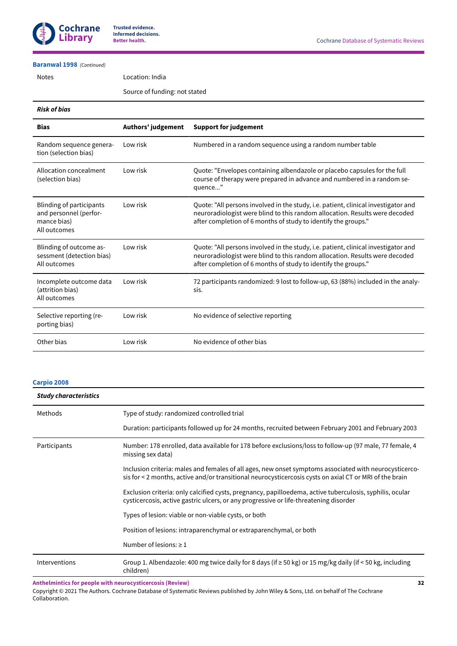

### **[Baranwal](#page-29-8) 1998**  *(Continued)*

Notes Location: India

Source of funding: not stated

### *Risk of bias*

| <b>Bias</b>                                                                              | Authors' judgement | <b>Support for judgement</b>                                                                                                                                                                                                        |
|------------------------------------------------------------------------------------------|--------------------|-------------------------------------------------------------------------------------------------------------------------------------------------------------------------------------------------------------------------------------|
| Random sequence genera-<br>tion (selection bias)                                         | Low risk           | Numbered in a random sequence using a random number table                                                                                                                                                                           |
| Allocation concealment<br>(selection bias)                                               | Low risk           | Quote: "Envelopes containing albendazole or placebo capsules for the full<br>course of therapy were prepared in advance and numbered in a random se-<br>quence"                                                                     |
| <b>Blinding of participants</b><br>and personnel (perfor-<br>mance bias)<br>All outcomes | Low risk           | Quote: "All persons involved in the study, i.e. patient, clinical investigator and<br>neuroradiologist were blind to this random allocation. Results were decoded<br>after completion of 6 months of study to identify the groups." |
| Blinding of outcome as-<br>sessment (detection bias)<br>All outcomes                     | Low risk           | Quote: "All persons involved in the study, i.e. patient, clinical investigator and<br>neuroradiologist were blind to this random allocation. Results were decoded<br>after completion of 6 months of study to identify the groups." |
| Incomplete outcome data<br>(attrition bias)<br>All outcomes                              | Low risk           | 72 participants randomized: 9 lost to follow-up, 63 (88%) included in the analy-<br>sis.                                                                                                                                            |
| Selective reporting (re-<br>porting bias)                                                | Low risk           | No evidence of selective reporting                                                                                                                                                                                                  |
| Other bias                                                                               | Low risk           | No evidence of other bias                                                                                                                                                                                                           |

### **[Carpio 2008](#page-29-14)**

| <b>Study characteristics</b> |                                                                                                                                                                                                                   |  |
|------------------------------|-------------------------------------------------------------------------------------------------------------------------------------------------------------------------------------------------------------------|--|
| Methods                      | Type of study: randomized controlled trial                                                                                                                                                                        |  |
|                              | Duration: participants followed up for 24 months, recruited between February 2001 and February 2003                                                                                                               |  |
| Participants                 | Number: 178 enrolled, data available for 178 before exclusions/loss to follow-up (97 male, 77 female, 4<br>missing sex data)                                                                                      |  |
|                              | Inclusion criteria: males and females of all ages, new onset symptoms associated with neurocysticerco-<br>sis for < 2 months, active and/or transitional neurocysticercosis cysts on axial CT or MRI of the brain |  |
|                              | Exclusion criteria: only calcified cysts, pregnancy, papilloedema, active tuberculosis, syphilis, ocular<br>cysticercosis, active gastric ulcers, or any progressive or life-threatening disorder                 |  |
|                              | Types of lesion: viable or non-viable cysts, or both                                                                                                                                                              |  |
|                              | Position of lesions: intraparenchymal or extraparenchymal, or both                                                                                                                                                |  |
|                              | Number of lesions: $\geq 1$                                                                                                                                                                                       |  |
| Interventions                | Group 1. Albendazole: 400 mg twice daily for 8 days (if $\geq$ 50 kg) or 15 mg/kg daily (if < 50 kg, including<br>children)                                                                                       |  |

**Anthelmintics for people with neurocysticercosis (Review)**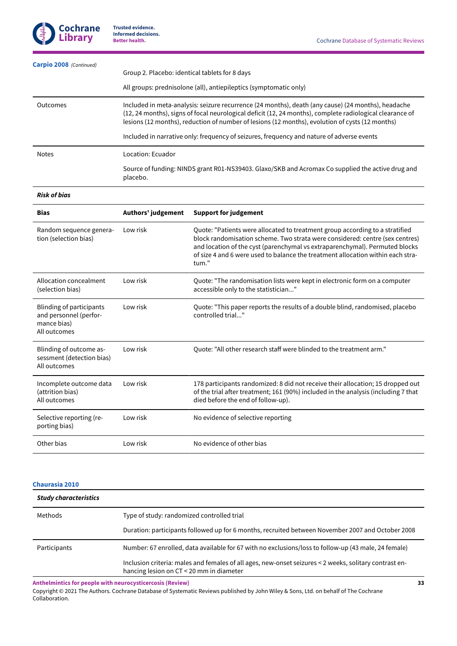| Carpio 2008 (Continued) | Group 2. Placebo: identical tablets for 8 days<br>All groups: prednisolone (all), antiepileptics (symptomatic only)                                                                                                                                                                                                                                                                                            |
|-------------------------|----------------------------------------------------------------------------------------------------------------------------------------------------------------------------------------------------------------------------------------------------------------------------------------------------------------------------------------------------------------------------------------------------------------|
| Outcomes                | Included in meta-analysis: seizure recurrence (24 months), death (any cause) (24 months), headache<br>(12, 24 months), signs of focal neurological deficit (12, 24 months), complete radiological clearance of<br>lesions (12 months), reduction of number of lesions (12 months), evolution of cysts (12 months)<br>Included in narrative only: frequency of seizures, frequency and nature of adverse events |
| <b>Notes</b>            | Location: Ecuador                                                                                                                                                                                                                                                                                                                                                                                              |
|                         | Source of funding: NINDS grant R01-NS39403. Glaxo/SKB and Acromax Co supplied the active drug and<br>placebo.                                                                                                                                                                                                                                                                                                  |

# *Risk of bias*

| <b>Bias</b>                                                                              | Authors' judgement | <b>Support for judgement</b>                                                                                                                                                                                                                                                                                                            |
|------------------------------------------------------------------------------------------|--------------------|-----------------------------------------------------------------------------------------------------------------------------------------------------------------------------------------------------------------------------------------------------------------------------------------------------------------------------------------|
| Random sequence genera-<br>tion (selection bias)                                         | Low risk           | Quote: "Patients were allocated to treatment group according to a stratified<br>block randomisation scheme. Two strata were considered: centre (sex centres)<br>and location of the cyst (parenchymal vs extraparenchymal). Permuted blocks<br>of size 4 and 6 were used to balance the treatment allocation within each stra-<br>tum." |
| Allocation concealment<br>(selection bias)                                               | Low risk           | Quote: "The randomisation lists were kept in electronic form on a computer<br>accessible only to the statistician"                                                                                                                                                                                                                      |
| <b>Blinding of participants</b><br>and personnel (perfor-<br>mance bias)<br>All outcomes | Low risk           | Quote: "This paper reports the results of a double blind, randomised, placebo<br>controlled trial"                                                                                                                                                                                                                                      |
| Blinding of outcome as-<br>sessment (detection bias)<br>All outcomes                     | Low risk           | Ouote: "All other research staff were blinded to the treatment arm."                                                                                                                                                                                                                                                                    |
| Incomplete outcome data<br>(attrition bias)<br>All outcomes                              | Low risk           | 178 participants randomized: 8 did not receive their allocation; 15 dropped out<br>of the trial after treatment; 161 (90%) included in the analysis (including 7 that<br>died before the end of follow-up).                                                                                                                             |
| Selective reporting (re-<br>porting bias)                                                | Low risk           | No evidence of selective reporting                                                                                                                                                                                                                                                                                                      |
| Other bias                                                                               | Low risk           | No evidence of other bias                                                                                                                                                                                                                                                                                                               |

### **[Chaurasia](#page-29-5) 2010**

| <b>Study characteristics</b> |                                                                                                                                                    |
|------------------------------|----------------------------------------------------------------------------------------------------------------------------------------------------|
| Methods                      | Type of study: randomized controlled trial                                                                                                         |
|                              | Duration: participants followed up for 6 months, recruited between November 2007 and October 2008                                                  |
| Participants                 | Number: 67 enrolled, data available for 67 with no exclusions/loss to follow-up (43 male, 24 female)                                               |
|                              | Inclusion criteria: males and females of all ages, new-onset seizures < 2 weeks, solitary contrast en-<br>hancing lesion on CT < 20 mm in diameter |

**Anthelmintics for people with neurocysticercosis (Review)**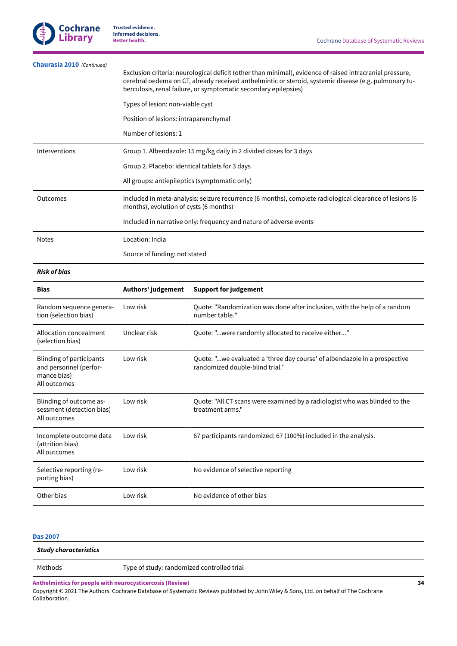

| Chaurasia 2010 (Continued) | Exclusion criteria: neurological deficit (other than minimal), evidence of raised intracranial pressure,<br>cerebral oedema on CT, already received anthelmintic or steroid, systemic disease (e.g. pulmonary tu-<br>berculosis, renal failure, or symptomatic secondary epilepsies) |
|----------------------------|--------------------------------------------------------------------------------------------------------------------------------------------------------------------------------------------------------------------------------------------------------------------------------------|
|                            | Types of lesion: non-viable cyst                                                                                                                                                                                                                                                     |
|                            | Position of lesions: intraparenchymal                                                                                                                                                                                                                                                |
|                            | Number of lesions: 1                                                                                                                                                                                                                                                                 |
| Interventions              | Group 1. Albendazole: 15 mg/kg daily in 2 divided doses for 3 days                                                                                                                                                                                                                   |
|                            | Group 2. Placebo: identical tablets for 3 days                                                                                                                                                                                                                                       |
|                            | All groups: antiepileptics (symptomatic only)                                                                                                                                                                                                                                        |
| Outcomes                   | Included in meta-analysis: seizure recurrence (6 months), complete radiological clearance of lesions (6<br>months), evolution of cysts (6 months)                                                                                                                                    |
|                            | Included in narrative only: frequency and nature of adverse events                                                                                                                                                                                                                   |
| <b>Notes</b>               | Location: India                                                                                                                                                                                                                                                                      |
|                            | Source of funding: not stated                                                                                                                                                                                                                                                        |

#### *Risk of bias*

| <b>Bias</b>                                                                       | Authors' judgement | <b>Support for judgement</b>                                                                                 |
|-----------------------------------------------------------------------------------|--------------------|--------------------------------------------------------------------------------------------------------------|
| Random sequence genera-<br>tion (selection bias)                                  | Low risk           | Quote: "Randomization was done after inclusion, with the help of a random<br>number table."                  |
| Allocation concealment<br>(selection bias)                                        | Unclear risk       | Quote: "were randomly allocated to receive either"                                                           |
| Blinding of participants<br>and personnel (perfor-<br>mance bias)<br>All outcomes | Low risk           | Quote: "we evaluated a 'three day course' of albendazole in a prospective<br>randomized double-blind trial." |
| Blinding of outcome as-<br>sessment (detection bias)<br>All outcomes              | Low risk           | Quote: "All CT scans were examined by a radiologist who was blinded to the<br>treatment arms."               |
| Incomplete outcome data<br>(attrition bias)<br>All outcomes                       | Low risk           | 67 participants randomized: 67 (100%) included in the analysis.                                              |
| Selective reporting (re-<br>porting bias)                                         | Low risk           | No evidence of selective reporting                                                                           |
| Other bias                                                                        | Low risk           | No evidence of other bias                                                                                    |

# **[Das 2007](#page-29-1)**

| Study characteristics |                                                           |    |
|-----------------------|-----------------------------------------------------------|----|
| Methods               | Type of study: randomized controlled trial                |    |
|                       | Anthelmintics for people with neurocysticercosis (Review) | 34 |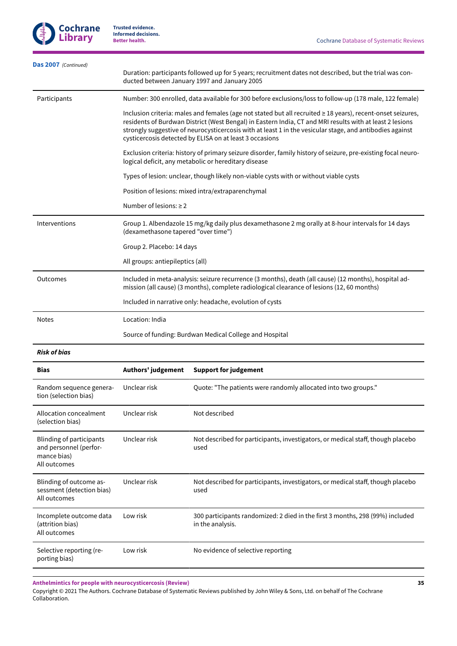

| Das 2007 (Continued)                                                                     |                                                                                                                                                                                                     | Duration: participants followed up for 5 years; recruitment dates not described, but the trial was con-<br>ducted between January 1997 and January 2005                                                                                                                                                                                                                                        |
|------------------------------------------------------------------------------------------|-----------------------------------------------------------------------------------------------------------------------------------------------------------------------------------------------------|------------------------------------------------------------------------------------------------------------------------------------------------------------------------------------------------------------------------------------------------------------------------------------------------------------------------------------------------------------------------------------------------|
| Participants                                                                             |                                                                                                                                                                                                     | Number: 300 enrolled, data available for 300 before exclusions/loss to follow-up (178 male, 122 female)                                                                                                                                                                                                                                                                                        |
|                                                                                          |                                                                                                                                                                                                     | Inclusion criteria: males and females (age not stated but all recruited ≥ 18 years), recent-onset seizures,<br>residents of Burdwan District (West Bengal) in Eastern India, CT and MRI results with at least 2 lesions<br>strongly suggestive of neurocysticercosis with at least 1 in the vesicular stage, and antibodies against<br>cysticercosis detected by ELISA on at least 3 occasions |
|                                                                                          |                                                                                                                                                                                                     | Exclusion criteria: history of primary seizure disorder, family history of seizure, pre-existing focal neuro-<br>logical deficit, any metabolic or hereditary disease                                                                                                                                                                                                                          |
|                                                                                          |                                                                                                                                                                                                     | Types of lesion: unclear, though likely non-viable cysts with or without viable cysts                                                                                                                                                                                                                                                                                                          |
|                                                                                          |                                                                                                                                                                                                     | Position of lesions: mixed intra/extraparenchymal                                                                                                                                                                                                                                                                                                                                              |
|                                                                                          | Number of lesions: $\geq 2$                                                                                                                                                                         |                                                                                                                                                                                                                                                                                                                                                                                                |
| Interventions                                                                            | (dexamethasone tapered "over time")                                                                                                                                                                 | Group 1. Albendazole 15 mg/kg daily plus dexamethasone 2 mg orally at 8-hour intervals for 14 days                                                                                                                                                                                                                                                                                             |
|                                                                                          | Group 2. Placebo: 14 days                                                                                                                                                                           |                                                                                                                                                                                                                                                                                                                                                                                                |
|                                                                                          | All groups: antiepileptics (all)                                                                                                                                                                    |                                                                                                                                                                                                                                                                                                                                                                                                |
| Outcomes                                                                                 | Included in meta-analysis: seizure recurrence (3 months), death (all cause) (12 months), hospital ad-<br>mission (all cause) (3 months), complete radiological clearance of lesions (12, 60 months) |                                                                                                                                                                                                                                                                                                                                                                                                |
|                                                                                          |                                                                                                                                                                                                     | Included in narrative only: headache, evolution of cysts                                                                                                                                                                                                                                                                                                                                       |
| <b>Notes</b>                                                                             | Location: India                                                                                                                                                                                     |                                                                                                                                                                                                                                                                                                                                                                                                |
|                                                                                          | Source of funding: Burdwan Medical College and Hospital                                                                                                                                             |                                                                                                                                                                                                                                                                                                                                                                                                |
| <b>Risk of bias</b>                                                                      |                                                                                                                                                                                                     |                                                                                                                                                                                                                                                                                                                                                                                                |
| <b>Bias</b>                                                                              | Authors' judgement                                                                                                                                                                                  | <b>Support for judgement</b>                                                                                                                                                                                                                                                                                                                                                                   |
| Random sequence genera-<br>tion (selection bias)                                         | Unclear risk                                                                                                                                                                                        | Quote: "The patients were randomly allocated into two groups."                                                                                                                                                                                                                                                                                                                                 |
| Allocation concealment<br>(selection bias)                                               | Unclear risk                                                                                                                                                                                        | Not described                                                                                                                                                                                                                                                                                                                                                                                  |
|                                                                                          |                                                                                                                                                                                                     |                                                                                                                                                                                                                                                                                                                                                                                                |
| <b>Blinding of participants</b><br>and personnel (perfor-<br>mance bias)<br>All outcomes | Unclear risk                                                                                                                                                                                        | Not described for participants, investigators, or medical staff, though placebo<br>used                                                                                                                                                                                                                                                                                                        |
| Blinding of outcome as-<br>sessment (detection bias)<br>All outcomes                     | Unclear risk                                                                                                                                                                                        | Not described for participants, investigators, or medical staff, though placebo<br>used                                                                                                                                                                                                                                                                                                        |
| Incomplete outcome data<br>(attrition bias)<br>All outcomes                              | Low risk                                                                                                                                                                                            | 300 participants randomized: 2 died in the first 3 months, 298 (99%) included<br>in the analysis.                                                                                                                                                                                                                                                                                              |
| Selective reporting (re-<br>porting bias)                                                | Low risk                                                                                                                                                                                            | No evidence of selective reporting                                                                                                                                                                                                                                                                                                                                                             |

**Anthelmintics for people with neurocysticercosis (Review)**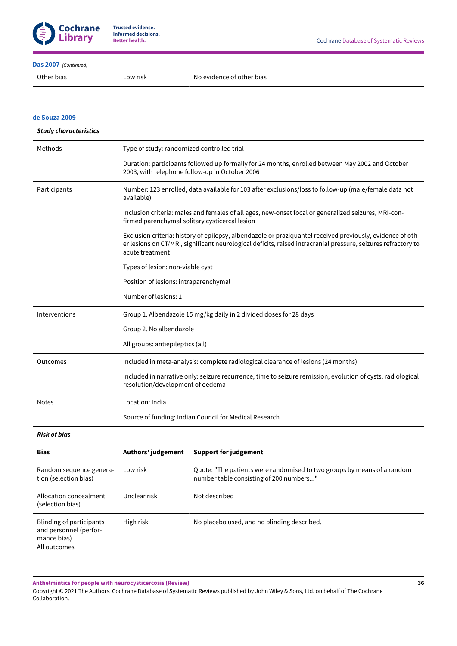

#### **[Das 2007](#page-29-1)**  *(Continued)*

#### **de [Souza](#page-29-2) 2009**

| <b>Study characteristics</b> |                                                                                                                                                                                                                                                |  |  |
|------------------------------|------------------------------------------------------------------------------------------------------------------------------------------------------------------------------------------------------------------------------------------------|--|--|
| Methods                      | Type of study: randomized controlled trial                                                                                                                                                                                                     |  |  |
|                              | Duration: participants followed up formally for 24 months, enrolled between May 2002 and October<br>2003, with telephone follow-up in October 2006                                                                                             |  |  |
| Participants                 | Number: 123 enrolled, data available for 103 after exclusions/loss to follow-up (male/female data not<br>available)                                                                                                                            |  |  |
|                              | Inclusion criteria: males and females of all ages, new-onset focal or generalized seizures, MRI-con-<br>firmed parenchymal solitary cysticercal lesion                                                                                         |  |  |
|                              | Exclusion criteria: history of epilepsy, albendazole or praziquantel received previously, evidence of oth-<br>er lesions on CT/MRI, significant neurological deficits, raised intracranial pressure, seizures refractory to<br>acute treatment |  |  |
|                              | Types of lesion: non-viable cyst                                                                                                                                                                                                               |  |  |
|                              | Position of lesions: intraparenchymal                                                                                                                                                                                                          |  |  |
|                              | Number of lesions: 1                                                                                                                                                                                                                           |  |  |
| Interventions                | Group 1. Albendazole 15 mg/kg daily in 2 divided doses for 28 days                                                                                                                                                                             |  |  |
|                              | Group 2. No albendazole                                                                                                                                                                                                                        |  |  |
|                              | All groups: antiepileptics (all)                                                                                                                                                                                                               |  |  |
| Outcomes                     | Included in meta-analysis: complete radiological clearance of lesions (24 months)                                                                                                                                                              |  |  |
|                              | Included in narrative only: seizure recurrence, time to seizure remission, evolution of cysts, radiological<br>resolution/development of oedema                                                                                                |  |  |
| <b>Notes</b>                 | Location: India                                                                                                                                                                                                                                |  |  |
|                              | Source of funding: Indian Council for Medical Research                                                                                                                                                                                         |  |  |
| <b>Risk of bias</b>          |                                                                                                                                                                                                                                                |  |  |
| Risc                         | Authors' iudgement<br>Sunnart for judgement                                                                                                                                                                                                    |  |  |

| DIAS                                                                              | AULIIOIS JUUGEINEIIL | <b>SUPPORT ION INVESTMENT</b>                                                                                      |
|-----------------------------------------------------------------------------------|----------------------|--------------------------------------------------------------------------------------------------------------------|
| Random sequence genera-<br>tion (selection bias)                                  | Low risk             | Quote: "The patients were randomised to two groups by means of a random<br>number table consisting of 200 numbers" |
| Allocation concealment<br>(selection bias)                                        | Unclear risk         | Not described                                                                                                      |
| Blinding of participants<br>and personnel (perfor-<br>mance bias)<br>All outcomes | High risk            | No placebo used, and no blinding described.                                                                        |

**Anthelmintics for people with neurocysticercosis (Review)**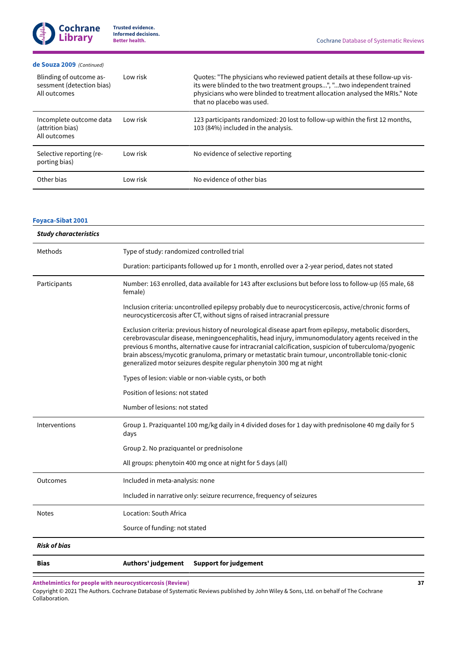#### **de [Souza](#page-29-2) 2009**  *(Continued)*

| Blinding of outcome as-<br>sessment (detection bias)<br>All outcomes | Low risk | Quotes: "The physicians who reviewed patient details at these follow-up vis-<br>its were blinded to the two treatment groups", "two independent trained<br>physicians who were blinded to treatment allocation analysed the MRIs." Note<br>that no placebo was used. |
|----------------------------------------------------------------------|----------|----------------------------------------------------------------------------------------------------------------------------------------------------------------------------------------------------------------------------------------------------------------------|
| Incomplete outcome data<br>(attrition bias)<br>All outcomes          | Low risk | 123 participants randomized: 20 lost to follow-up within the first 12 months,<br>103 (84%) included in the analysis.                                                                                                                                                 |
| Selective reporting (re-<br>porting bias)                            | Low risk | No evidence of selective reporting                                                                                                                                                                                                                                   |
| Other bias                                                           | Low risk | No evidence of other bias                                                                                                                                                                                                                                            |

# **[Foyaca-Sibat](#page-29-3) 2001**

| <b>Study characteristics</b> |                                                                                                                                                                                                                                                                                                                                                                                                                                                                                                    |  |  |
|------------------------------|----------------------------------------------------------------------------------------------------------------------------------------------------------------------------------------------------------------------------------------------------------------------------------------------------------------------------------------------------------------------------------------------------------------------------------------------------------------------------------------------------|--|--|
| Methods                      | Type of study: randomized controlled trial                                                                                                                                                                                                                                                                                                                                                                                                                                                         |  |  |
|                              | Duration: participants followed up for 1 month, enrolled over a 2-year period, dates not stated                                                                                                                                                                                                                                                                                                                                                                                                    |  |  |
| Participants                 | Number: 163 enrolled, data available for 143 after exclusions but before loss to follow-up (65 male, 68<br>female)                                                                                                                                                                                                                                                                                                                                                                                 |  |  |
|                              | Inclusion criteria: uncontrolled epilepsy probably due to neurocysticercosis, active/chronic forms of<br>neurocysticercosis after CT, without signs of raised intracranial pressure                                                                                                                                                                                                                                                                                                                |  |  |
|                              | Exclusion criteria: previous history of neurological disease apart from epilepsy, metabolic disorders,<br>cerebrovascular disease, meningoencephalitis, head injury, immunomodulatory agents received in the<br>previous 6 months, alternative cause for intracranial calcification, suspicion of tuberculoma/pyogenic<br>brain abscess/mycotic granuloma, primary or metastatic brain tumour, uncontrollable tonic-clonic<br>generalized motor seizures despite regular phenytoin 300 mg at night |  |  |
|                              | Types of lesion: viable or non-viable cysts, or both                                                                                                                                                                                                                                                                                                                                                                                                                                               |  |  |
|                              | Position of lesions: not stated                                                                                                                                                                                                                                                                                                                                                                                                                                                                    |  |  |
|                              | Number of lesions: not stated                                                                                                                                                                                                                                                                                                                                                                                                                                                                      |  |  |
| Interventions                | Group 1. Praziquantel 100 mg/kg daily in 4 divided doses for 1 day with prednisolone 40 mg daily for 5<br>days                                                                                                                                                                                                                                                                                                                                                                                     |  |  |
|                              | Group 2. No praziquantel or prednisolone                                                                                                                                                                                                                                                                                                                                                                                                                                                           |  |  |
|                              | All groups: phenytoin 400 mg once at night for 5 days (all)                                                                                                                                                                                                                                                                                                                                                                                                                                        |  |  |
| Outcomes                     | Included in meta-analysis: none                                                                                                                                                                                                                                                                                                                                                                                                                                                                    |  |  |
|                              | Included in narrative only: seizure recurrence, frequency of seizures                                                                                                                                                                                                                                                                                                                                                                                                                              |  |  |
| <b>Notes</b>                 | Location: South Africa                                                                                                                                                                                                                                                                                                                                                                                                                                                                             |  |  |
|                              | Source of funding: not stated                                                                                                                                                                                                                                                                                                                                                                                                                                                                      |  |  |
| <b>Risk of bias</b>          |                                                                                                                                                                                                                                                                                                                                                                                                                                                                                                    |  |  |
| <b>Bias</b>                  | Authors' judgement<br><b>Support for judgement</b>                                                                                                                                                                                                                                                                                                                                                                                                                                                 |  |  |

**Anthelmintics for people with neurocysticercosis (Review)**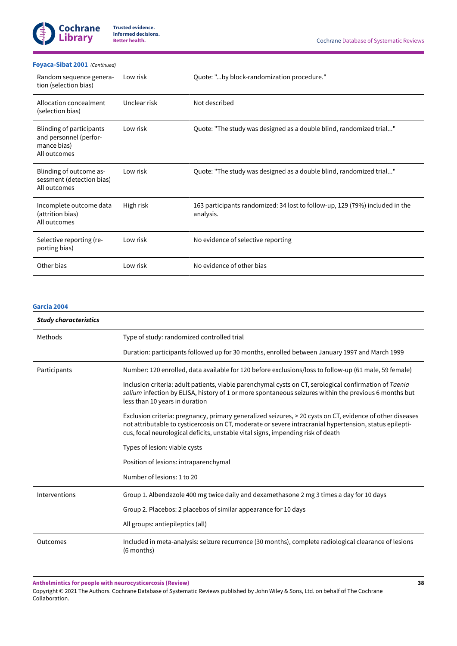#### **[Foyaca-Sibat](#page-29-3) 2001**  *(Continued)*

| Random sequence genera-<br>tion (selection bias)                                  | Low risk     | Quote: "by block-randomization procedure."                                                |
|-----------------------------------------------------------------------------------|--------------|-------------------------------------------------------------------------------------------|
| Allocation concealment<br>(selection bias)                                        | Unclear risk | Not described                                                                             |
| Blinding of participants<br>and personnel (perfor-<br>mance bias)<br>All outcomes | Low risk     | Quote: "The study was designed as a double blind, randomized trial"                       |
| Blinding of outcome as-<br>sessment (detection bias)<br>All outcomes              | Low risk     | Quote: "The study was designed as a double blind, randomized trial"                       |
| Incomplete outcome data<br>(attrition bias)<br>All outcomes                       | High risk    | 163 participants randomized: 34 lost to follow-up, 129 (79%) included in the<br>analysis. |
| Selective reporting (re-<br>porting bias)                                         | Low risk     | No evidence of selective reporting                                                        |
| Other bias                                                                        | Low risk     | No evidence of other bias                                                                 |

#### **[Garcia](#page-29-4) 2004**

| <b>Study characteristics</b> |                                                                                                                                                                                                                                                                                                         |  |  |
|------------------------------|---------------------------------------------------------------------------------------------------------------------------------------------------------------------------------------------------------------------------------------------------------------------------------------------------------|--|--|
| Methods                      | Type of study: randomized controlled trial                                                                                                                                                                                                                                                              |  |  |
|                              | Duration: participants followed up for 30 months, enrolled between January 1997 and March 1999                                                                                                                                                                                                          |  |  |
| Participants                 | Number: 120 enrolled, data available for 120 before exclusions/loss to follow-up (61 male, 59 female)                                                                                                                                                                                                   |  |  |
|                              | Inclusion criteria: adult patients, viable parenchymal cysts on CT, serological confirmation of Taenia<br>solium infection by ELISA, history of 1 or more spontaneous seizures within the previous 6 months but<br>less than 10 years in duration                                                       |  |  |
|                              | Exclusion criteria: pregnancy, primary generalized seizures, > 20 cysts on CT, evidence of other diseases<br>not attributable to cysticercosis on CT, moderate or severe intracranial hypertension, status epilepti-<br>cus, focal neurological deficits, unstable vital signs, impending risk of death |  |  |
|                              | Types of lesion: viable cysts                                                                                                                                                                                                                                                                           |  |  |
|                              | Position of lesions: intraparenchymal                                                                                                                                                                                                                                                                   |  |  |
|                              | Number of lesions: 1 to 20                                                                                                                                                                                                                                                                              |  |  |
| Interventions                | Group 1. Albendazole 400 mg twice daily and dexamethasone 2 mg 3 times a day for 10 days                                                                                                                                                                                                                |  |  |
|                              | Group 2. Placebos: 2 placebos of similar appearance for 10 days                                                                                                                                                                                                                                         |  |  |
|                              | All groups: antiepileptics (all)                                                                                                                                                                                                                                                                        |  |  |
| <b>Outcomes</b>              | Included in meta-analysis: seizure recurrence (30 months), complete radiological clearance of lesions<br>(6 months)                                                                                                                                                                                     |  |  |

**Anthelmintics for people with neurocysticercosis (Review)**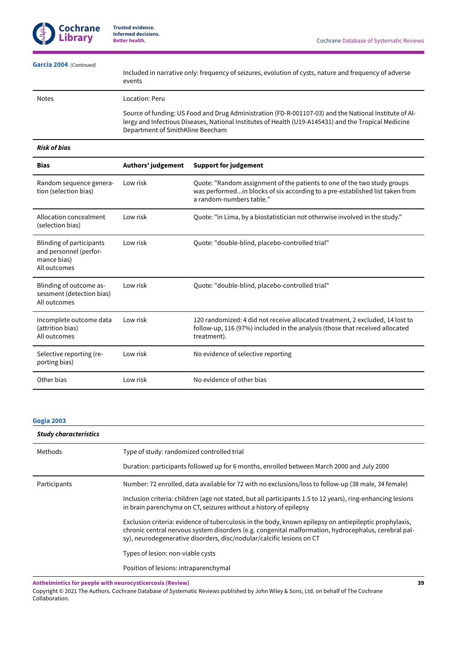

| Garcia 2004 (Continued)                                                                  | events                                                                                                                                                                                                                                                              | Included in narrative only: frequency of seizures, evolution of cysts, nature and frequency of adverse                                                                               |  |
|------------------------------------------------------------------------------------------|---------------------------------------------------------------------------------------------------------------------------------------------------------------------------------------------------------------------------------------------------------------------|--------------------------------------------------------------------------------------------------------------------------------------------------------------------------------------|--|
| <b>Notes</b>                                                                             | Location: Peru<br>Source of funding: US Food and Drug Administration (FD-R-001107-03) and the National Institute of Al-<br>lergy and Infectious Diseases, National Institutes of Health (U19-A145431) and the Tropical Medicine<br>Department of SmithKline Beecham |                                                                                                                                                                                      |  |
|                                                                                          |                                                                                                                                                                                                                                                                     |                                                                                                                                                                                      |  |
| <b>Risk of bias</b>                                                                      |                                                                                                                                                                                                                                                                     |                                                                                                                                                                                      |  |
| <b>Bias</b>                                                                              | Authors' judgement                                                                                                                                                                                                                                                  | <b>Support for judgement</b>                                                                                                                                                         |  |
| Random sequence genera-<br>tion (selection bias)                                         | Low risk                                                                                                                                                                                                                                                            | Quote: "Random assignment of the patients to one of the two study groups<br>was performedin blocks of six according to a pre-established list taken from<br>a random-numbers table." |  |
| Allocation concealment<br>(selection bias)                                               | Low risk                                                                                                                                                                                                                                                            | Quote: "in Lima, by a biostatistician not otherwise involved in the study."                                                                                                          |  |
| <b>Blinding of participants</b><br>and personnel (perfor-<br>mance bias)<br>All outcomes | Low risk                                                                                                                                                                                                                                                            | Quote: "double-blind, placebo-controlled trial"                                                                                                                                      |  |
| Blinding of outcome as-<br>sessment (detection bias)<br>All outcomes                     | Low risk                                                                                                                                                                                                                                                            | Quote: "double-blind, placebo-controlled trial"                                                                                                                                      |  |
| Incomplete outcome data<br>(attrition bias)<br>All outcomes                              | Low risk                                                                                                                                                                                                                                                            | 120 randomized: 4 did not receive allocated treatment, 2 excluded, 14 lost to<br>follow-up, 116 (97%) included in the analysis (those that received allocated<br>treatment).         |  |
| Selective reporting (re-<br>porting bias)                                                | Low risk                                                                                                                                                                                                                                                            | No evidence of selective reporting                                                                                                                                                   |  |

# **[Gogia 2003](#page-29-5)**

| <b>Study characteristics</b> |                                                                                                                                                                                                                                                                                         |
|------------------------------|-----------------------------------------------------------------------------------------------------------------------------------------------------------------------------------------------------------------------------------------------------------------------------------------|
| Methods                      | Type of study: randomized controlled trial                                                                                                                                                                                                                                              |
|                              | Duration: participants followed up for 6 months, enrolled between March 2000 and July 2000                                                                                                                                                                                              |
| Participants                 | Number: 72 enrolled, data available for 72 with no exclusions/loss to follow-up (38 male, 34 female)                                                                                                                                                                                    |
|                              | Inclusion criteria: children (age not stated, but all participants 1.5 to 12 years), ring-enhancing lesions<br>in brain parenchyma on CT, seizures without a history of epilepsy                                                                                                        |
|                              | Exclusion criteria: evidence of tuberculosis in the body, known epilepsy on antiepileptic prophylaxis,<br>chronic central nervous system disorders (e.g. congenital malformation, hydrocephalus, cerebral pal-<br>sy), neurodegenerative disorders, disc/nodular/calcific lesions on CT |
|                              | Types of lesion: non-viable cysts                                                                                                                                                                                                                                                       |
|                              | Position of lesions: intraparenchymal                                                                                                                                                                                                                                                   |

**Anthelmintics for people with neurocysticercosis (Review)**

Other bias **Low risk** No evidence of other bias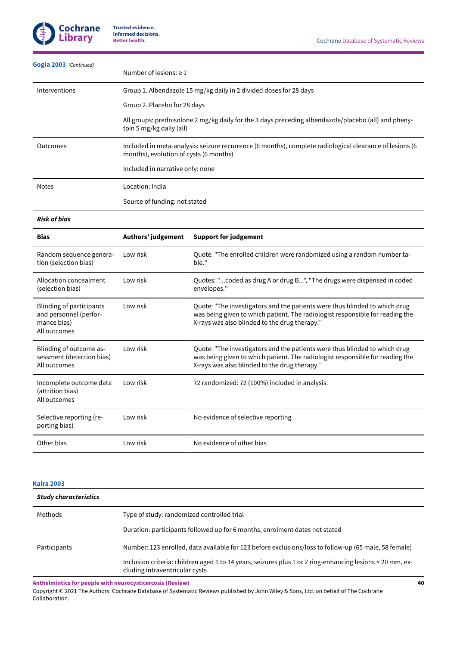

| Gogia 2003 (Continued) | Number of lesions: $\geq 1$                                                                                                                       |
|------------------------|---------------------------------------------------------------------------------------------------------------------------------------------------|
| Interventions          | Group 1. Albendazole 15 mg/kg daily in 2 divided doses for 28 days                                                                                |
|                        | Group 2. Placebo for 28 days                                                                                                                      |
|                        | All groups: prednisolone 2 mg/kg daily for the 3 days preceding albendazole/placebo (all) and pheny-<br>toin 5 mg/kg daily (all)                  |
| Outcomes               | Included in meta-analysis: seizure recurrence (6 months), complete radiological clearance of lesions (6<br>months), evolution of cysts (6 months) |
|                        | Included in narrative only: none                                                                                                                  |
| <b>Notes</b>           | Location: India                                                                                                                                   |
|                        | Source of funding: not stated                                                                                                                     |
|                        |                                                                                                                                                   |

*Risk of bias*

| <b>Bias</b>                                                                       | Authors' judgement | <b>Support for judgement</b>                                                                                                                                                                                 |
|-----------------------------------------------------------------------------------|--------------------|--------------------------------------------------------------------------------------------------------------------------------------------------------------------------------------------------------------|
| Random sequence genera-<br>tion (selection bias)                                  | Low risk           | Quote: "The enrolled children were randomized using a random number ta-<br>ble."                                                                                                                             |
| Allocation concealment<br>(selection bias)                                        | Low risk           | Quotes: "coded as drug A or drug B", "The drugs were dispensed in coded<br>envelopes."                                                                                                                       |
| Blinding of participants<br>and personnel (perfor-<br>mance bias)<br>All outcomes | Low risk           | Quote: "The investigators and the patients were thus blinded to which drug<br>was being given to which patient. The radiologist responsible for reading the<br>X-rays was also blinded to the drug therapy." |
| Blinding of outcome as-<br>sessment (detection bias)<br>All outcomes              | Low risk           | Quote: "The investigators and the patients were thus blinded to which drug<br>was being given to which patient. The radiologist responsible for reading the<br>X-rays was also blinded to the drug therapy." |
| Incomplete outcome data<br>(attrition bias)<br>All outcomes                       | Low risk           | 72 randomized: 72 (100%) included in analysis.                                                                                                                                                               |
| Selective reporting (re-<br>porting bias)                                         | Low risk           | No evidence of selective reporting                                                                                                                                                                           |
| Other bias                                                                        | Low risk           | No evidence of other bias                                                                                                                                                                                    |

# **[Kalra](#page-29-6) 2003**

| <b>Study characteristics</b> |                                                                                                                                             |
|------------------------------|---------------------------------------------------------------------------------------------------------------------------------------------|
| Methods                      | Type of study: randomized controlled trial                                                                                                  |
|                              | Duration: participants followed up for 6 months, enrolment dates not stated                                                                 |
| Participants                 | Number: 123 enrolled, data available for 123 before exclusions/loss to follow-up (65 male, 58 female)                                       |
|                              | Inclusion criteria: children aged 1 to 14 years, seizures plus 1 or 2 ring-enhancing lesions < 20 mm, ex-<br>cluding intraventricular cysts |

**Anthelmintics for people with neurocysticercosis (Review)**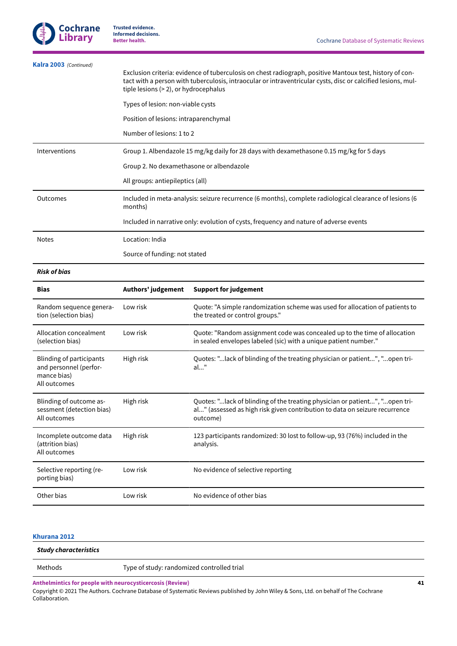

| Kalra 2003 (Continued)                                                                   | tiple lesions (> 2), or hydrocephalus                                                                              | Exclusion criteria: evidence of tuberculosis on chest radiograph, positive Mantoux test, history of con-<br>tact with a person with tuberculosis, intraocular or intraventricular cysts, disc or calcified lesions, mul- |
|------------------------------------------------------------------------------------------|--------------------------------------------------------------------------------------------------------------------|--------------------------------------------------------------------------------------------------------------------------------------------------------------------------------------------------------------------------|
|                                                                                          | Types of lesion: non-viable cysts                                                                                  |                                                                                                                                                                                                                          |
|                                                                                          | Position of lesions: intraparenchymal                                                                              |                                                                                                                                                                                                                          |
|                                                                                          | Number of lesions: 1 to 2                                                                                          |                                                                                                                                                                                                                          |
| Interventions                                                                            |                                                                                                                    | Group 1. Albendazole 15 mg/kg daily for 28 days with dexamethasone 0.15 mg/kg for 5 days                                                                                                                                 |
|                                                                                          | Group 2. No dexamethasone or albendazole                                                                           |                                                                                                                                                                                                                          |
|                                                                                          | All groups: antiepileptics (all)                                                                                   |                                                                                                                                                                                                                          |
| Outcomes                                                                                 | Included in meta-analysis: seizure recurrence (6 months), complete radiological clearance of lesions (6<br>months) |                                                                                                                                                                                                                          |
|                                                                                          |                                                                                                                    | Included in narrative only: evolution of cysts, frequency and nature of adverse events                                                                                                                                   |
| <b>Notes</b>                                                                             | Location: India                                                                                                    |                                                                                                                                                                                                                          |
|                                                                                          | Source of funding: not stated                                                                                      |                                                                                                                                                                                                                          |
| <b>Risk of bias</b>                                                                      |                                                                                                                    |                                                                                                                                                                                                                          |
| <b>Bias</b>                                                                              | Authors' judgement                                                                                                 | <b>Support for judgement</b>                                                                                                                                                                                             |
| Random sequence genera-<br>tion (selection bias)                                         | Low risk                                                                                                           | Quote: "A simple randomization scheme was used for allocation of patients to<br>the treated or control groups."                                                                                                          |
| Allocation concealment<br>(selection bias)                                               | Low risk                                                                                                           | Quote: "Random assignment code was concealed up to the time of allocation<br>in sealed envelopes labeled (sic) with a unique patient number."                                                                            |
| <b>Blinding of participants</b><br>and personnel (perfor-<br>mance bias)<br>All outcomes | High risk                                                                                                          | Quotes: "lack of blinding of the treating physician or patient", "open tri-<br>al"                                                                                                                                       |
| Blinding of outcome as-<br>sessment (detection bias)<br>All outcomes                     | High risk                                                                                                          | Quotes: "lack of blinding of the treating physician or patient", "open tri-<br>al" (assessed as high risk given contribution to data on seizure recurrence<br>outcome)                                                   |

#### **[Khurana](#page-29-7) 2012**

Incomplete outcome data

Selective reporting (re-

(attrition bias) All outcomes

porting bias)

*Study characteristics* Methods Type of study: randomized controlled trial **Anthelmintics for people with neurocysticercosis (Review)**

High risk 123 participants randomized: 30 lost to follow-up, 93 (76%) included in the

Copyright © 2021 The Authors. Cochrane Database of Systematic Reviews published by John Wiley & Sons, Ltd. on behalf of The Cochrane Collaboration.

analysis.

Low risk No evidence of selective reporting

Other bias **Low risk** No evidence of other bias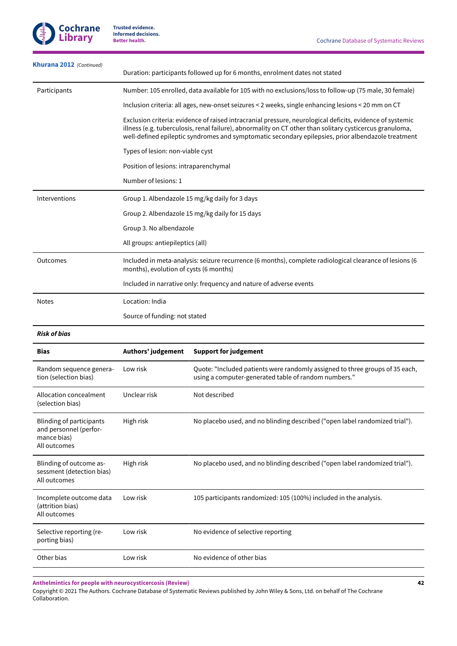

| <b>Khurana 2012</b> (Continued)                                      |                                        | Duration: participants followed up for 6 months, enrolment dates not stated                                                                                                                                                                                                                                                 |
|----------------------------------------------------------------------|----------------------------------------|-----------------------------------------------------------------------------------------------------------------------------------------------------------------------------------------------------------------------------------------------------------------------------------------------------------------------------|
| Participants                                                         |                                        | Number: 105 enrolled, data available for 105 with no exclusions/loss to follow-up (75 male, 30 female)                                                                                                                                                                                                                      |
|                                                                      |                                        | Inclusion criteria: all ages, new-onset seizures < 2 weeks, single enhancing lesions < 20 mm on CT                                                                                                                                                                                                                          |
|                                                                      |                                        | Exclusion criteria: evidence of raised intracranial pressure, neurological deficits, evidence of systemic<br>illness (e.g. tuberculosis, renal failure), abnormality on CT other than solitary cysticercus granuloma,<br>well-defined epileptic syndromes and symptomatic secondary epilepsies, prior albendazole treatment |
|                                                                      | Types of lesion: non-viable cyst       |                                                                                                                                                                                                                                                                                                                             |
|                                                                      | Position of lesions: intraparenchymal  |                                                                                                                                                                                                                                                                                                                             |
|                                                                      | Number of lesions: 1                   |                                                                                                                                                                                                                                                                                                                             |
| Interventions                                                        |                                        | Group 1. Albendazole 15 mg/kg daily for 3 days                                                                                                                                                                                                                                                                              |
|                                                                      |                                        | Group 2. Albendazole 15 mg/kg daily for 15 days                                                                                                                                                                                                                                                                             |
|                                                                      | Group 3. No albendazole                |                                                                                                                                                                                                                                                                                                                             |
|                                                                      | All groups: antiepileptics (all)       |                                                                                                                                                                                                                                                                                                                             |
| Outcomes                                                             | months), evolution of cysts (6 months) | Included in meta-analysis: seizure recurrence (6 months), complete radiological clearance of lesions (6                                                                                                                                                                                                                     |
|                                                                      |                                        | Included in narrative only: frequency and nature of adverse events                                                                                                                                                                                                                                                          |
| <b>Notes</b>                                                         | Location: India                        |                                                                                                                                                                                                                                                                                                                             |
|                                                                      | Source of funding: not stated          |                                                                                                                                                                                                                                                                                                                             |
| <b>Risk of bias</b>                                                  |                                        |                                                                                                                                                                                                                                                                                                                             |
| Bias                                                                 | Authors' judgement                     | <b>Support for judgement</b>                                                                                                                                                                                                                                                                                                |
| Random sequence genera-<br>tion (selection bias)                     | Low risk                               | Quote: "Included patients were randomly assigned to three groups of 35 each,<br>using a computer-generated table of random numbers."                                                                                                                                                                                        |
| Allocation concealment<br>(selection bias)                           | Unclear risk                           | Not described                                                                                                                                                                                                                                                                                                               |
| <b>Blinding of participants</b>                                      |                                        |                                                                                                                                                                                                                                                                                                                             |
| and personnel (perfor-<br>mance bias)<br>All outcomes                | High risk                              | No placebo used, and no blinding described ("open label randomized trial").                                                                                                                                                                                                                                                 |
| Blinding of outcome as-<br>sessment (detection bias)<br>All outcomes | High risk                              | No placebo used, and no blinding described ("open label randomized trial").                                                                                                                                                                                                                                                 |
| Incomplete outcome data<br>(attrition bias)<br>All outcomes          | Low risk                               | 105 participants randomized: 105 (100%) included in the analysis.                                                                                                                                                                                                                                                           |
| Selective reporting (re-<br>porting bias)                            | Low risk                               | No evidence of selective reporting                                                                                                                                                                                                                                                                                          |
| Other bias                                                           | Low risk                               | No evidence of other bias                                                                                                                                                                                                                                                                                                   |

**Anthelmintics for people with neurocysticercosis (Review)**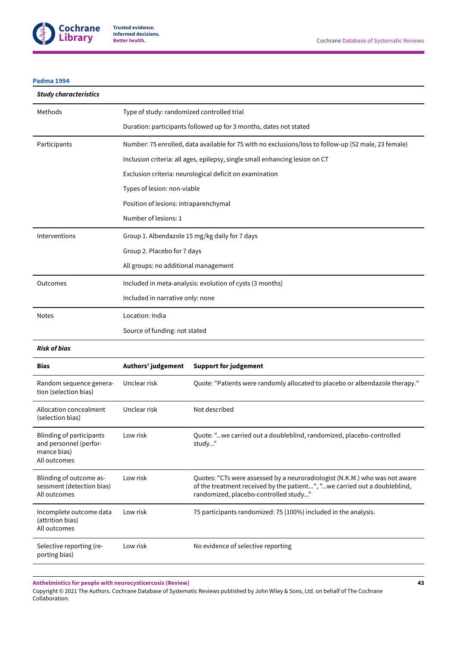

#### **[Padma](#page-30-0) 1994**

| <b>Study characteristics</b>                                                      |                                                                                                      |                                                                                                                                                                                                   |  |
|-----------------------------------------------------------------------------------|------------------------------------------------------------------------------------------------------|---------------------------------------------------------------------------------------------------------------------------------------------------------------------------------------------------|--|
| Methods                                                                           | Type of study: randomized controlled trial                                                           |                                                                                                                                                                                                   |  |
|                                                                                   |                                                                                                      | Duration: participants followed up for 3 months, dates not stated                                                                                                                                 |  |
| Participants                                                                      | Number: 75 enrolled, data available for 75 with no exclusions/loss to follow-up (52 male, 23 female) |                                                                                                                                                                                                   |  |
|                                                                                   |                                                                                                      | Inclusion criteria: all ages, epilepsy, single small enhancing lesion on CT                                                                                                                       |  |
|                                                                                   |                                                                                                      | Exclusion criteria: neurological deficit on examination                                                                                                                                           |  |
|                                                                                   | Types of lesion: non-viable                                                                          |                                                                                                                                                                                                   |  |
|                                                                                   | Position of lesions: intraparenchymal                                                                |                                                                                                                                                                                                   |  |
|                                                                                   | Number of lesions: 1                                                                                 |                                                                                                                                                                                                   |  |
| Interventions                                                                     |                                                                                                      | Group 1. Albendazole 15 mg/kg daily for 7 days                                                                                                                                                    |  |
|                                                                                   | Group 2. Placebo for 7 days                                                                          |                                                                                                                                                                                                   |  |
|                                                                                   | All groups: no additional management                                                                 |                                                                                                                                                                                                   |  |
| Outcomes                                                                          |                                                                                                      | Included in meta-analysis: evolution of cysts (3 months)                                                                                                                                          |  |
|                                                                                   | Included in narrative only: none                                                                     |                                                                                                                                                                                                   |  |
| <b>Notes</b>                                                                      | Location: India                                                                                      |                                                                                                                                                                                                   |  |
|                                                                                   | Source of funding: not stated                                                                        |                                                                                                                                                                                                   |  |
| <b>Risk of bias</b>                                                               |                                                                                                      |                                                                                                                                                                                                   |  |
| <b>Bias</b>                                                                       | Authors' judgement                                                                                   | <b>Support for judgement</b>                                                                                                                                                                      |  |
| Random sequence genera-<br>tion (selection bias)                                  | Unclear risk                                                                                         | Quote: "Patients were randomly allocated to placebo or albendazole therapy."                                                                                                                      |  |
| Allocation concealment<br>(selection bias)                                        | Unclear risk                                                                                         | Not described                                                                                                                                                                                     |  |
| Blinding of participants<br>and personnel (perfor-<br>mance bias)<br>All outcomes | Low risk                                                                                             | Quote: "we carried out a doubleblind, randomized, placebo-controlled<br>study"                                                                                                                    |  |
| Blinding of outcome as-<br>sessment (detection bias)<br>All outcomes              | Low risk                                                                                             | Quotes: "CTs were assessed by a neuroradiologist (N.K.M.) who was not aware<br>of the treatment received by the patient", "we carried out a doubleblind,<br>randomized, placebo-controlled study" |  |
| Incomplete outcome data<br>(attrition bias)<br>All outcomes                       | Low risk                                                                                             | 75 participants randomized: 75 (100%) included in the analysis.                                                                                                                                   |  |
| Selective reporting (re-<br>porting bias)                                         | Low risk                                                                                             | No evidence of selective reporting                                                                                                                                                                |  |
|                                                                                   |                                                                                                      |                                                                                                                                                                                                   |  |

**Anthelmintics for people with neurocysticercosis (Review)**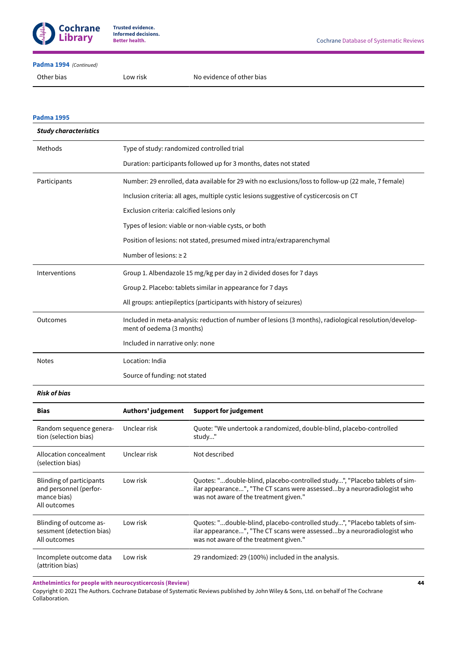

#### **[Padma](#page-30-0) 1994**  *(Continued)*

#### **[Padma](#page-30-1) 1995**

| <b>Study characteristics</b> |                                                                                                                                     |
|------------------------------|-------------------------------------------------------------------------------------------------------------------------------------|
| Methods                      | Type of study: randomized controlled trial                                                                                          |
|                              | Duration: participants followed up for 3 months, dates not stated                                                                   |
| Participants                 | Number: 29 enrolled, data available for 29 with no exclusions/loss to follow-up (22 male, 7 female)                                 |
|                              | Inclusion criteria: all ages, multiple cystic lesions suggestive of cysticercosis on CT                                             |
|                              | Exclusion criteria: calcified lesions only                                                                                          |
|                              | Types of lesion: viable or non-viable cysts, or both                                                                                |
|                              | Position of lesions: not stated, presumed mixed intra/extraparenchymal                                                              |
|                              | Number of lesions: $\geq 2$                                                                                                         |
| Interventions                | Group 1. Albendazole 15 mg/kg per day in 2 divided doses for 7 days                                                                 |
|                              | Group 2. Placebo: tablets similar in appearance for 7 days                                                                          |
|                              | All groups: antiepileptics (participants with history of seizures)                                                                  |
| Outcomes                     | Included in meta-analysis: reduction of number of lesions (3 months), radiological resolution/develop-<br>ment of oedema (3 months) |
|                              | Included in narrative only: none                                                                                                    |
| <b>Notes</b>                 | Location: India                                                                                                                     |
|                              | Source of funding: not stated                                                                                                       |

#### *Risk of bias*

| <b>Bias</b>                                                                       | Authors' judgement | <b>Support for judgement</b>                                                                                                                                                                   |
|-----------------------------------------------------------------------------------|--------------------|------------------------------------------------------------------------------------------------------------------------------------------------------------------------------------------------|
| Random sequence genera-<br>tion (selection bias)                                  | Unclear risk       | Quote: "We undertook a randomized, double-blind, placebo-controlled<br>study"                                                                                                                  |
| Allocation concealment<br>(selection bias)                                        | Unclear risk       | Not described                                                                                                                                                                                  |
| Blinding of participants<br>and personnel (perfor-<br>mance bias)<br>All outcomes | Low risk           | Quotes: "double-blind, placebo-controlled study", "Placebo tablets of sim-<br>ilar appearance", "The CT scans were assessedby a neuroradiologist who<br>was not aware of the treatment given." |
| Blinding of outcome as-<br>sessment (detection bias)<br>All outcomes              | Low risk           | Quotes: "double-blind, placebo-controlled study", "Placebo tablets of sim-<br>ilar appearance", "The CT scans were assessedby a neuroradiologist who<br>was not aware of the treatment given." |
| Incomplete outcome data<br>(attrition bias)                                       | Low risk           | 29 randomized: 29 (100%) included in the analysis.                                                                                                                                             |

**Anthelmintics for people with neurocysticercosis (Review)**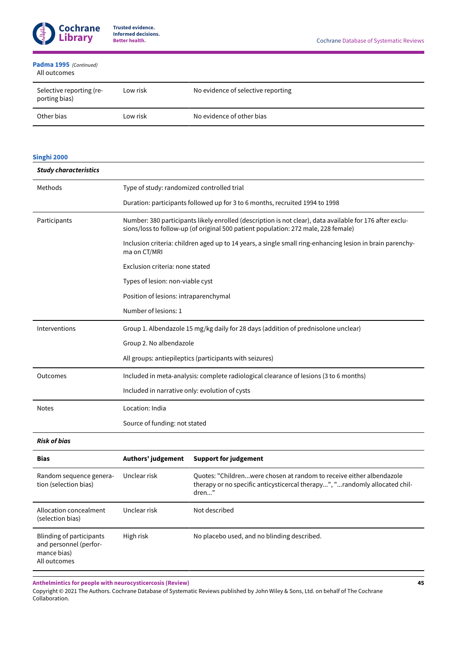

#### All outcomes **[Padma](#page-30-1) 1995**  *(Continued)*

| Selective reporting (re-<br>porting bias) | Low risk | No evidence of selective reporting |
|-------------------------------------------|----------|------------------------------------|
| Other bias                                | Low risk | No evidence of other bias          |

# **[Singhi 2000](#page-30-2)**

| <b>Study characteristics</b>                                                             |                                                |                                                                                                                                                                                                |
|------------------------------------------------------------------------------------------|------------------------------------------------|------------------------------------------------------------------------------------------------------------------------------------------------------------------------------------------------|
| Methods                                                                                  | Type of study: randomized controlled trial     |                                                                                                                                                                                                |
|                                                                                          |                                                | Duration: participants followed up for 3 to 6 months, recruited 1994 to 1998                                                                                                                   |
| Participants                                                                             |                                                | Number: 380 participants likely enrolled (description is not clear), data available for 176 after exclu-<br>sions/loss to follow-up (of original 500 patient population: 272 male, 228 female) |
|                                                                                          | ma on CT/MRI                                   | Inclusion criteria: children aged up to 14 years, a single small ring-enhancing lesion in brain parenchy-                                                                                      |
|                                                                                          | Exclusion criteria: none stated                |                                                                                                                                                                                                |
|                                                                                          | Types of lesion: non-viable cyst               |                                                                                                                                                                                                |
|                                                                                          | Position of lesions: intraparenchymal          |                                                                                                                                                                                                |
|                                                                                          | Number of lesions: 1                           |                                                                                                                                                                                                |
| Interventions                                                                            |                                                | Group 1. Albendazole 15 mg/kg daily for 28 days (addition of prednisolone unclear)                                                                                                             |
|                                                                                          | Group 2. No albendazole                        |                                                                                                                                                                                                |
|                                                                                          |                                                | All groups: antiepileptics (participants with seizures)                                                                                                                                        |
| Outcomes                                                                                 |                                                | Included in meta-analysis: complete radiological clearance of lesions (3 to 6 months)                                                                                                          |
|                                                                                          | Included in narrative only: evolution of cysts |                                                                                                                                                                                                |
| <b>Notes</b>                                                                             | Location: India                                |                                                                                                                                                                                                |
|                                                                                          | Source of funding: not stated                  |                                                                                                                                                                                                |
| <b>Risk of bias</b>                                                                      |                                                |                                                                                                                                                                                                |
| <b>Bias</b>                                                                              | Authors' judgement                             | <b>Support for judgement</b>                                                                                                                                                                   |
| Random sequence genera-<br>tion (selection bias)                                         | Unclear risk                                   | Quotes: "Childrenwere chosen at random to receive either albendazole<br>therapy or no specific anticysticercal therapy", "randomly allocated chil-<br>dren"                                    |
| Allocation concealment<br>(selection bias)                                               | Unclear risk                                   | Not described                                                                                                                                                                                  |
| <b>Blinding of participants</b><br>and personnel (perfor-<br>mance bias)<br>All outcomes | High risk                                      | No placebo used, and no blinding described.                                                                                                                                                    |

**Anthelmintics for people with neurocysticercosis (Review)**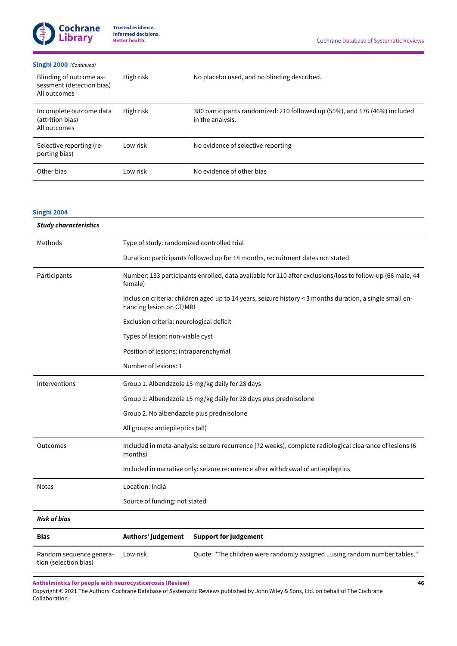#### **[Singhi 2000](#page-30-2)** *(Continued)*

| Blinding of outcome as-<br>sessment (detection bias)<br>All outcomes | High risk | No placebo used, and no blinding described.                                                    |
|----------------------------------------------------------------------|-----------|------------------------------------------------------------------------------------------------|
| Incomplete outcome data<br>(attrition bias)<br>All outcomes          | High risk | 380 participants randomized: 210 followed up (55%), and 176 (46%) included<br>in the analysis. |
| Selective reporting (re-<br>porting bias)                            | Low risk  | No evidence of selective reporting                                                             |
| Other bias                                                           | Low risk  | No evidence of other bias                                                                      |

# **[Singhi 2004](#page-30-3)**

| <b>Study characteristics</b>                     |                                            |                                                                                                           |  |
|--------------------------------------------------|--------------------------------------------|-----------------------------------------------------------------------------------------------------------|--|
| Methods                                          | Type of study: randomized controlled trial |                                                                                                           |  |
|                                                  |                                            | Duration: participants followed up for 18 months, recruitment dates not stated                            |  |
| Participants                                     | female)                                    | Number: 133 participants enrolled, data available for 110 after exclusions/loss to follow-up (66 male, 44 |  |
|                                                  | hancing lesion on CT/MRI                   | Inclusion criteria: children aged up to 14 years, seizure history < 3 months duration, a single small en- |  |
|                                                  | Exclusion criteria: neurological deficit   |                                                                                                           |  |
|                                                  | Types of lesion: non-viable cyst           |                                                                                                           |  |
|                                                  | Position of lesions: intraparenchymal      |                                                                                                           |  |
|                                                  | Number of lesions: 1                       |                                                                                                           |  |
| Interventions                                    |                                            | Group 1. Albendazole 15 mg/kg daily for 28 days                                                           |  |
|                                                  |                                            | Group 2: Albendazole 15 mg/kg daily for 28 days plus prednisolone                                         |  |
|                                                  | Group 2. No albendazole plus prednisolone  |                                                                                                           |  |
|                                                  | All groups: antiepileptics (all)           |                                                                                                           |  |
| Outcomes                                         | months)                                    | Included in meta-analysis: seizure recurrence (72 weeks), complete radiological clearance of lesions (6   |  |
|                                                  |                                            | Included in narrative only: seizure recurrence after withdrawal of antiepileptics                         |  |
| <b>Notes</b>                                     | Location: India                            |                                                                                                           |  |
|                                                  | Source of funding: not stated              |                                                                                                           |  |
| <b>Risk of bias</b>                              |                                            |                                                                                                           |  |
| <b>Bias</b>                                      | Authors' judgement                         | <b>Support for judgement</b>                                                                              |  |
| Random sequence genera-<br>tion (selection bias) | Low risk                                   | Quote: "The children were randomly assignedusing random number tables."                                   |  |

**Anthelmintics for people with neurocysticercosis (Review)**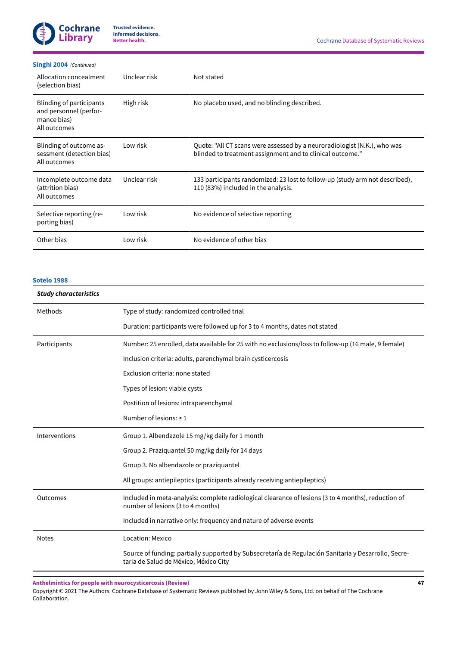

#### **[Singhi 2004](#page-30-3)**  *(Continued)*

| Allocation concealment<br>(selection bias)                                               | Unclear risk | Not stated                                                                                                                            |
|------------------------------------------------------------------------------------------|--------------|---------------------------------------------------------------------------------------------------------------------------------------|
| <b>Blinding of participants</b><br>and personnel (perfor-<br>mance bias)<br>All outcomes | High risk    | No placebo used, and no blinding described.                                                                                           |
| Blinding of outcome as-<br>sessment (detection bias)<br>All outcomes                     | Low risk     | Quote: "All CT scans were assessed by a neuroradiologist (N.K.), who was<br>blinded to treatment assignment and to clinical outcome." |
| Incomplete outcome data<br>(attrition bias)<br>All outcomes                              | Unclear risk | 133 participants randomized: 23 lost to follow-up (study arm not described),<br>110 (83%) included in the analysis.                   |
| Selective reporting (re-<br>porting bias)                                                | Low risk     | No evidence of selective reporting                                                                                                    |
| Other bias                                                                               | Low risk     | No evidence of other bias                                                                                                             |

#### **[Sotelo](#page-30-4) 1988**

# *Study characteristics* Methods Type of study: randomized controlled trial Duration: participants were followed up for 3 to 4 months, dates not stated Participants Number: 25 enrolled, data available for 25 with no exclusions/loss to follow-up (16 male, 9 female) Inclusion criteria: adults, parenchymal brain cysticercosis Exclusion criteria: none stated Types of lesion: viable cysts Postition of lesions: intraparenchymal Number of lesions:  $\geq 1$ Interventions Group 1. Albendazole 15 mg/kg daily for 1 month Group 2. Praziquantel 50 mg/kg daily for 14 days Group 3. No albendazole or praziquantel All groups: antiepileptics (participants already receiving antiepileptics) Outcomes Included in meta-analysis: complete radiological clearance of lesions (3 to 4 months), reduction of number of lesions (3 to 4 months) Included in narrative only: frequency and nature of adverse events Notes Location: Mexico Source of funding: partially supported by Subsecretaría de Regulación Sanitaria y Desarrollo, Secretaria de Salud de México, México City

**Anthelmintics for people with neurocysticercosis (Review)**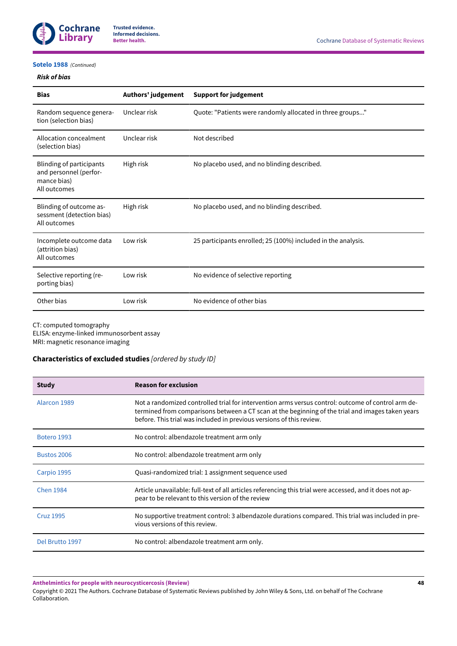

#### **[Sotelo](#page-30-4) 1988**  *(Continued)*

#### *Risk of bias*

| <b>Bias</b>                                                                              | Authors' judgement | <b>Support for judgement</b>                                  |
|------------------------------------------------------------------------------------------|--------------------|---------------------------------------------------------------|
| Random sequence genera-<br>tion (selection bias)                                         | Unclear risk       | Quote: "Patients were randomly allocated in three groups"     |
| Allocation concealment<br>(selection bias)                                               | Unclear risk       | Not described                                                 |
| <b>Blinding of participants</b><br>and personnel (perfor-<br>mance bias)<br>All outcomes | High risk          | No placebo used, and no blinding described.                   |
| Blinding of outcome as-<br>sessment (detection bias)<br>All outcomes                     | High risk          | No placebo used, and no blinding described.                   |
| Incomplete outcome data<br>(attrition bias)<br>All outcomes                              | Low risk           | 25 participants enrolled; 25 (100%) included in the analysis. |
| Selective reporting (re-<br>porting bias)                                                | Low risk           | No evidence of selective reporting                            |
| Other bias                                                                               | Low risk           | No evidence of other bias                                     |

CT: computed tomography

ELISA: enzyme-linked immunosorbent assay MRI: magnetic resonance imaging

# <span id="page-50-0"></span>**Characteristics of excluded studies** *[ordered by study ID]*

| <b>Study</b>     | <b>Reason for exclusion</b>                                                                                                                                                                                                                                                    |
|------------------|--------------------------------------------------------------------------------------------------------------------------------------------------------------------------------------------------------------------------------------------------------------------------------|
| Alarcon 1989     | Not a randomized controlled trial for intervention arms versus control: outcome of control arm de-<br>termined from comparisons between a CT scan at the beginning of the trial and images taken years<br>before. This trial was included in previous versions of this review. |
| Botero 1993      | No control: albendazole treatment arm only                                                                                                                                                                                                                                     |
| Bustos 2006      | No control: albendazole treatment arm only                                                                                                                                                                                                                                     |
| Carpio 1995      | Quasi-randomized trial: 1 assignment sequence used                                                                                                                                                                                                                             |
| <b>Chen 1984</b> | Article unavailable: full-text of all articles referencing this trial were accessed, and it does not ap-<br>pear to be relevant to this version of the review                                                                                                                  |
| <b>Cruz 1995</b> | No supportive treatment control: 3 albendazole durations compared. This trial was included in pre-<br>vious versions of this review.                                                                                                                                           |
| Del Brutto 1997  | No control: albendazole treatment arm only.                                                                                                                                                                                                                                    |

**Anthelmintics for people with neurocysticercosis (Review)**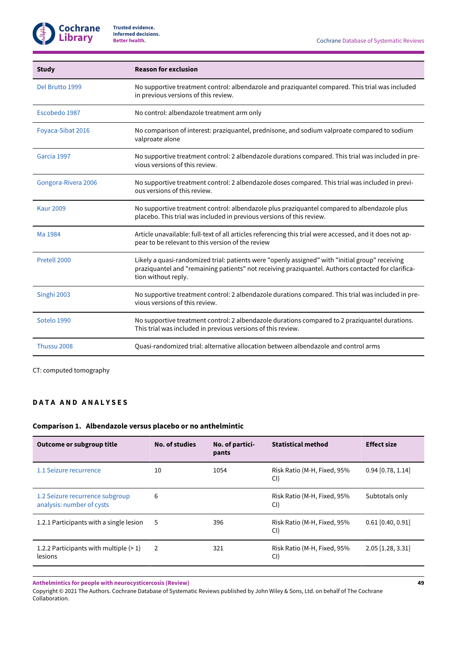| <b>Study</b>        | <b>Reason for exclusion</b>                                                                                                                                                                                                  |
|---------------------|------------------------------------------------------------------------------------------------------------------------------------------------------------------------------------------------------------------------------|
| Del Brutto 1999     | No supportive treatment control: albendazole and praziquantel compared. This trial was included<br>in previous versions of this review.                                                                                      |
| Escobedo 1987       | No control: albendazole treatment arm only                                                                                                                                                                                   |
| Foyaca-Sibat 2016   | No comparison of interest: praziquantel, prednisone, and sodium valproate compared to sodium<br>valproate alone                                                                                                              |
| Garcia 1997         | No supportive treatment control: 2 albendazole durations compared. This trial was included in pre-<br>vious versions of this review.                                                                                         |
| Gongora-Rivera 2006 | No supportive treatment control: 2 albendazole doses compared. This trial was included in previ-<br>ous versions of this review.                                                                                             |
| <b>Kaur 2009</b>    | No supportive treatment control: albendazole plus praziquantel compared to albendazole plus<br>placebo. This trial was included in previous versions of this review.                                                         |
| Ma 1984             | Article unavailable: full-text of all articles referencing this trial were accessed, and it does not ap-<br>pear to be relevant to this version of the review                                                                |
| Pretell 2000        | Likely a quasi-randomized trial: patients were "openly assigned" with "initial group" receiving<br>praziquantel and "remaining patients" not receiving praziquantel. Authors contacted for clarifica-<br>tion without reply. |
| Singhi 2003         | No supportive treatment control: 2 albendazole durations compared. This trial was included in pre-<br>vious versions of this review.                                                                                         |
| Sotelo 1990         | No supportive treatment control: 2 albendazole durations compared to 2 praziquantel durations.<br>This trial was included in previous versions of this review.                                                               |
| Thussu 2008         | Quasi-randomized trial: alternative allocation between albendazole and control arms                                                                                                                                          |

CT: computed tomography

# **D A T A A N D A N A L Y S E S**

# **Comparison 1. Albendazole versus placebo or no anthelmintic**

| Outcome or subgroup title                                    | No. of studies<br>No. of partici-<br>pants |      | <b>Statistical method</b>          | <b>Effect size</b>  |
|--------------------------------------------------------------|--------------------------------------------|------|------------------------------------|---------------------|
| 1.1 Seizure recurrence                                       | 10                                         | 1054 | Risk Ratio (M-H, Fixed, 95%<br>CI) | $0.94$ [0.78, 1.14] |
| 1.2 Seizure recurrence subgroup<br>analysis: number of cysts | 6                                          |      | Risk Ratio (M-H, Fixed, 95%<br>CI) | Subtotals only      |
| 1.2.1 Participants with a single lesion                      | 5                                          | 396  | Risk Ratio (M-H, Fixed, 95%<br>CI) | $0.61$ [0.40, 0.91] |
| 1.2.2 Participants with multiple $(>1)$<br>lesions           | 2                                          | 321  | Risk Ratio (M-H, Fixed, 95%<br>CI) | $2.05$ [1.28, 3.31] |

**Anthelmintics for people with neurocysticercosis (Review)**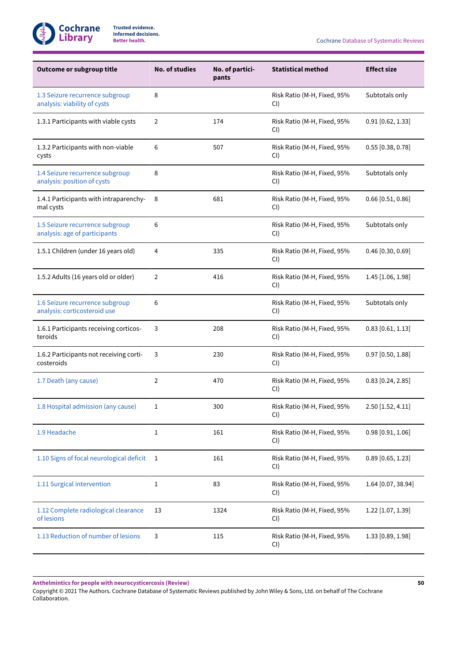

**Better health.** Cochrane Database of Systematic Reviews

| Outcome or subgroup title                                        | <b>No. of studies</b> | No. of partici-<br>pants | <b>Statistical method</b>             | <b>Effect size</b>  |
|------------------------------------------------------------------|-----------------------|--------------------------|---------------------------------------|---------------------|
| 1.3 Seizure recurrence subgroup<br>analysis: viability of cysts  | 8                     |                          | Risk Ratio (M-H, Fixed, 95%<br>CI)    | Subtotals only      |
| 1.3.1 Participants with viable cysts                             | 2                     | 174                      | Risk Ratio (M-H, Fixed, 95%<br>CI)    | $0.91$ [0.62, 1.33] |
| 1.3.2 Participants with non-viable<br>cysts                      | 6                     | 507                      | Risk Ratio (M-H, Fixed, 95%<br>CI)    | $0.55$ [0.38, 0.78] |
| 1.4 Seizure recurrence subgroup<br>analysis: position of cysts   | 8                     |                          | Risk Ratio (M-H, Fixed, 95%<br>$CI$ ) | Subtotals only      |
| 1.4.1 Participants with intraparenchy-<br>mal cysts              | 8                     | 681                      | Risk Ratio (M-H, Fixed, 95%<br>CI)    | $0.66$ [0.51, 0.86] |
| 1.5 Seizure recurrence subgroup<br>analysis: age of participants | 6                     |                          | Risk Ratio (M-H, Fixed, 95%<br>CI)    | Subtotals only      |
| 1.5.1 Children (under 16 years old)                              | 4                     | 335                      | Risk Ratio (M-H, Fixed, 95%<br>CI)    | $0.46$ [0.30, 0.69] |
| 1.5.2 Adults (16 years old or older)                             | $\overline{2}$        | 416                      | Risk Ratio (M-H, Fixed, 95%<br>CI)    | $1.45$ [1.06, 1.98] |
| 1.6 Seizure recurrence subgroup<br>analysis: corticosteroid use  | 6                     |                          | Risk Ratio (M-H, Fixed, 95%<br>$CI$ ) | Subtotals only      |
| 1.6.1 Participants receiving corticos-<br>teroids                | 3                     | 208                      | Risk Ratio (M-H, Fixed, 95%<br>$CI$ ) | $0.83$ [0.61, 1.13] |
| 1.6.2 Participants not receiving corti-<br>costeroids            | 3                     | 230                      | Risk Ratio (M-H, Fixed, 95%<br>$CI$ ) | $0.97$ [0.50, 1.88] |
| 1.7 Death (any cause)                                            | $\overline{2}$        | 470                      | Risk Ratio (M-H, Fixed, 95%<br>CI)    | $0.83$ [0.24, 2.85] |
| 1.8 Hospital admission (any cause)                               | 1                     | 300                      | Risk Ratio (M-H, Fixed, 95%<br>CI)    | 2.50 [1.52, 4.11]   |
| 1.9 Headache                                                     | 1                     | 161                      | Risk Ratio (M-H, Fixed, 95%<br>CI)    | $0.98$ [0.91, 1.06] |
| 1.10 Signs of focal neurological deficit                         | 1                     | 161                      | Risk Ratio (M-H, Fixed, 95%<br>CI)    | $0.89$ [0.65, 1.23] |
| 1.11 Surgical intervention                                       | 1                     | 83                       | Risk Ratio (M-H, Fixed, 95%<br>CI)    | 1.64 [0.07, 38.94]  |
| 1.12 Complete radiological clearance<br>of lesions               | 13                    | 1324                     | Risk Ratio (M-H, Fixed, 95%<br>CI)    | $1.22$ [1.07, 1.39] |
| 1.13 Reduction of number of lesions                              | 3                     | 115                      | Risk Ratio (M-H, Fixed, 95%<br>CI)    | 1.33 [0.89, 1.98]   |

**Anthelmintics for people with neurocysticercosis (Review)**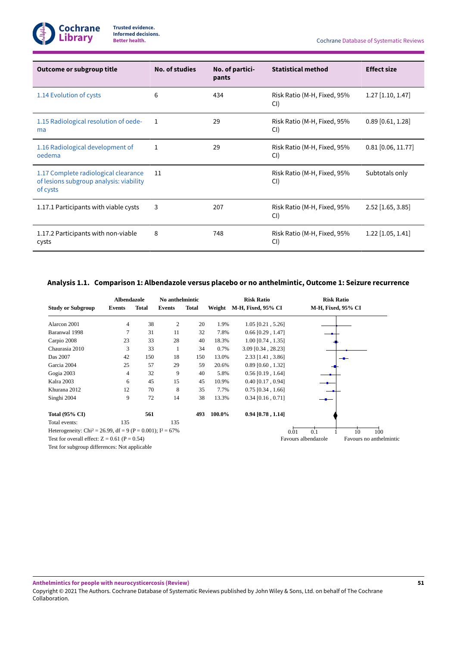

| Outcome or subgroup title                                                                   | <b>No. of studies</b> | No. of partici-<br>pants | <b>Statistical method</b>          | <b>Effect size</b>   |
|---------------------------------------------------------------------------------------------|-----------------------|--------------------------|------------------------------------|----------------------|
| 1.14 Evolution of cysts                                                                     | 6                     | 434                      | Risk Ratio (M-H, Fixed, 95%<br>CI) | $1.27$ [1.10, 1.47]  |
| 1.15 Radiological resolution of oede-<br>ma                                                 | 1                     | 29                       | Risk Ratio (M-H, Fixed, 95%<br>CI) | $0.89$ [0.61, 1.28]  |
| 1.16 Radiological development of<br>oedema                                                  | 1                     | 29                       | Risk Ratio (M-H, Fixed, 95%<br>CI) | $0.81$ [0.06, 11.77] |
| 1.17 Complete radiological clearance<br>of lesions subgroup analysis: viability<br>of cysts | 11                    |                          | Risk Ratio (M-H, Fixed, 95%<br>CI) | Subtotals only       |
| 1.17.1 Participants with viable cysts                                                       | 3                     | 207                      | Risk Ratio (M-H, Fixed, 95%<br>CI) | $2.52$ [1.65, 3.85]  |
| 1.17.2 Participants with non-viable<br>cysts                                                | 8                     | 748                      | Risk Ratio (M-H, Fixed, 95%<br>CI) | $1.22$ [1.05, 1.41]  |

# <span id="page-53-0"></span>**Analysis 1.1. Comparison 1: Albendazole versus placebo or no anthelmintic, Outcome 1:Seizure recurrence**

|                                                                          | Albendazole |       | No anthelmintic |              |         | <b>Risk Ratio</b>    | <b>Risk Ratio</b>                              |
|--------------------------------------------------------------------------|-------------|-------|-----------------|--------------|---------|----------------------|------------------------------------------------|
| <b>Study or Subgroup</b>                                                 | Events      | Total | Events          | <b>Total</b> | Weight  | M-H, Fixed, 95% CI   | M-H, Fixed, 95% CI                             |
| Alarcon 2001                                                             | 4           | 38    | 2               | 20           | 1.9%    | $1.05$ [0.21, 5.26]  |                                                |
| Baranwal 1998                                                            | 7           | 31    | 11              | 32           | 7.8%    | $0.66$ [0.29, 1.47]  |                                                |
| Carpio 2008                                                              | 23          | 33    | 28              | 40           | 18.3%   | $1.00$ [0.74, 1.35]  |                                                |
| Chaurasia 2010                                                           | 3           | 33    | 1               | 34           | $0.7\%$ | $3.09$ [0.34, 28.23] |                                                |
| Das 2007                                                                 | 42          | 150   | 18              | 150          | 13.0%   | $2.33$ [1.41, 3.86]  |                                                |
| Garcia 2004                                                              | 25          | 57    | 29              | 59           | 20.6%   | $0.89$ [0.60, 1.32]  |                                                |
| Gogia 2003                                                               | 4           | 32    | 9               | 40           | 5.8%    | $0.56$ [0.19, 1.64]  |                                                |
| Kalra 2003                                                               | 6           | 45    | 15              | 45           | 10.9%   | $0.40$ [0.17, 0.94]  |                                                |
| Khurana 2012                                                             | 12          | 70    | 8               | 35           | 7.7%    | $0.75$ [0.34, 1.66]  |                                                |
| Singhi 2004                                                              | 9           | 72    | 14              | 38           | 13.3%   | $0.34$ [0.16, 0.71]  |                                                |
| <b>Total (95% CI)</b>                                                    |             | 561   |                 | 493          | 100.0%  | $0.94$ [0.78, 1.14]  |                                                |
| Total events:                                                            | 135         |       | 135             |              |         |                      |                                                |
| Heterogeneity: Chi <sup>2</sup> = 26.99, df = 9 (P = 0.001); $I^2$ = 67% |             |       |                 |              |         |                      | 0.1<br>10<br>100<br>0.01                       |
| Test for overall effect: $Z = 0.61$ (P = 0.54)                           |             |       |                 |              |         |                      | Favours albendazole<br>Favours no anthelmintic |
| Test for subgroup differences: Not applicable                            |             |       |                 |              |         |                      |                                                |

**Anthelmintics for people with neurocysticercosis (Review)**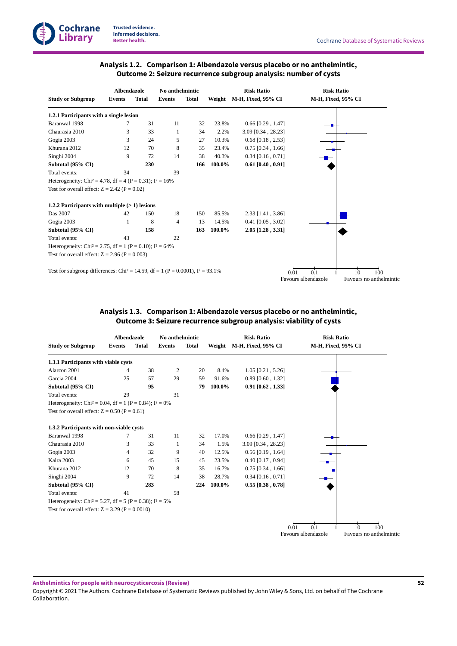

# **Analysis 1.2. Comparison 1: Albendazole versus placebo or no anthelmintic, Outcome 2:Seizure recurrence subgroup analysis: number of cysts**

<span id="page-54-0"></span>

|                                                                                             |               | <b>Albendazole</b> |               | No anthelmintic |        | <b>Risk Ratio</b>    |      | <b>Risk Ratio</b>   |                 |                         |
|---------------------------------------------------------------------------------------------|---------------|--------------------|---------------|-----------------|--------|----------------------|------|---------------------|-----------------|-------------------------|
| <b>Study or Subgroup</b>                                                                    | <b>Events</b> | <b>Total</b>       | <b>Events</b> | <b>Total</b>    | Weight | M-H, Fixed, 95% CI   |      | M-H, Fixed, 95% CI  |                 |                         |
| 1.2.1 Participants with a single lesion                                                     |               |                    |               |                 |        |                      |      |                     |                 |                         |
| Baranwal 1998                                                                               | 7             | 31                 | 11            | 32              | 23.8%  | $0.66$ [0.29, 1.47]  |      |                     |                 |                         |
| Chaurasia 2010                                                                              | 3             | 33                 | 1             | 34              | 2.2%   | $3.09$ [0.34, 28.23] |      |                     |                 |                         |
| Gogia 2003                                                                                  | 3             | 24                 | 5             | 27              | 10.3%  | $0.68$ [0.18, 2.53]  |      |                     |                 |                         |
| Khurana 2012                                                                                | 12            | 70                 | 8             | 35              | 23.4%  | $0.75$ [0.34, 1.66]  |      |                     |                 |                         |
| Singhi 2004                                                                                 | 9             | 72                 | 14            | 38              | 40.3%  | $0.34$ [0.16, 0.71]  |      |                     |                 |                         |
| Subtotal (95% CI)                                                                           |               | 230                |               | 166             | 100.0% | $0.61$ [0.40, 0.91]  |      |                     |                 |                         |
| Total events:                                                                               | 34            |                    | 39            |                 |        |                      |      |                     |                 |                         |
| Heterogeneity: Chi <sup>2</sup> = 4.78, df = 4 (P = 0.31); $I^2 = 16\%$                     |               |                    |               |                 |        |                      |      |                     |                 |                         |
| Test for overall effect: $Z = 2.42$ (P = 0.02)                                              |               |                    |               |                 |        |                      |      |                     |                 |                         |
| 1.2.2 Participants with multiple (> 1) lesions                                              |               |                    |               |                 |        |                      |      |                     |                 |                         |
| Das 2007                                                                                    | 42            | 150                | 18            | 150             | 85.5%  | $2.33$ [1.41, 3.86]  |      |                     |                 |                         |
| Gogia 2003                                                                                  | 1             | 8                  | 4             | 13              | 14.5%  | $0.41$ [0.05, 3.02]  |      |                     |                 |                         |
| Subtotal (95% CI)                                                                           |               | 158                |               | 163             | 100.0% | $2.05$ [1.28, 3.31]  |      |                     |                 |                         |
| Total events:                                                                               | 43            |                    | 22            |                 |        |                      |      |                     |                 |                         |
| Heterogeneity: Chi <sup>2</sup> = 2.75, df = 1 (P = 0.10); $I^2$ = 64%                      |               |                    |               |                 |        |                      |      |                     |                 |                         |
| Test for overall effect: $Z = 2.96$ (P = 0.003)                                             |               |                    |               |                 |        |                      |      |                     |                 |                         |
| Test for subgroup differences: Chi <sup>2</sup> = 14.59, df = 1 (P = 0.0001), $I^2$ = 93.1% |               |                    |               |                 |        |                      | 0.01 | $\overline{0.1}$    | $\overline{10}$ | 100 <sub>o</sub>        |
|                                                                                             |               |                    |               |                 |        |                      |      | Favours albendazole |                 | Favours no anthelmintic |

# **Analysis 1.3. Comparison 1: Albendazole versus placebo or no anthelmintic, Outcome 3:Seizure recurrence subgroup analysis: viability of cysts**

<span id="page-54-1"></span>

|                                                                        | <b>Albendazole</b> |              | No anthelmintic |              |        | <b>Risk Ratio</b>   |      | <b>Risk Ratio</b>   |    |                         |
|------------------------------------------------------------------------|--------------------|--------------|-----------------|--------------|--------|---------------------|------|---------------------|----|-------------------------|
| <b>Study or Subgroup</b><br><b>Events</b>                              |                    | <b>Total</b> | <b>Events</b>   | <b>Total</b> | Weight | M-H, Fixed, 95% CI  |      | M-H, Fixed, 95% CI  |    |                         |
| 1.3.1 Participants with viable cysts                                   |                    |              |                 |              |        |                     |      |                     |    |                         |
| Alarcon 2001                                                           | 4                  | 38           | 2               | 20           | 8.4%   | $1.05$ [0.21, 5.26] |      |                     |    |                         |
| Garcia 2004                                                            | 25                 | 57           | 29              | 59           | 91.6%  | $0.89$ [0.60, 1.32] |      |                     |    |                         |
| Subtotal (95% CI)                                                      |                    | 95           |                 | 79           | 100.0% | $0.91$ [0.62, 1.33] |      |                     |    |                         |
| Total events:                                                          | 29                 |              | 31              |              |        |                     |      |                     |    |                         |
| Heterogeneity: Chi <sup>2</sup> = 0.04, df = 1 (P = 0.84); $I^2 = 0\%$ |                    |              |                 |              |        |                     |      |                     |    |                         |
| Test for overall effect: $Z = 0.50$ (P = 0.61)                         |                    |              |                 |              |        |                     |      |                     |    |                         |
| 1.3.2 Participants with non-viable cysts                               |                    |              |                 |              |        |                     |      |                     |    |                         |
| Baranwal 1998                                                          | 7                  | 31           | 11              | 32           | 17.0%  | $0.66$ [0.29, 1.47] |      |                     |    |                         |
| Chaurasia 2010                                                         | 3                  | 33           | 1               | 34           | 1.5%   | 3.09 [0.34, 28.23]  |      |                     |    |                         |
| Gogia 2003                                                             | 4                  | 32           | 9               | 40           | 12.5%  | $0.56$ [0.19, 1.64] |      |                     |    |                         |
| Kalra 2003                                                             | 6                  | 45           | 15              | 45           | 23.5%  | $0.40$ [0.17, 0.94] |      |                     |    |                         |
| Khurana 2012                                                           | 12                 | 70           | 8               | 35           | 16.7%  | $0.75$ [0.34, 1.66] |      |                     |    |                         |
| Singhi 2004                                                            | 9                  | 72           | 14              | 38           | 28.7%  | $0.34$ [0.16, 0.71] |      |                     |    |                         |
| Subtotal (95% CI)                                                      |                    | 283          |                 | 224          | 100.0% | $0.55$ [0.38, 0.78] |      |                     |    |                         |
| Total events:                                                          | 41                 |              | 58              |              |        |                     |      |                     |    |                         |
| Heterogeneity: Chi <sup>2</sup> = 5.27, df = 5 (P = 0.38); $I^2$ = 5%  |                    |              |                 |              |        |                     |      |                     |    |                         |
| Test for overall effect: $Z = 3.29$ (P = 0.0010)                       |                    |              |                 |              |        |                     |      |                     |    |                         |
|                                                                        |                    |              |                 |              |        |                     |      | 0.1                 | 10 | 100                     |
|                                                                        |                    |              |                 |              |        |                     | 0.01 | Favours albendazole |    | Favours no anthelmintic |

**Anthelmintics for people with neurocysticercosis (Review)**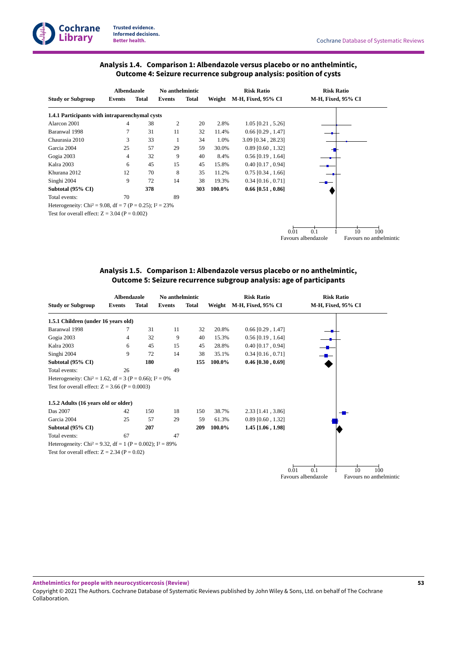

# **Analysis 1.4. Comparison 1: Albendazole versus placebo or no anthelmintic, Outcome 4:Seizure recurrence subgroup analysis: position of cysts**

<span id="page-55-0"></span>

|                                                                         | <b>Albendazole</b> |              | No anthelmintic |       |        | <b>Risk Ratio</b>         |                     | <b>Risk Ratio</b>  |    |                         |
|-------------------------------------------------------------------------|--------------------|--------------|-----------------|-------|--------|---------------------------|---------------------|--------------------|----|-------------------------|
| <b>Study or Subgroup</b>                                                | Events             | <b>Total</b> | Events          | Total | Weight | <b>M-H, Fixed, 95% CI</b> |                     | M-H, Fixed, 95% CI |    |                         |
| 1.4.1 Participants with intraparenchymal cysts                          |                    |              |                 |       |        |                           |                     |                    |    |                         |
| Alarcon 2001                                                            | 4                  | 38           | 2               | 20    | 2.8%   | $1.05$ [0.21, 5.26]       |                     |                    |    |                         |
| Baranwal 1998                                                           |                    | 31           | 11              | 32    | 11.4%  | $0.66$ [0.29, 1.47]       |                     |                    |    |                         |
| Chaurasia 2010                                                          | 3                  | 33           | 1               | 34    | 1.0%   | 3.09 [0.34, 28.23]        |                     |                    |    |                         |
| Garcia 2004                                                             | 25                 | 57           | 29              | 59    | 30.0%  | $0.89$ [0.60, 1.32]       |                     |                    |    |                         |
| Gogia 2003                                                              | 4                  | 32           | 9               | 40    | 8.4%   | $0.56$ [0.19, 1.64]       |                     |                    |    |                         |
| Kalra 2003                                                              | 6                  | 45           | 15              | 45    | 15.8%  | $0.40$ [0.17, 0.94]       |                     |                    |    |                         |
| Khurana 2012                                                            | 12                 | 70           | 8               | 35    | 11.2%  | $0.75$ [0.34, 1.66]       |                     |                    |    |                         |
| Singhi 2004                                                             | 9                  | 72           | 14              | 38    | 19.3%  | $0.34$ [0.16, 0.71]       |                     |                    |    |                         |
| Subtotal (95% CI)                                                       |                    | 378          |                 | 303   | 100.0% | $0.66$ [0.51, 0.86]       |                     |                    |    |                         |
| Total events:                                                           | 70                 |              | 89              |       |        |                           |                     |                    |    |                         |
| Heterogeneity: Chi <sup>2</sup> = 9.08, df = 7 (P = 0.25); $I^2 = 23\%$ |                    |              |                 |       |        |                           |                     |                    |    |                         |
| Test for overall effect: $Z = 3.04$ (P = 0.002)                         |                    |              |                 |       |        |                           |                     |                    |    |                         |
|                                                                         |                    |              |                 |       |        |                           | 0.01                | 0.1                | 10 | 100                     |
|                                                                         |                    |              |                 |       |        |                           | Favours albendazole |                    |    | Favours no anthelmintic |

# **Analysis 1.5. Comparison 1: Albendazole versus placebo or no anthelmintic, Outcome 5:Seizure recurrence subgroup analysis: age of participants**

<span id="page-55-1"></span>

|               |              |                                                                                                                                                                                                         |                                                                                                                                                   |                 | <b>Risk Ratio</b>  |                                                                        |                                                                                                                                                                                                     |                                                                                                        |
|---------------|--------------|---------------------------------------------------------------------------------------------------------------------------------------------------------------------------------------------------------|---------------------------------------------------------------------------------------------------------------------------------------------------|-----------------|--------------------|------------------------------------------------------------------------|-----------------------------------------------------------------------------------------------------------------------------------------------------------------------------------------------------|--------------------------------------------------------------------------------------------------------|
| <b>Events</b> | <b>Total</b> | <b>Events</b>                                                                                                                                                                                           | <b>Total</b>                                                                                                                                      | Weight          | M-H, Fixed, 95% CI |                                                                        |                                                                                                                                                                                                     |                                                                                                        |
|               |              |                                                                                                                                                                                                         |                                                                                                                                                   |                 |                    |                                                                        |                                                                                                                                                                                                     |                                                                                                        |
|               | 31           | 11                                                                                                                                                                                                      | 32                                                                                                                                                |                 |                    |                                                                        |                                                                                                                                                                                                     |                                                                                                        |
| 4             | 32           | 9                                                                                                                                                                                                       | 40                                                                                                                                                |                 |                    |                                                                        |                                                                                                                                                                                                     |                                                                                                        |
| 6             | 45           | 15                                                                                                                                                                                                      | 45                                                                                                                                                |                 |                    |                                                                        |                                                                                                                                                                                                     |                                                                                                        |
| 9             | 72           | 14                                                                                                                                                                                                      | 38                                                                                                                                                |                 |                    |                                                                        |                                                                                                                                                                                                     |                                                                                                        |
|               | 180          |                                                                                                                                                                                                         | 155                                                                                                                                               |                 |                    |                                                                        |                                                                                                                                                                                                     |                                                                                                        |
| 26            |              | 49                                                                                                                                                                                                      |                                                                                                                                                   |                 |                    |                                                                        |                                                                                                                                                                                                     |                                                                                                        |
|               |              |                                                                                                                                                                                                         |                                                                                                                                                   |                 |                    |                                                                        |                                                                                                                                                                                                     |                                                                                                        |
|               |              |                                                                                                                                                                                                         |                                                                                                                                                   |                 |                    |                                                                        |                                                                                                                                                                                                     |                                                                                                        |
|               |              |                                                                                                                                                                                                         |                                                                                                                                                   |                 |                    |                                                                        |                                                                                                                                                                                                     |                                                                                                        |
| 42            | 150          | 18                                                                                                                                                                                                      | 150                                                                                                                                               |                 |                    |                                                                        |                                                                                                                                                                                                     |                                                                                                        |
| 25            | 57           | 29                                                                                                                                                                                                      | 59                                                                                                                                                |                 |                    |                                                                        |                                                                                                                                                                                                     |                                                                                                        |
|               | 207          |                                                                                                                                                                                                         | 209                                                                                                                                               |                 |                    |                                                                        |                                                                                                                                                                                                     |                                                                                                        |
| 67            |              | 47                                                                                                                                                                                                      |                                                                                                                                                   |                 |                    |                                                                        |                                                                                                                                                                                                     |                                                                                                        |
|               |              |                                                                                                                                                                                                         |                                                                                                                                                   |                 |                    |                                                                        |                                                                                                                                                                                                     |                                                                                                        |
|               |              |                                                                                                                                                                                                         |                                                                                                                                                   |                 |                    |                                                                        |                                                                                                                                                                                                     |                                                                                                        |
|               |              |                                                                                                                                                                                                         |                                                                                                                                                   |                 |                    |                                                                        |                                                                                                                                                                                                     |                                                                                                        |
|               |              |                                                                                                                                                                                                         |                                                                                                                                                   |                 |                    |                                                                        |                                                                                                                                                                                                     |                                                                                                        |
|               |              | <b>Albendazole</b><br>1.5.1 Children (under 16 years old)<br>Test for overall effect: $Z = 3.66$ (P = 0.0003)<br>1.5.2 Adults (16 years old or older)<br>Test for overall effect: $Z = 2.34$ (P = 0.02) | Heterogeneity: Chi <sup>2</sup> = 1.62, df = 3 (P = 0.66); $I^2 = 0\%$<br>Heterogeneity: Chi <sup>2</sup> = 9.32, df = 1 (P = 0.002); $I^2$ = 89% | No anthelmintic |                    | 20.8%<br>15.3%<br>28.8%<br>35.1%<br>100.0%<br>38.7%<br>61.3%<br>100.0% | $0.66$ [0.29, 1.47]<br>$0.56$ [0.19, 1.64]<br>$0.40$ [0.17, 0.94]<br>$0.34$ [0.16, 0.71]<br>$0.46$ [0.30, 0.69]<br>$2.33$ [1.41, 3.86]<br>$0.89$ [0.60, 1.32]<br>$1.45$ [1.06, 1.98]<br>0.1<br>0.01 | <b>Risk Ratio</b><br>M-H, Fixed, 95% CI<br>10<br>100<br>Favours albendazole<br>Favours no anthelmintic |

**Anthelmintics for people with neurocysticercosis (Review)**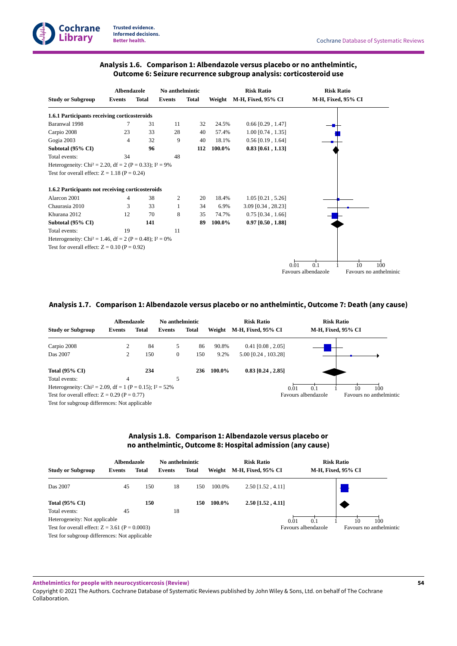

# **Analysis 1.6. Comparison 1: Albendazole versus placebo or no anthelmintic, Outcome 6:Seizure recurrence subgroup analysis: corticosteroid use**

<span id="page-56-0"></span>

|                                                                        | <b>Albendazole</b> |              | No anthelmintic |              |        | <b>Risk Ratio</b>    |      | <b>Risk Ratio</b>          |              |                               |
|------------------------------------------------------------------------|--------------------|--------------|-----------------|--------------|--------|----------------------|------|----------------------------|--------------|-------------------------------|
| <b>Study or Subgroup</b>                                               | <b>Events</b>      | <b>Total</b> | <b>Events</b>   | <b>Total</b> | Weight | M-H, Fixed, 95% CI   |      | M-H, Fixed, 95% CI         |              |                               |
| 1.6.1 Participants receiving corticosteroids                           |                    |              |                 |              |        |                      |      |                            |              |                               |
| Baranwal 1998                                                          | 7                  | 31           | 11              | 32           | 24.5%  | $0.66$ [0.29, 1.47]  |      |                            |              |                               |
| Carpio 2008                                                            | 23                 | 33           | 28              | 40           | 57.4%  | $1.00$ [0.74, 1.35]  |      |                            |              |                               |
| Gogia 2003                                                             | 4                  | 32           | 9               | 40           | 18.1%  | $0.56$ [0.19, 1.64]  |      |                            |              |                               |
| Subtotal (95% CI)                                                      |                    | 96           |                 | 112          | 100.0% | $0.83$ [0.61, 1.13]  |      |                            |              |                               |
| Total events:                                                          | 34                 |              | 48              |              |        |                      |      |                            |              |                               |
| Heterogeneity: Chi <sup>2</sup> = 2.20, df = 2 (P = 0.33); $I^2 = 9\%$ |                    |              |                 |              |        |                      |      |                            |              |                               |
| Test for overall effect: $Z = 1.18$ (P = 0.24)                         |                    |              |                 |              |        |                      |      |                            |              |                               |
| 1.6.2 Participants not receiving corticosteroids                       |                    |              |                 |              |        |                      |      |                            |              |                               |
| Alarcon 2001                                                           | 4                  | 38           | 2               | 20           | 18.4%  | $1.05$ [0.21, 5.26]  |      |                            |              |                               |
| Chaurasia 2010                                                         | 3                  | 33           | 1               | 34           | 6.9%   | $3.09$ [0.34, 28.23] |      |                            |              |                               |
| Khurana 2012                                                           | 12                 | 70           | 8               | 35           | 74.7%  | $0.75$ [0.34, 1.66]  |      |                            |              |                               |
| Subtotal (95% CI)                                                      |                    | 141          |                 | 89           | 100.0% | $0.97$ [0.50, 1.88]  |      |                            |              |                               |
| Total events:                                                          | 19                 |              | 11              |              |        |                      |      |                            |              |                               |
| Heterogeneity: Chi <sup>2</sup> = 1.46, df = 2 (P = 0.48); $I^2 = 0\%$ |                    |              |                 |              |        |                      |      |                            |              |                               |
| Test for overall effect: $Z = 0.10$ (P = 0.92)                         |                    |              |                 |              |        |                      |      |                            |              |                               |
|                                                                        |                    |              |                 |              |        |                      |      |                            |              |                               |
|                                                                        |                    |              |                 |              |        |                      | 0.01 | 0.1<br>Favours albendazole | $10^{\circ}$ | 100<br>Favours no anthelminic |
|                                                                        |                    |              |                 |              |        |                      |      |                            |              |                               |

#### <span id="page-56-1"></span>**Analysis 1.7. Comparison 1: Albendazole versus placebo or no anthelmintic, Outcome 7: Death (any cause)**

|                                                                        | <b>Albendazole</b> |       | No anthelmintic |       |        | <b>Risk Ratio</b>         | <b>Risk Ratio</b>   |                         |
|------------------------------------------------------------------------|--------------------|-------|-----------------|-------|--------|---------------------------|---------------------|-------------------------|
| <b>Study or Subgroup</b>                                               | Events             | Total | Events          | Total | Weight | <b>M-H, Fixed, 95% CI</b> | M-H, Fixed, 95% CI  |                         |
| Carpio 2008                                                            | 2                  | 84    | 5               | 86    | 90.8%  | $0.41$ [0.08, 2.05]       |                     |                         |
| Das 2007                                                               | 2                  | 150   | $\mathbf{0}$    | 150   | 9.2%   | 5.00 [0.24, 103.28]       |                     |                         |
| Total $(95\% \text{ CI})$                                              |                    | 234   |                 | 236   | 100.0% | $0.83$ [0.24, 2.85]       |                     |                         |
| Total events:                                                          | $\overline{4}$     |       | 5               |       |        |                           |                     |                         |
| Heterogeneity: Chi <sup>2</sup> = 2.09, df = 1 (P = 0.15); $I^2$ = 52% |                    |       |                 |       |        |                           | 0.01<br>0.1         | 100<br>10               |
| Test for overall effect: $Z = 0.29$ (P = 0.77)                         |                    |       |                 |       |        |                           | Favours albendazole | Favours no anthelmintic |
| Test for subgroup differences: Not applicable                          |                    |       |                 |       |        |                           |                     |                         |

# **Analysis 1.8. Comparison 1: Albendazole versus placebo or no anthelmintic, Outcome 8: Hospital admission (any cause)**

<span id="page-56-2"></span>

|                                                  | Albendazole   |              | No anthelmintic |              |        | <b>Risk Ratio</b>   |                     | <b>Risk Ratio</b>       |
|--------------------------------------------------|---------------|--------------|-----------------|--------------|--------|---------------------|---------------------|-------------------------|
| <b>Study or Subgroup</b>                         | <b>Events</b> | <b>Total</b> | <b>Events</b>   | <b>Total</b> | Weight | M-H, Fixed, 95% CI  |                     | M-H, Fixed, 95% CI      |
| Das 2007                                         | 45            | 150          | 18              | 150          | 100.0% | $2.50$ [1.52, 4.11] |                     |                         |
| <b>Total (95% CI)</b>                            |               | 150          |                 | 150          | 100.0% | $2.50$ [1.52, 4.11] |                     |                         |
| Total events:                                    | 45            |              | 18              |              |        |                     |                     |                         |
| Heterogeneity: Not applicable                    |               |              |                 |              |        | 0.01                | 0.1                 | 100<br>10               |
| Test for overall effect: $Z = 3.61$ (P = 0.0003) |               |              |                 |              |        |                     | Favours albendazole | Favours no anthelmintic |
| Test for subgroup differences: Not applicable    |               |              |                 |              |        |                     |                     |                         |

Test for subgroup differences: Not applicable

**Anthelmintics for people with neurocysticercosis (Review)**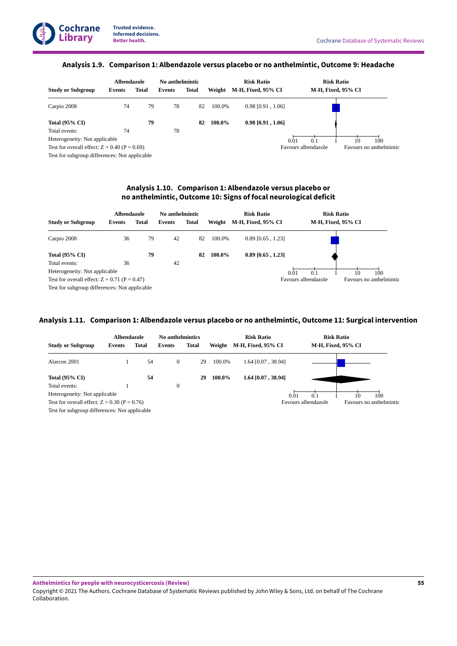#### **Analysis 1.9. Comparison 1: Albendazole versus placebo or no anthelmintic, Outcome 9: Headache**

<span id="page-57-0"></span>

|                                                | Albendazole |       | No anthelmintic |       |        | <b>Risk Ratio</b>   | <b>Risk Ratio</b>   |    |                         |
|------------------------------------------------|-------------|-------|-----------------|-------|--------|---------------------|---------------------|----|-------------------------|
| <b>Study or Subgroup</b>                       | Events      | Total | Events          | Total | Weight | M-H, Fixed, 95% CI  | M-H, Fixed, 95% CI  |    |                         |
| Carpio 2008                                    | 74          | 79    | 78              | 82    | 100.0% | $0.98$ [0.91, 1.06] |                     |    |                         |
| <b>Total (95% CI)</b>                          |             | 79    |                 | 82    | 100.0% | $0.98$ [0.91, 1.06] |                     |    |                         |
| Total events:                                  | 74          |       | 78              |       |        |                     |                     |    |                         |
| Heterogeneity: Not applicable                  |             |       |                 |       |        |                     | 0.01<br>0.1         | 10 | 100                     |
| Test for overall effect: $Z = 0.40$ (P = 0.69) |             |       |                 |       |        |                     | Favours albendazole |    | Favours no anthelmintic |
| Test for subgroup differences: Not applicable  |             |       |                 |       |        |                     |                     |    |                         |

# **Analysis 1.10. Comparison 1: Albendazole versus placebo or no anthelmintic, Outcome 10:Signs of focal neurological deficit**

<span id="page-57-1"></span>

|                                                | Albendazole   |              | No anthelmintic |              |        | <b>Risk Ratio</b>   |                     | <b>Risk Ratio</b>  |                         |
|------------------------------------------------|---------------|--------------|-----------------|--------------|--------|---------------------|---------------------|--------------------|-------------------------|
| <b>Study or Subgroup</b>                       | <b>Events</b> | <b>Total</b> | Events          | <b>Total</b> | Weight | M-H, Fixed, 95% CI  |                     | M-H, Fixed, 95% CI |                         |
| Carpio 2008                                    | 36            | 79           | 42              | 82           | 100.0% | $0.89$ [0.65, 1.23] |                     |                    |                         |
| Total $(95\% \text{ CI})$                      |               | 79           |                 | 82           | 100.0% | $0.89$ [0.65, 1.23] |                     |                    |                         |
| Total events:                                  | 36            |              | 42              |              |        |                     |                     |                    |                         |
| Heterogeneity: Not applicable                  |               |              |                 |              |        |                     | 0.1<br>0.01         | 10                 | 100                     |
| Test for overall effect: $Z = 0.71$ (P = 0.47) |               |              |                 |              |        |                     | Favours albendazole |                    | Favours no anthelmintic |
| Test for subgroup differences: Not applicable  |               |              |                 |              |        |                     |                     |                    |                         |

#### <span id="page-57-2"></span>**Analysis 1.11. Comparison 1: Albendazole versus placebo or no anthelmintic, Outcome 11:Surgical intervention**

|                                                | Albendazole   |              | <b>No anthelmintics</b> |              |        | <b>Risk Ratio</b>         |                     | <b>Risk Ratio</b>  |                         |
|------------------------------------------------|---------------|--------------|-------------------------|--------------|--------|---------------------------|---------------------|--------------------|-------------------------|
| <b>Study or Subgroup</b>                       | <b>Events</b> | <b>Total</b> | Events                  | <b>Total</b> | Weight | <b>M-H, Fixed, 95% CI</b> |                     | M-H, Fixed, 95% CI |                         |
| Alarcon 2001                                   |               | 54           | $\mathbf{0}$            | 29           | 100.0% | 1.64 [0.07, 38.94]        |                     |                    |                         |
| <b>Total (95% CI)</b>                          |               | 54           |                         | 29           | 100.0% | 1.64 [0.07, 38.94]        |                     |                    |                         |
| Total events:                                  |               |              | $\mathbf{0}$            |              |        |                           |                     |                    |                         |
| Heterogeneity: Not applicable                  |               |              |                         |              |        |                           | 0.1<br>0.01         | 10                 | 100                     |
| Test for overall effect: $Z = 0.30$ (P = 0.76) |               |              |                         |              |        |                           | Favours albendazole |                    | Favours no anthelmintic |
| Test for subgroup differences: Not applicable  |               |              |                         |              |        |                           |                     |                    |                         |

**Anthelmintics for people with neurocysticercosis (Review)**

Copyright © 2021 The Authors. Cochrane Database of Systematic Reviews published by John Wiley & Sons, Ltd. on behalf of The Cochrane Collaboration.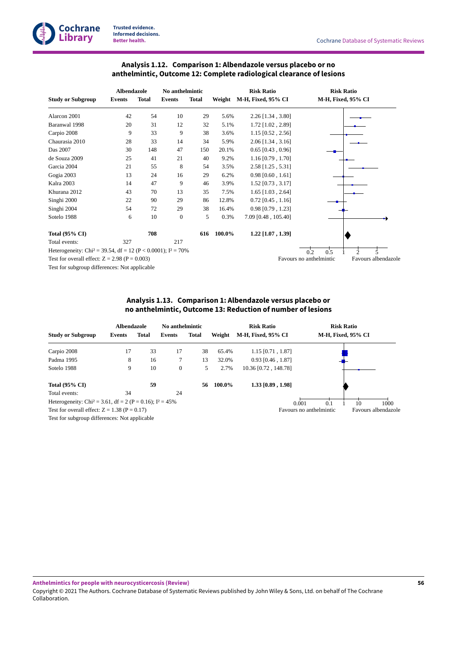

# **Analysis 1.12. Comparison 1: Albendazole versus placebo or no anthelmintic, Outcome 12: Complete radiological clearance of lesions**

<span id="page-58-0"></span>

|                                                                            | <b>Albendazole</b> |              | No anthelmintic  |              |        | <b>Risk Ratio</b>   | <b>Risk Ratio</b>                              |  |  |
|----------------------------------------------------------------------------|--------------------|--------------|------------------|--------------|--------|---------------------|------------------------------------------------|--|--|
| <b>Study or Subgroup</b>                                                   | <b>Events</b>      | <b>Total</b> | Events           | <b>Total</b> | Weight | M-H, Fixed, 95% CI  | M-H, Fixed, 95% CI                             |  |  |
| Alarcon 2001                                                               | 42                 | 54           | 10               | 29           | 5.6%   | 2.26 [1.34, 3.80]   |                                                |  |  |
| Baranwal 1998                                                              | 20                 | 31           | 12               | 32           | 5.1%   | 1.72 [1.02, 2.89]   |                                                |  |  |
| Carpio 2008                                                                | 9                  | 33           | 9                | 38           | 3.6%   | 1.15 [0.52, 2.56]   |                                                |  |  |
| Chaurasia 2010                                                             | 28                 | 33           | 14               | 34           | 5.9%   | $2.06$ [1.34, 3.16] |                                                |  |  |
| Das 2007                                                                   | 30                 | 148          | 47               | 150          | 20.1%  | $0.65$ [0.43, 0.96] |                                                |  |  |
| de Souza 2009                                                              | 25                 | 41           | 21               | 40           | 9.2%   | $1.16$ [0.79, 1.70] |                                                |  |  |
| Garcia 2004                                                                | 21                 | 55           | 8                | 54           | 3.5%   | 2.58 [1.25, 5.31]   |                                                |  |  |
| Gogia 2003                                                                 | 13                 | 24           | 16               | 29           | 6.2%   | $0.98$ [0.60, 1.61] |                                                |  |  |
| Kalra 2003                                                                 | 14                 | 47           | 9                | 46           | 3.9%   | 1.52 [0.73, 3.17]   |                                                |  |  |
| Khurana 2012                                                               | 43                 | 70           | 13               | 35           | 7.5%   | $1.65$ [1.03, 2.64] |                                                |  |  |
| Singhi 2000                                                                | 22                 | 90           | 29               | 86           | 12.8%  | $0.72$ [0.45, 1.16] |                                                |  |  |
| Singhi 2004                                                                | 54                 | 72           | 29               | 38           | 16.4%  | $0.98$ [0.79, 1.23] |                                                |  |  |
| Sotelo 1988                                                                | 6                  | 10           | $\boldsymbol{0}$ | 5            | 0.3%   | 7.09 [0.48, 105.40] |                                                |  |  |
| <b>Total (95% CI)</b>                                                      |                    | 708          |                  | 616          | 100.0% | $1.22$ [1.07, 1.39] |                                                |  |  |
| Total events:                                                              | 327                |              | 217              |              |        |                     |                                                |  |  |
| Heterogeneity: Chi <sup>2</sup> = 39.54, df = 12 (P < 0.0001); $I^2$ = 70% |                    |              |                  |              |        |                     | 0.5<br>0.2<br>5                                |  |  |
| Test for overall effect: $Z = 2.98$ (P = 0.003)                            |                    |              |                  |              |        |                     | Favours albendazole<br>Favours no anthelmintic |  |  |

Test for subgroup differences: Not applicable

# **Analysis 1.13. Comparison 1: Albendazole versus placebo or no anthelmintic, Outcome 13: Reduction of number of lesions**

<span id="page-58-1"></span>

|                                                                        | Albendazole |       | No anthelmintic |       |        | <b>Risk Ratio</b>         | <b>Risk Ratio</b>       |                     |
|------------------------------------------------------------------------|-------------|-------|-----------------|-------|--------|---------------------------|-------------------------|---------------------|
| <b>Study or Subgroup</b>                                               | Events      | Total | Events          | Total | Weight | <b>M-H, Fixed, 95% CI</b> | M-H, Fixed, 95% CI      |                     |
| Carpio 2008                                                            | 17          | 33    | 17              | 38    | 65.4%  | $1.15$ [0.71, 1.87]       |                         |                     |
| Padma 1995                                                             | 8           | 16    | 7               | 13    | 32.0%  | $0.93$ [0.46, 1.87]       |                         |                     |
| Sotelo 1988                                                            | 9           | 10    | 0               | 5     | 2.7%   | 10.36 [0.72, 148.78]      |                         |                     |
| Total $(95\% \text{ CI})$                                              |             | 59    |                 | 56    | 100.0% | 1.33 [0.89, 1.98]         |                         |                     |
| Total events:                                                          | 34          |       | 24              |       |        |                           |                         |                     |
| Heterogeneity: Chi <sup>2</sup> = 3.61, df = 2 (P = 0.16); $I^2$ = 45% |             |       |                 |       |        | 0.001                     | 0.1                     | 10<br>1000          |
| Test for overall effect: $Z = 1.38$ (P = 0.17)                         |             |       |                 |       |        |                           | Favours no anthelmintic | Favours albendazole |
| Test for subgroup differences: Not applicable                          |             |       |                 |       |        |                           |                         |                     |

**Anthelmintics for people with neurocysticercosis (Review)**

Copyright © 2021 The Authors. Cochrane Database of Systematic Reviews published by John Wiley & Sons, Ltd. on behalf of The Cochrane Collaboration.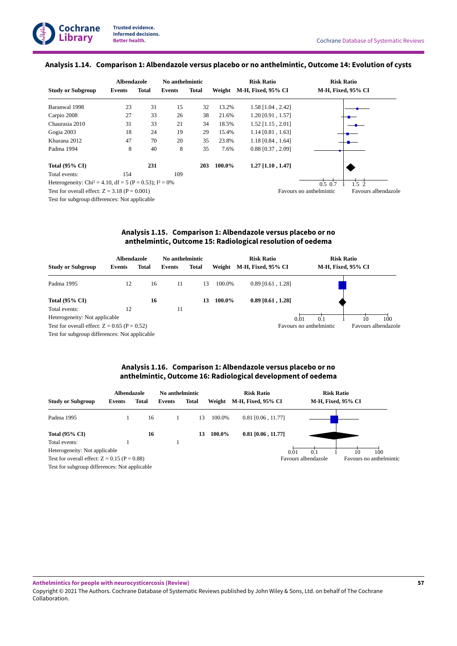#### <span id="page-59-0"></span>**Analysis 1.14. Comparison 1: Albendazole versus placebo or no anthelmintic, Outcome 14: Evolution of cysts**

|                                                                        | <b>Albendazole</b> |       | No anthelmintic |       |        | <b>Risk Ratio</b>         | <b>Risk Ratio</b>                              |
|------------------------------------------------------------------------|--------------------|-------|-----------------|-------|--------|---------------------------|------------------------------------------------|
| <b>Study or Subgroup</b>                                               | Events             | Total | Events          | Total | Weight | <b>M-H, Fixed, 95% CI</b> | M-H, Fixed, 95% CI                             |
| Baranwal 1998                                                          | 23                 | 31    | 15              | 32    | 13.2%  | $1.58$ [1.04, 2.42]       |                                                |
| Carpio 2008                                                            | 27                 | 33    | 26              | 38    | 21.6%  | 1.20 [0.91, 1.57]         |                                                |
| Chaurasia 2010                                                         | 31                 | 33    | 21              | 34    | 18.5%  | $1.52$ [1.15, 2.01]       |                                                |
| Gogia 2003                                                             | 18                 | 24    | 19              | 29    | 15.4%  | $1.14$ [0.81, 1.63]       |                                                |
| Khurana 2012                                                           | 47                 | 70    | 20              | 35    | 23.8%  | $1.18$ [0.84, 1.64]       |                                                |
| Padma 1994                                                             | 8                  | 40    | 8               | 35    | 7.6%   | $0.88$ [0.37, 2.09]       |                                                |
| <b>Total (95% CI)</b>                                                  |                    | 231   |                 | 203   | 100.0% | 1.27 [1.10, 1.47]         |                                                |
| Total events:                                                          | 154                |       | 109             |       |        |                           |                                                |
| Heterogeneity: Chi <sup>2</sup> = 4.10, df = 5 (P = 0.53); $I^2 = 0\%$ |                    |       |                 |       |        |                           | $0.5 \; 0.7$<br>1.5 <sub>2</sub>               |
| Test for overall effect: $Z = 3.18$ (P = 0.001)                        |                    |       |                 |       |        |                           | Favours no anthelmintic<br>Favours albendazole |
| Test for subgroup differences: Not applicable                          |                    |       |                 |       |        |                           |                                                |

**Analysis 1.15. Comparison 1: Albendazole versus placebo or no anthelmintic, Outcome 15: Radiological resolution of oedema**

<span id="page-59-1"></span>

|                                                | Albendazole |       | No anthelmintic |              |        | <b>Risk Ratio</b>   |      |                         | <b>Risk Ratio</b> |                    |                     |
|------------------------------------------------|-------------|-------|-----------------|--------------|--------|---------------------|------|-------------------------|-------------------|--------------------|---------------------|
| <b>Study or Subgroup</b>                       | Events      | Total | Events          | <b>Total</b> | Weight | M-H, Fixed, 95% CI  |      |                         |                   | M-H, Fixed, 95% CI |                     |
| Padma 1995                                     | 12          | 16    | 11              | 13           | 100.0% | $0.89$ [0.61, 1.28] |      |                         |                   |                    |                     |
| Total $(95\% \text{ CI})$                      |             | 16    |                 | 13           | 100.0% | $0.89$ [0.61, 1.28] |      |                         |                   |                    |                     |
| Total events:                                  | 12          |       | 11              |              |        |                     |      |                         |                   |                    |                     |
| Heterogeneity: Not applicable                  |             |       |                 |              |        |                     | 0.01 | 0.1                     |                   | 10                 | 100                 |
| Test for overall effect: $Z = 0.65$ (P = 0.52) |             |       |                 |              |        |                     |      | Favours no anthelmintic |                   |                    | Favours albendazole |
| Test for subgroup differences: Not applicable  |             |       |                 |              |        |                     |      |                         |                   |                    |                     |

# **Analysis 1.16. Comparison 1: Albendazole versus placebo or no anthelmintic, Outcome 16: Radiological development of oedema**

<span id="page-59-2"></span>

|                                                | Albendazole |              | No anthelmintic |       |        | <b>Risk Ratio</b>         | <b>Risk Ratio</b>   |                         |
|------------------------------------------------|-------------|--------------|-----------------|-------|--------|---------------------------|---------------------|-------------------------|
| <b>Study or Subgroup</b>                       | Events      | <b>Total</b> | Events          | Total | Weight | <b>M-H, Fixed, 95% CI</b> | M-H, Fixed, 95% CI  |                         |
| Padma 1995                                     |             | 16           |                 | 13    | 100.0% | $0.81$ [0.06, 11.77]      |                     |                         |
| <b>Total (95% CI)</b>                          |             | 16           |                 | 13    | 100.0% | $0.81$ [0.06, 11.77]      |                     |                         |
| Total events:                                  |             |              |                 |       |        |                           |                     |                         |
| Heterogeneity: Not applicable                  |             |              |                 |       |        | 0.01                      | 0.1                 | 100<br>10               |
| Test for overall effect: $Z = 0.15$ (P = 0.88) |             |              |                 |       |        |                           | Favours albendazole | Favours no anthelmintic |
| Test for subgroup differences: Not applicable  |             |              |                 |       |        |                           |                     |                         |

**Anthelmintics for people with neurocysticercosis (Review)**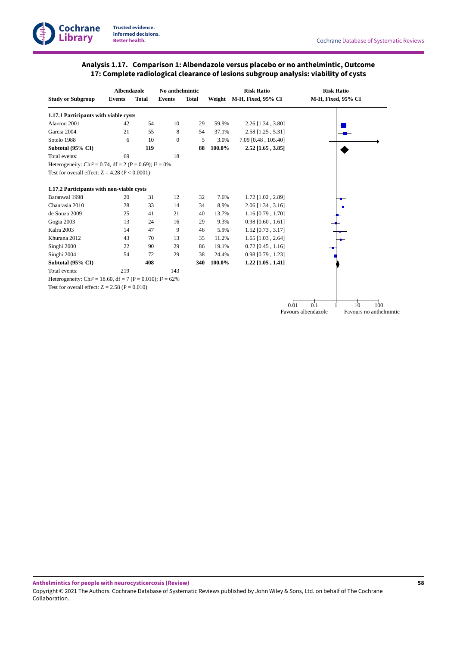# **Analysis 1.17. Comparison 1: Albendazole versus placebo or no anthelmintic, Outcome 17: Complete radiological clearance of lesions subgroup analysis: viability of cysts**

<span id="page-60-0"></span>

|                                                                          | <b>Albendazole</b> |              | No anthelmintic |              |        | <b>Risk Ratio</b>   |                     | <b>Risk Ratio</b>       |
|--------------------------------------------------------------------------|--------------------|--------------|-----------------|--------------|--------|---------------------|---------------------|-------------------------|
| <b>Study or Subgroup</b>                                                 | <b>Events</b>      | <b>Total</b> | <b>Events</b>   | <b>Total</b> | Weight | M-H, Fixed, 95% CI  |                     | M-H, Fixed, 95% CI      |
| 1.17.1 Participants with viable cysts                                    |                    |              |                 |              |        |                     |                     |                         |
| Alarcon 2001                                                             | 42                 | 54           | 10              | 29           | 59.9%  | $2.26$ [1.34, 3.80] |                     |                         |
| Garcia 2004                                                              | 21                 | 55           | 8               | 54           | 37.1%  | 2.58 [1.25, 5.31]   |                     |                         |
| Sotelo 1988                                                              | 6                  | 10           | $\mathbf{0}$    | 5            | 3.0%   | 7.09 [0.48, 105.40] |                     |                         |
| Subtotal (95% CI)                                                        |                    | 119          |                 | 88           | 100.0% | $2.52$ [1.65, 3.85] |                     |                         |
| Total events:                                                            | 69                 |              | 18              |              |        |                     |                     |                         |
| Heterogeneity: Chi <sup>2</sup> = 0.74, df = 2 (P = 0.69); $I^2 = 0\%$   |                    |              |                 |              |        |                     |                     |                         |
| Test for overall effect: $Z = 4.28$ (P < 0.0001)                         |                    |              |                 |              |        |                     |                     |                         |
| 1.17.2 Participants with non-viable cysts                                |                    |              |                 |              |        |                     |                     |                         |
| Baranwal 1998                                                            | 20                 | 31           | 12              | 32           | 7.6%   | 1.72 [1.02, 2.89]   |                     |                         |
| Chaurasia 2010                                                           | 28                 | 33           | 14              | 34           | 8.9%   | $2.06$ [1.34, 3.16] |                     |                         |
| de Souza 2009                                                            | 25                 | 41           | 21              | 40           | 13.7%  | $1.16$ [0.79, 1.70] |                     |                         |
| Gogia 2003                                                               | 13                 | 24           | 16              | 29           | 9.3%   | $0.98$ [0.60, 1.61] |                     |                         |
| Kalra 2003                                                               | 14                 | 47           | 9               | 46           | 5.9%   | $1.52$ [0.73, 3.17] |                     |                         |
| Khurana 2012                                                             | 43                 | 70           | 13              | 35           | 11.2%  | $1.65$ [1.03, 2.64] |                     |                         |
| Singhi 2000                                                              | 22                 | 90           | 29              | 86           | 19.1%  | $0.72$ [0.45, 1.16] |                     |                         |
| Singhi 2004                                                              | 54                 | 72           | 29              | 38           | 24.4%  | $0.98$ [0.79, 1.23] |                     |                         |
| Subtotal (95% CI)                                                        |                    | 408          |                 | 340          | 100.0% | $1.22$ [1.05, 1.41] |                     |                         |
| Total events:                                                            | 219                |              | 143             |              |        |                     |                     |                         |
| Heterogeneity: Chi <sup>2</sup> = 18.60, df = 7 (P = 0.010); $I^2$ = 62% |                    |              |                 |              |        |                     |                     |                         |
| Test for overall effect: $Z = 2.58$ (P = 0.010)                          |                    |              |                 |              |        |                     |                     |                         |
|                                                                          |                    |              |                 |              |        |                     |                     |                         |
|                                                                          |                    |              |                 |              |        |                     | 0.1<br>0.01         | $10^{\circ}$<br>$100 -$ |
|                                                                          |                    |              |                 |              |        |                     | Favours albendazole | Favours no anthelmintic |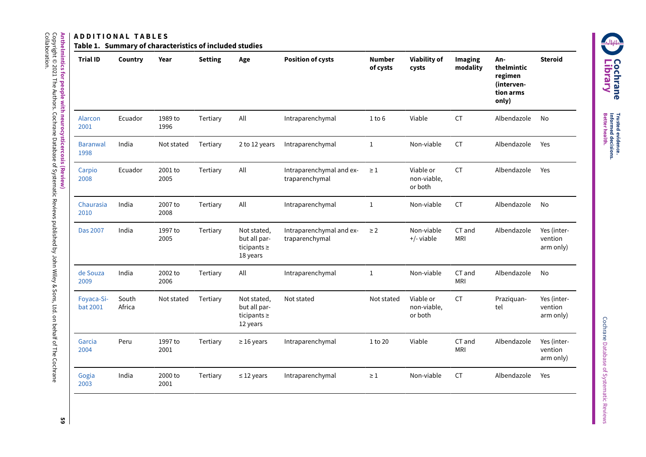# **Anthelmintics A D D I T I O N A L T A B L E S**

**for people**

Copyright © 2021

Collaboration.

The

Authors.

Cochrane

Database

Գ

Systematic

Reviews

published

হ John

Wiley & Sons,

Ltd. s behalf <u>ฉ</u> The

Cochrane

**with**

**neurocysticercosis**

**(Review)**

Table 1. Summary of characteristics of included studies

| <b>Trial ID</b>         | Country         | Year            | <b>Setting</b> | Age                                                         | <b>Position of cysts</b>                   | <b>Number</b><br>of cysts | <b>Viability of</b><br>cysts        | Imaging<br>modality  | An-<br>thelmintic<br>regimen<br>(interven-<br>tion arms<br>only) | <b>Steroid</b>                      |
|-------------------------|-----------------|-----------------|----------------|-------------------------------------------------------------|--------------------------------------------|---------------------------|-------------------------------------|----------------------|------------------------------------------------------------------|-------------------------------------|
| Alarcon<br>2001         | Ecuador         | 1989 to<br>1996 | Tertiary       | All                                                         | Intraparenchymal                           | 1 to 6                    | Viable                              | <b>CT</b>            | Albendazole                                                      | No                                  |
| <b>Baranwal</b><br>1998 | India           | Not stated      | Tertiary       | 2 to 12 years                                               | Intraparenchymal                           | $\mathbf{1}$              | Non-viable                          | <b>CT</b>            | Albendazole                                                      | Yes                                 |
| Carpio<br>2008          | Ecuador         | 2001 to<br>2005 | Tertiary       | All                                                         | Intraparenchymal and ex-<br>traparenchymal | $\geq 1$                  | Viable or<br>non-viable,<br>or both | <b>CT</b>            | Albendazole                                                      | Yes                                 |
| Chaurasia<br>2010       | India           | 2007 to<br>2008 | Tertiary       | All                                                         | Intraparenchymal                           | $\mathbf{1}$              | Non-viable                          | <b>CT</b>            | Albendazole                                                      | <b>No</b>                           |
| Das 2007                | India           | 1997 to<br>2005 | Tertiary       | Not stated,<br>but all par-<br>ticipants $\geq$<br>18 years | Intraparenchymal and ex-<br>traparenchymal | $\geq$ 2                  | Non-viable<br>+/- viable            | CT and<br><b>MRI</b> | Albendazole                                                      | Yes (inter-<br>vention<br>arm only) |
| de Souza<br>2009        | India           | 2002 to<br>2006 | Tertiary       | All                                                         | Intraparenchymal                           | $\mathbf{1}$              | Non-viable                          | CT and<br><b>MRI</b> | Albendazole                                                      | No                                  |
| Foyaca-Si-<br>bat 2001  | South<br>Africa | Not stated      | Tertiary       | Not stated,<br>but all par-<br>ticipants $\geq$<br>12 years | Not stated                                 | Not stated                | Viable or<br>non-viable,<br>or both | <b>CT</b>            | Praziquan-<br>tel                                                | Yes (inter-<br>vention<br>arm only) |
| Garcia<br>2004          | Peru            | 1997 to<br>2001 | Tertiary       | $\geq$ 16 years                                             | Intraparenchymal                           | 1 to 20                   | Viable                              | CT and<br><b>MRI</b> | Albendazole                                                      | Yes (inter-<br>vention<br>arm only) |
| Gogia<br>2003           | India           | 2000 to<br>2001 | Tertiary       | $\leq$ 12 years                                             | Intraparenchymal                           | $\geq 1$                  | Non-viable                          | <b>CT</b>            | Albendazole                                                      | Yes                                 |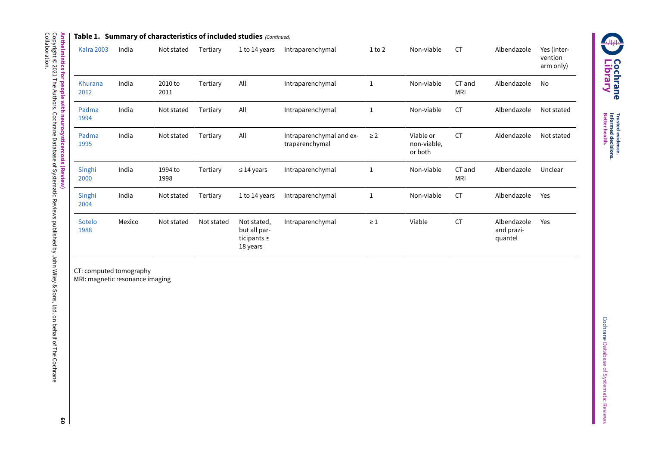|                   |        |                 |            | Table 1. $\,$ Summary of characteristics of included studies $\,$ (Continued) $\,$ |                                            |              |                                     |                      |                                      |                                     |
|-------------------|--------|-----------------|------------|------------------------------------------------------------------------------------|--------------------------------------------|--------------|-------------------------------------|----------------------|--------------------------------------|-------------------------------------|
| <b>Kalra 2003</b> | India  | Not stated      | Tertiary   | 1 to 14 years                                                                      | Intraparenchymal                           | $1$ to $2$   | Non-viable                          | <b>CT</b>            | Albendazole                          | Yes (inter-<br>vention<br>arm only) |
| Khurana<br>2012   | India  | 2010 to<br>2011 | Tertiary   | All                                                                                | Intraparenchymal                           | $\mathbf{1}$ | Non-viable                          | CT and<br><b>MRI</b> | Albendazole                          | No                                  |
| Padma<br>1994     | India  | Not stated      | Tertiary   | All                                                                                | Intraparenchymal                           | $\mathbf{1}$ | Non-viable                          | <b>CT</b>            | Albendazole                          | Not stated                          |
| Padma<br>1995     | India  | Not stated      | Tertiary   | All                                                                                | Intraparenchymal and ex-<br>traparenchymal | $\geq$ 2     | Viable or<br>non-viable,<br>or both | <b>CT</b>            | Aldendazole                          | Not stated                          |
| Singhi<br>2000    | India  | 1994 to<br>1998 | Tertiary   | $\leq$ 14 years                                                                    | Intraparenchymal                           | 1            | Non-viable                          | CT and<br><b>MRI</b> | Albendazole                          | Unclear                             |
| Singhi<br>2004    | India  | Not stated      | Tertiary   | 1 to 14 years                                                                      | Intraparenchymal                           | 1            | Non-viable                          | <b>CT</b>            | Albendazole                          | Yes                                 |
| Sotelo<br>1988    | Mexico | Not stated      | Not stated | Not stated,<br>but all par-<br>ticipants $\geq$<br>18 years                        | Intraparenchymal                           | $\geq 1$     | Viable                              | <b>CT</b>            | Albendazole<br>and prazi-<br>quantel | Yes                                 |

CT: computed tomography MRI: magnetic resonance imaging

**Anthelmintics for people with neurocysticercosis (Review)** Copyright © 2021 The Authors. Cochrane Database Գ Systematic Reviews published হ John Wiley & Sons, Ltd. s behalf <u>ฉ</u> Collaboration.

The

Cochrane



**Trusted Better evidence. Informed decisions. health.**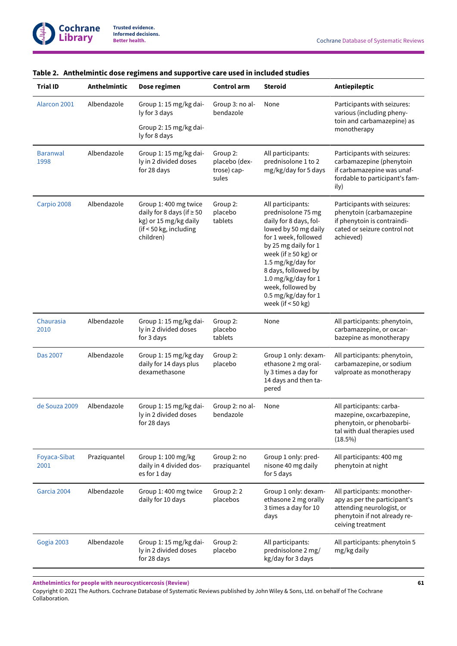| <b>Trial ID</b>         | Anthelmintic | Dose regimen                                                                                                            | Control arm                                       | <b>Steroid</b>                                                                                                                                                                                                                                                                                               | Antiepileptic                                                                                                                                 |
|-------------------------|--------------|-------------------------------------------------------------------------------------------------------------------------|---------------------------------------------------|--------------------------------------------------------------------------------------------------------------------------------------------------------------------------------------------------------------------------------------------------------------------------------------------------------------|-----------------------------------------------------------------------------------------------------------------------------------------------|
| Alarcon 2001            | Albendazole  | Group 1: 15 mg/kg dai-<br>ly for 3 days<br>Group 2: 15 mg/kg dai-<br>ly for 8 days                                      | Group 3: no al-<br>bendazole                      | None                                                                                                                                                                                                                                                                                                         | Participants with seizures:<br>various (including pheny-<br>toin and carbamazepine) as<br>monotherapy                                         |
| <b>Baranwal</b><br>1998 | Albendazole  | Group 1: 15 mg/kg dai-<br>ly in 2 divided doses<br>for 28 days                                                          | Group 2:<br>placebo (dex-<br>trose) cap-<br>sules | All participants:<br>prednisolone 1 to 2<br>mg/kg/day for 5 days                                                                                                                                                                                                                                             | Participants with seizures:<br>carbamazepine (phenytoin<br>if carbamazepine was unaf-<br>fordable to participant's fam-<br>ily)               |
| Carpio 2008             | Albendazole  | Group 1: 400 mg twice<br>daily for 8 days (if $\geq 50$<br>kg) or 15 mg/kg daily<br>(if < 50 kg, including<br>children) | Group 2:<br>placebo<br>tablets                    | All participants:<br>prednisolone 75 mg<br>daily for 8 days, fol-<br>lowed by 50 mg daily<br>for 1 week, followed<br>by 25 mg daily for 1<br>week (if $\geq$ 50 kg) or<br>1.5 mg/kg/day for<br>8 days, followed by<br>1.0 mg/kg/day for 1<br>week, followed by<br>0.5 mg/kg/day for 1<br>week (if $<$ 50 kg) | Participants with seizures:<br>phenytoin (carbamazepine<br>if phenytoin is contraindi-<br>cated or seizure control not<br>achieved)           |
| Chaurasia<br>2010       | Albendazole  | Group 1: 15 mg/kg dai-<br>ly in 2 divided doses<br>for 3 days                                                           | Group 2:<br>placebo<br>tablets                    | None                                                                                                                                                                                                                                                                                                         | All participants: phenytoin,<br>carbamazepine, or oxcar-<br>bazepine as monotherapy                                                           |
| Das 2007                | Albendazole  | Group 1: 15 mg/kg day<br>daily for 14 days plus<br>dexamethasone                                                        | Group 2:<br>placebo                               | Group 1 only: dexam-<br>ethasone 2 mg oral-<br>ly 3 times a day for<br>14 days and then ta-<br>pered                                                                                                                                                                                                         | All participants: phenytoin,<br>carbamazepine, or sodium<br>valproate as monotherapy                                                          |
| de Souza 2009           | Albendazole  | Group 1: 15 mg/kg dai-<br>ly in 2 divided doses<br>for 28 days                                                          | Group 2: no al-<br>bendazole                      | None                                                                                                                                                                                                                                                                                                         | All participants: carba-<br>mazepine, oxcarbazepine,<br>phenytoin, or phenobarbi-<br>tal with dual therapies used<br>(18.5%)                  |
| Foyaca-Sibat<br>2001    | Praziquantel | Group 1: 100 mg/kg<br>daily in 4 divided dos-<br>es for 1 day                                                           | Group 2: no<br>praziquantel                       | Group 1 only: pred-<br>nisone 40 mg daily<br>for 5 days                                                                                                                                                                                                                                                      | All participants: 400 mg<br>phenytoin at night                                                                                                |
| Garcia 2004             | Albendazole  | Group 1: 400 mg twice<br>daily for 10 days                                                                              | Group 2: 2<br>placebos                            | Group 1 only: dexam-<br>ethasone 2 mg orally<br>3 times a day for 10<br>days                                                                                                                                                                                                                                 | All participants: monother-<br>apy as per the participant's<br>attending neurologist, or<br>phenytoin if not already re-<br>ceiving treatment |
| Gogia 2003              | Albendazole  | Group 1: 15 mg/kg dai-<br>ly in 2 divided doses<br>for 28 days                                                          | Group 2:<br>placebo                               | All participants:<br>prednisolone 2 mg/<br>kg/day for 3 days                                                                                                                                                                                                                                                 | All participants: phenytoin 5<br>mg/kg daily                                                                                                  |

# **Table 2. Anthelmintic dose regimens and supportive care used in included studies**

**Anthelmintics for people with neurocysticercosis (Review)**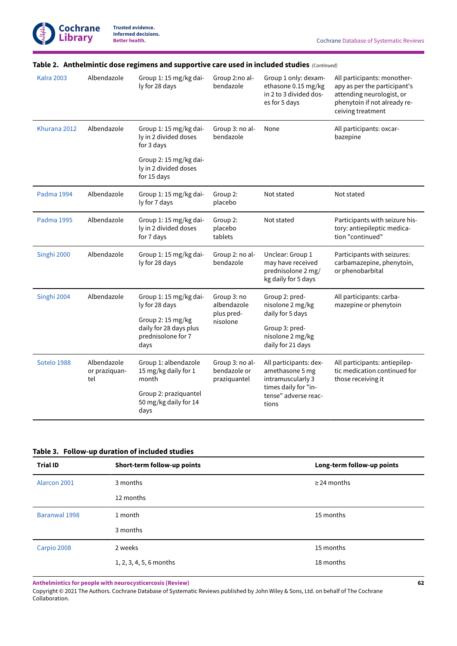| All participants: monother-<br>apy as per the participant's<br>attending neurologist, or<br>phenytoin if not already re-<br>ceiving treatment |  |
|-----------------------------------------------------------------------------------------------------------------------------------------------|--|
| All participants: oxcar-                                                                                                                      |  |
|                                                                                                                                               |  |
|                                                                                                                                               |  |
| Participants with seizure his-<br>tory: antiepileptic medica-<br>tion "continued"                                                             |  |
| Participants with seizures:<br>carbamazepine, phenytoin,<br>or phenobarbital                                                                  |  |
| All participants: carba-<br>mazepine or phenytoin                                                                                             |  |
|                                                                                                                                               |  |
| All participants: antiepilep-<br>tic medication continued for<br>those receiving it                                                           |  |
|                                                                                                                                               |  |

# **Table 2. Anthelmintic dose regimens and supportive care used in included studies**  *(Continued)*

# **Table 3. Follow-up duration of included studies**

| <b>Trial ID</b> | Short-term follow-up points | Long-term follow-up points |
|-----------------|-----------------------------|----------------------------|
| Alarcon 2001    | 3 months                    | $\geq$ 24 months           |
|                 | 12 months                   |                            |
| Baranwal 1998   | 1 month                     | 15 months                  |
|                 | 3 months                    |                            |
| Carpio 2008     | 2 weeks                     | 15 months                  |
|                 | 1, 2, 3, 4, 5, 6 months     | 18 months                  |
|                 |                             |                            |

**Anthelmintics for people with neurocysticercosis (Review)**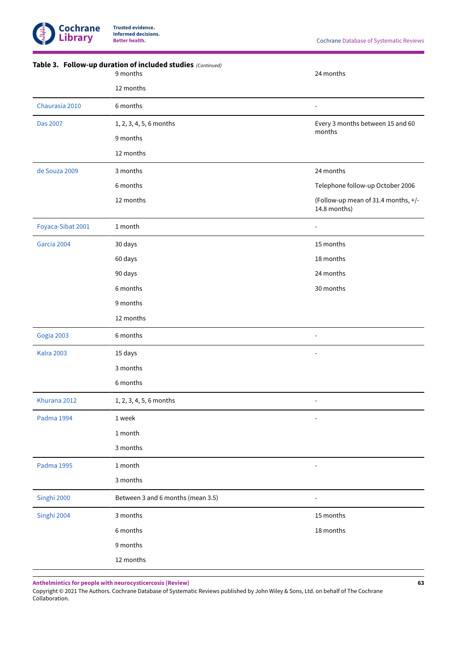|                   | Table 3. Follow-up duration of included studies (Continued)<br>9 months | 24 months                                           |
|-------------------|-------------------------------------------------------------------------|-----------------------------------------------------|
|                   | 12 months                                                               |                                                     |
| Chaurasia 2010    | 6 months                                                                |                                                     |
| <b>Das 2007</b>   | 1, 2, 3, 4, 5, 6 months                                                 | Every 3 months between 15 and 60                    |
|                   | 9 months                                                                | months                                              |
|                   | 12 months                                                               |                                                     |
| de Souza 2009     | 3 months                                                                | 24 months                                           |
|                   | 6 months                                                                | Telephone follow-up October 2006                    |
|                   | 12 months                                                               | (Follow-up mean of 31.4 months, +/-<br>14.8 months) |
| Foyaca-Sibat 2001 | 1 month                                                                 |                                                     |
| Garcia 2004       | 30 days                                                                 | 15 months                                           |
|                   | 60 days                                                                 | 18 months                                           |
|                   | 90 days                                                                 | 24 months                                           |
|                   | 6 months                                                                | 30 months                                           |
|                   | 9 months                                                                |                                                     |
|                   | 12 months                                                               |                                                     |
| Gogia 2003        | 6 months                                                                |                                                     |
| <b>Kalra 2003</b> | 15 days                                                                 |                                                     |
|                   | 3 months                                                                |                                                     |
|                   | 6 months                                                                |                                                     |
| Khurana 2012      | 1, 2, 3, 4, 5, 6 months                                                 |                                                     |
| Padma 1994        | 1 week                                                                  |                                                     |
|                   | 1 month                                                                 |                                                     |
|                   | 3 months                                                                |                                                     |
| Padma 1995        | 1 month                                                                 |                                                     |
|                   | 3 months                                                                |                                                     |
| Singhi 2000       | Between 3 and 6 months (mean 3.5)                                       |                                                     |
| Singhi 2004       | 3 months                                                                | 15 months                                           |
|                   | 6 months                                                                | 18 months                                           |
|                   | 9 months                                                                |                                                     |
|                   | 12 months                                                               |                                                     |

**Anthelmintics for people with neurocysticercosis (Review)**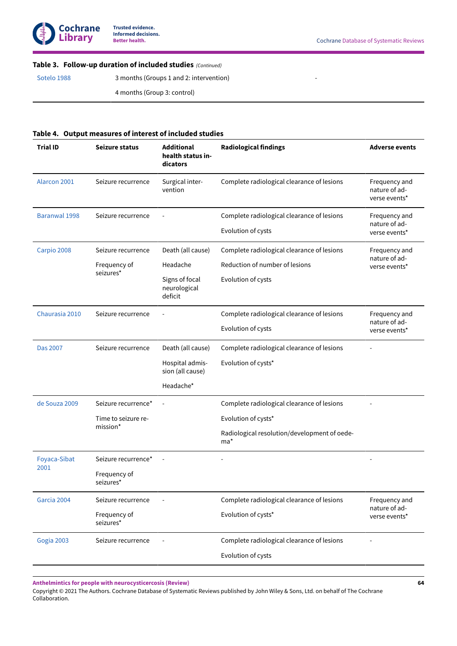

-

# **Table 3. Follow-up duration of included studies**  *(Continued)*

[Sotelo 1988](#page-30-4) 3 months (Groups 1 and 2: intervention)

4 months (Group 3: control)

#### **Table 4. Output measures of interest of included studies**

| Alarcon 2001<br>Complete radiological clearance of lesions<br>Seizure recurrence<br>Surgical inter-<br>vention<br>nature of ad-<br>verse events*<br><b>Baranwal 1998</b><br>Complete radiological clearance of lesions<br>Seizure recurrence<br>nature of ad- | Frequency and<br>Frequency and<br>nature of ad- |
|---------------------------------------------------------------------------------------------------------------------------------------------------------------------------------------------------------------------------------------------------------------|-------------------------------------------------|
|                                                                                                                                                                                                                                                               |                                                 |
|                                                                                                                                                                                                                                                               |                                                 |
| Evolution of cysts<br>verse events*                                                                                                                                                                                                                           |                                                 |
| Carpio 2008<br>Death (all cause)<br>Complete radiological clearance of lesions<br>Frequency and<br>Seizure recurrence                                                                                                                                         |                                                 |
| Reduction of number of lesions<br>Headache<br>Frequency of<br>verse events*<br>seizures*                                                                                                                                                                      |                                                 |
| Signs of focal<br>Evolution of cysts<br>neurological<br>deficit                                                                                                                                                                                               |                                                 |
| Chaurasia 2010<br>Complete radiological clearance of lesions<br>Seizure recurrence                                                                                                                                                                            | Frequency and<br>nature of ad-                  |
| Evolution of cysts<br>verse events*                                                                                                                                                                                                                           |                                                 |
| <b>Das 2007</b><br>Death (all cause)<br>Complete radiological clearance of lesions<br>Seizure recurrence                                                                                                                                                      |                                                 |
| Hospital admis-<br>Evolution of cysts*<br>sion (all cause)                                                                                                                                                                                                    |                                                 |
| Headache*                                                                                                                                                                                                                                                     |                                                 |
| de Souza 2009<br>Seizure recurrence*<br>Complete radiological clearance of lesions                                                                                                                                                                            |                                                 |
| Time to seizure re-<br>Evolution of cysts*<br>mission*                                                                                                                                                                                                        |                                                 |
| Radiological resolution/development of oede-<br>ma*                                                                                                                                                                                                           |                                                 |
| Foyaca-Sibat<br>Seizure recurrence*                                                                                                                                                                                                                           |                                                 |
| 2001<br>Frequency of<br>seizures*                                                                                                                                                                                                                             |                                                 |
| Complete radiological clearance of lesions<br>Garcia 2004<br>Seizure recurrence<br>nature of ad-                                                                                                                                                              | Frequency and                                   |
| Frequency of<br>Evolution of cysts*<br>verse events*<br>seizures*                                                                                                                                                                                             |                                                 |
| Complete radiological clearance of lesions<br>Gogia 2003<br>Seizure recurrence                                                                                                                                                                                |                                                 |
| Evolution of cysts                                                                                                                                                                                                                                            |                                                 |

**Anthelmintics for people with neurocysticercosis (Review)**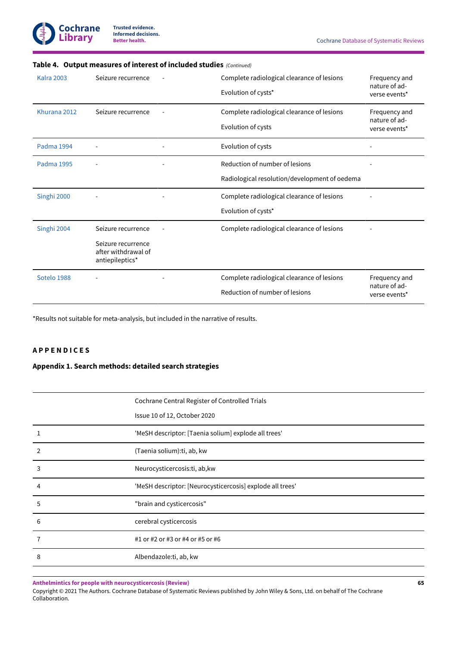

| <b>Kalra 2003</b> | Seizure recurrence                                                                 | Complete radiological clearance of lesions<br>Evolution of cysts*               | Frequency and<br>nature of ad-<br>verse events* |
|-------------------|------------------------------------------------------------------------------------|---------------------------------------------------------------------------------|-------------------------------------------------|
| Khurana 2012      | Seizure recurrence                                                                 | Complete radiological clearance of lesions<br>Evolution of cysts                | Frequency and<br>nature of ad-<br>verse events* |
| Padma 1994        |                                                                                    | Evolution of cysts                                                              |                                                 |
| Padma 1995        |                                                                                    | Reduction of number of lesions<br>Radiological resolution/development of oedema |                                                 |
| Singhi 2000       |                                                                                    | Complete radiological clearance of lesions<br>Evolution of cysts*               |                                                 |
| Singhi 2004       | Seizure recurrence<br>Seizure recurrence<br>after withdrawal of<br>antiepileptics* | Complete radiological clearance of lesions                                      |                                                 |
| Sotelo 1988       |                                                                                    | Complete radiological clearance of lesions<br>Reduction of number of lesions    | Frequency and<br>nature of ad-<br>verse events* |

# **Table 4. Output measures of interest of included studies**  *(Continued)*

\*Results not suitable for meta-analysis, but included in the narrative of results.

# **A P P E N D I C E S**

#### **Appendix 1.Search methods: detailed search strategies**

|   | Cochrane Central Register of Controlled Trials<br>Issue 10 of 12, October 2020 |
|---|--------------------------------------------------------------------------------|
|   | 'MeSH descriptor: [Taenia solium] explode all trees'                           |
| 2 | (Taenia solium):ti, ab, kw                                                     |
| 3 | Neurocysticercosis:ti, ab, kw                                                  |
| 4 | 'MeSH descriptor: [Neurocysticercosis] explode all trees'                      |
| 5 | "brain and cysticercosis"                                                      |
| 6 | cerebral cysticercosis                                                         |
|   | #1 or #2 or #3 or #4 or #5 or #6                                               |
| 8 | Albendazole:ti, ab, kw                                                         |

**Anthelmintics for people with neurocysticercosis (Review)**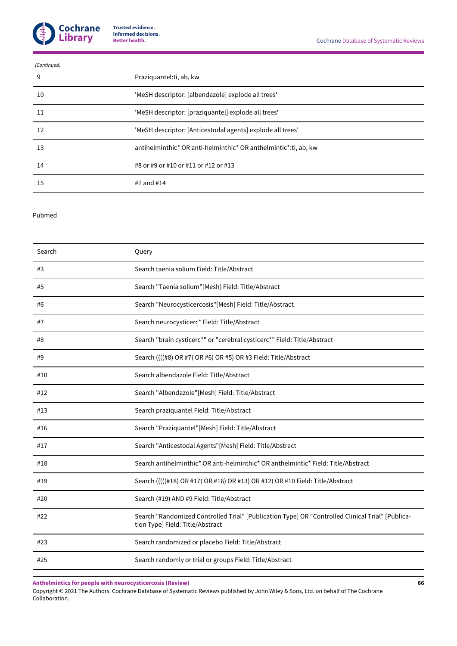

| (Continued) |                                                                 |
|-------------|-----------------------------------------------------------------|
| 9           | Praziquantel: ti, ab, kw                                        |
| 10          | 'MeSH descriptor: [albendazole] explode all trees'              |
| 11          | 'MeSH descriptor: [praziquantel] explode all trees'             |
| 12          | 'MeSH descriptor: [Anticestodal agents] explode all trees'      |
| 13          | antihelminthic* OR anti-helminthic* OR anthelmintic*:ti, ab, kw |
| 14          | #8 or #9 or #10 or #11 or #12 or #13                            |
| 15          | #7 and #14                                                      |

#### Pubmed

| Search | Query                                                                                                                                |
|--------|--------------------------------------------------------------------------------------------------------------------------------------|
| #3     | Search taenia solium Field: Title/Abstract                                                                                           |
| #5     | Search "Taenia solium"[Mesh] Field: Title/Abstract                                                                                   |
| #6     | Search "Neurocysticercosis"[Mesh] Field: Title/Abstract                                                                              |
| #7     | Search neurocysticerc* Field: Title/Abstract                                                                                         |
| #8     | Search "brain cysticerc*" or "cerebral cysticerc*" Field: Title/Abstract                                                             |
| #9     | Search ((((#8) OR #7) OR #6) OR #5) OR #3 Field: Title/Abstract                                                                      |
| #10    | Search albendazole Field: Title/Abstract                                                                                             |
| #12    | Search "Albendazole"[Mesh] Field: Title/Abstract                                                                                     |
| #13    | Search praziquantel Field: Title/Abstract                                                                                            |
| #16    | Search "Praziquantel"[Mesh] Field: Title/Abstract                                                                                    |
| #17    | Search "Anticestodal Agents"[Mesh] Field: Title/Abstract                                                                             |
| #18    | Search antihelminthic* OR anti-helminthic* OR anthelmintic* Field: Title/Abstract                                                    |
| #19    | Search (((((#18) OR #17) OR #16) OR #13) OR #12) OR #10 Field: Title/Abstract                                                        |
| #20    | Search (#19) AND #9 Field: Title/Abstract                                                                                            |
| #22    | Search "Randomized Controlled Trial" [Publication Type] OR "Controlled Clinical Trial" [Publica-<br>tion Type] Field: Title/Abstract |
| #23    | Search randomized or placebo Field: Title/Abstract                                                                                   |
| #25    | Search randomly or trial or groups Field: Title/Abstract                                                                             |

**Anthelmintics for people with neurocysticercosis (Review)**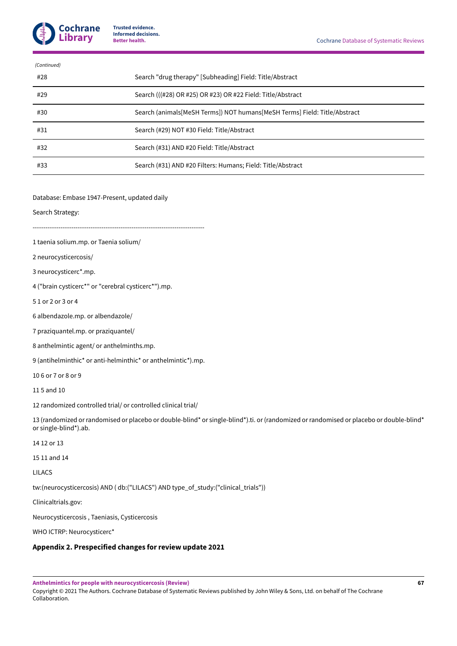

| (Continued) |                                                                           |
|-------------|---------------------------------------------------------------------------|
| #28         | Search "drug therapy" [Subheading] Field: Title/Abstract                  |
| #29         | Search (((#28) OR #25) OR #23) OR #22 Field: Title/Abstract               |
| #30         | Search (animals[MeSH Terms]) NOT humans[MeSH Terms] Field: Title/Abstract |
| #31         | Search (#29) NOT #30 Field: Title/Abstract                                |
| #32         | Search (#31) AND #20 Field: Title/Abstract                                |
| #33         | Search (#31) AND #20 Filters: Humans; Field: Title/Abstract               |
|             |                                                                           |

Database: Embase 1947-Present, updated daily

Search Strategy:

 $-$ 

- 1 taenia solium.mp. or Taenia solium/
- 2 neurocysticercosis/
- 3 neurocysticerc\*.mp.

4 ("brain cysticerc\*" or "cerebral cysticerc\*").mp.

- 5 1 or 2 or 3 or 4
- 6 albendazole.mp. or albendazole/

7 praziquantel.mp. or praziquantel/

8 anthelmintic agent/ or anthelminths.mp.

9 (antihelminthic\* or anti-helminthic\* or anthelmintic\*).mp.

10 6 or 7 or 8 or 9

11 5 and 10

12 randomized controlled trial/ or controlled clinical trial/

13 (randomized or randomised or placebo or double-blind\* or single-blind\*).ti. or (randomized or randomised or placebo or double-blind\* or single-blind\*).ab.

- 14 12 or 13
- 15 11 and 14

LILACS

tw:(neurocysticercosis) AND ( db:("LILACS") AND type\_of\_study:("clinical\_trials"))

Clinicaltrials.gov:

Neurocysticercosis , Taeniasis, Cysticercosis

WHO ICTRP: Neurocysticerc\*

#### <span id="page-69-0"></span>**Appendix 2. Prespecified changes for review update 2021**

**Anthelmintics for people with neurocysticercosis (Review)**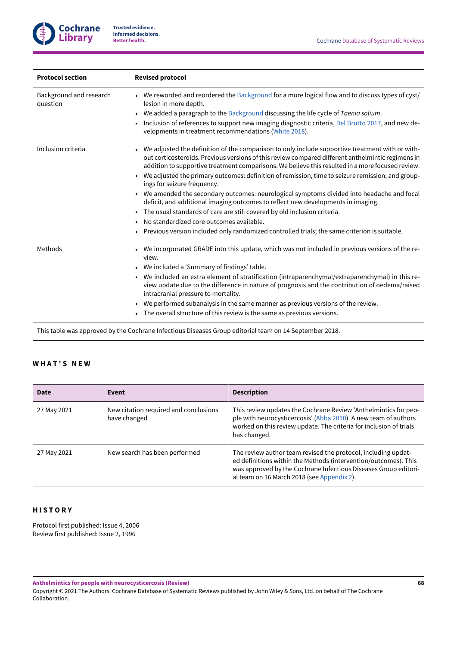

| <b>Protocol section</b>             | <b>Revised protocol</b>                                                                                                                                                                                                                                                                                                                                                                                                                                                                                                                                                                                                                                                                                                                                                                                                                                          |  |
|-------------------------------------|------------------------------------------------------------------------------------------------------------------------------------------------------------------------------------------------------------------------------------------------------------------------------------------------------------------------------------------------------------------------------------------------------------------------------------------------------------------------------------------------------------------------------------------------------------------------------------------------------------------------------------------------------------------------------------------------------------------------------------------------------------------------------------------------------------------------------------------------------------------|--|
| Background and research<br>question | We reworded and reordered the Background for a more logical flow and to discuss types of cyst/<br>$\bullet$<br>lesion in more depth.<br>We added a paragraph to the Background discussing the life cycle of Taenia solium.<br>$\bullet$<br>Inclusion of references to support new imaging diagnostic criteria, Del Brutto 2017, and new de-<br>velopments in treatment recommendations (White 2018).                                                                                                                                                                                                                                                                                                                                                                                                                                                             |  |
| Inclusion criteria                  | We adjusted the definition of the comparison to only include supportive treatment with or with-<br>out corticosteroids. Previous versions of this review compared different anthelmintic regimens in<br>addition to supportive treatment comparisons. We believe this resulted in a more focused review.<br>We adjusted the primary outcomes: definition of remission, time to seizure remission, and group-<br>ings for seizure frequency.<br>We amended the secondary outcomes: neurological symptoms divided into headache and focal<br>deficit, and additional imaging outcomes to reflect new developments in imaging.<br>The usual standards of care are still covered by old inclusion criteria.<br>$\bullet$<br>No standardized core outcomes available.<br>Previous version included only randomized controlled trials; the same criterion is suitable. |  |
| Methods                             | We incorporated GRADE into this update, which was not included in previous versions of the re-<br>view.<br>We included a 'Summary of findings' table.<br>$\bullet$<br>We included an extra element of stratification (intraparenchymal/extraparenchymal) in this re-<br>view update due to the difference in nature of prognosis and the contribution of oedema/raised<br>intracranial pressure to mortality.<br>We performed subanalysis in the same manner as previous versions of the review.<br>The overall structure of this review is the same as previous versions.                                                                                                                                                                                                                                                                                       |  |

This table was approved by the Cochrane Infectious Diseases Group editorial team on 14 September 2018.

# **W H A T ' S N E W**

| Date        | Event                                                 | <b>Description</b>                                                                                                                                                                                                                                |
|-------------|-------------------------------------------------------|---------------------------------------------------------------------------------------------------------------------------------------------------------------------------------------------------------------------------------------------------|
| 27 May 2021 | New citation required and conclusions<br>have changed | This review updates the Cochrane Review 'Anthelmintics for peo-<br>ple with neurocysticercosis' (Abba 2010). A new team of authors<br>worked on this review update. The criteria for inclusion of trials<br>has changed.                          |
| 27 May 2021 | New search has been performed                         | The review author team revised the protocol, including updat-<br>ed definitions within the Methods (intervention/outcomes). This<br>was approved by the Cochrane Infectious Diseases Group editori-<br>al team on 16 March 2018 (see Appendix 2). |

# **H I S T O R Y**

Protocol first published: Issue 4, 2006 Review first published: Issue 2, 1996

**Anthelmintics for people with neurocysticercosis (Review)**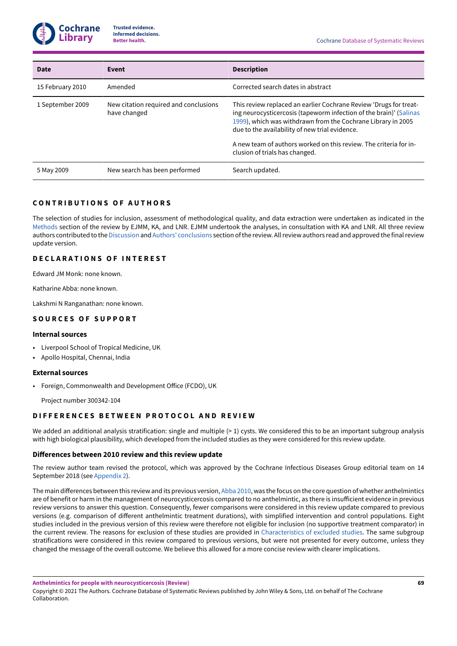

| Date             | Event                                                 | <b>Description</b>                                                                                                                                                                                                                                                                                                                                               |
|------------------|-------------------------------------------------------|------------------------------------------------------------------------------------------------------------------------------------------------------------------------------------------------------------------------------------------------------------------------------------------------------------------------------------------------------------------|
| 15 February 2010 | Amended                                               | Corrected search dates in abstract                                                                                                                                                                                                                                                                                                                               |
| 1 September 2009 | New citation required and conclusions<br>have changed | This review replaced an earlier Cochrane Review 'Drugs for treat-<br>ing neurocysticercosis (tapeworm infection of the brain)' (Salinas<br>1999), which was withdrawn from the Cochrane Library in 2005<br>due to the availability of new trial evidence.<br>A new team of authors worked on this review. The criteria for in-<br>clusion of trials has changed. |
| 5 May 2009       | New search has been performed                         | Search updated.                                                                                                                                                                                                                                                                                                                                                  |

# **C O N T R I B U T I O N S O F A U T H O R S**

The selection of studies for inclusion, assessment of methodological quality, and data extraction were undertaken as indicated in the [Methods](#page-9-0) section of the review by EJMM, KA, and LNR. EJMM undertook the analyses, in consultation with KA and LNR. All three review authors contributed to the [Discussion](#page-24-0) and Authors' [conclusions](#page-27-0) section of the review. All review authors read and approved the final review update version.

# **D E C L A R A T I O N S O F I N T E R E S T**

Edward JM Monk: none known.

Katharine Abba: none known.

Lakshmi N Ranganathan: none known.

#### **S O U R C E S O F S U P P O R T**

#### **Internal sources**

- Liverpool School of Tropical Medicine, UK
- Apollo Hospital, Chennai, India

#### **External sources**

• Foreign, Commonwealth and Development Office (FCDO), UK

Project number 300342-104

#### **DIFFERENCES BETWEEN PROTOCOL AND REVIEW**

We added an additional analysis stratification: single and multiple (> 1) cysts. We considered this to be an important subgroup analysis with high biological plausibility, which developed from the included studies as they were considered for this review update.

#### **Differences between 2010 review and this review update**

The review author team revised the protocol, which was approved by the Cochrane Infectious Diseases Group editorial team on 14 September 2018 (see [Appendix 2\)](#page-69-0).

The main differences between this review and its previous version, [Abba](#page-32-1) 2010, was the focus on the core question of whether anthelmintics are of benefit or harm in the management of neurocysticercosis compared to no anthelmintic, as there is insufficient evidence in previous review versions to answer this question. Consequently, fewer comparisons were considered in this review update compared to previous versions (e.g. comparison of different anthelmintic treatment durations), with simplified intervention and control populations. Eight studies included in the previous version of this review were therefore not eligible for inclusion (no supportive treatment comparator) in the current review. The reasons for exclusion of these studies are provided in [Characteristics](#page-50-0) of excluded studies. The same subgroup stratifications were considered in this review compared to previous versions, but were not presented for every outcome, unless they changed the message of the overall outcome. We believe this allowed for a more concise review with clearer implications.

**Anthelmintics for people with neurocysticercosis (Review)**

Copyright © 2021 The Authors. Cochrane Database of Systematic Reviews published by John Wiley & Sons, Ltd. on behalf of The Cochrane Collaboration.